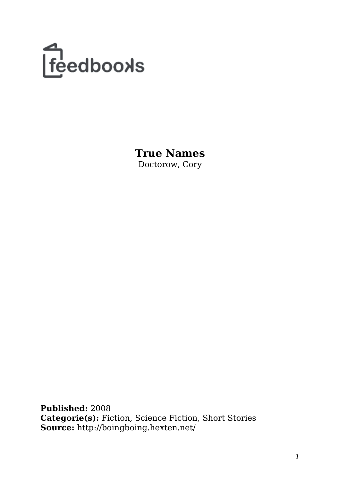

**True Names** Doctorow, Cory

**Published:** 2008 **Categorie(s):** Fiction, Science Fiction, Short Stories **Source:** http://boingboing.hexten.net/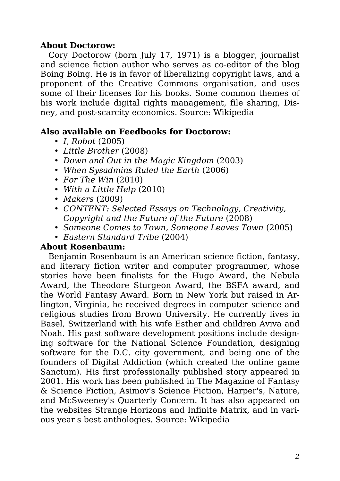## **About Doctorow:**

Cory Doctorow (born July 17, 1971) is a blogger, journalist and science fiction author who serves as co-editor of the blog Boing Boing. He is in favor of liberalizing copyright laws, and a proponent of the Creative Commons organisation, and uses some of their licenses for his books. Some common themes of his work include digital rights management, file sharing, Disney, and post-scarcity economics. Source: Wikipedia

## **Also available on Feedbooks for Doctorow:**

- *[I, Robot](http://generation.feedbooks.com/book/337.pdf)* (2005)
- *[Little Brother](http://generation.feedbooks.com/book/2466.pdf)* (2008)
- *[Down and Out in the Magic Kingdom](http://generation.feedbooks.com/book/194.pdf)* (2003)
- *[When Sysadmins Ruled the Earth](http://generation.feedbooks.com/book/335.pdf)* (2006)
- *[For The Win](http://generation.feedbooks.com/book/4786.pdf)* (2010)
- *[With a Little Help](http://generation.feedbooks.com/book/5460.pdf)* (2010)
- *[Makers](http://generation.feedbooks.com/book/4343.pdf)* (2009)
- *[CONTENT: Selected Essays on Technology, Creativity,](http://generation.feedbooks.com/book/2883.pdf) [Copyright and the Future of the Future](http://generation.feedbooks.com/book/2883.pdf)* (2008)
- *[Someone Comes to Town, Someone Leaves Town](http://generation.feedbooks.com/book/260.pdf)* (2005)
- *[Eastern Standard Tribe](http://generation.feedbooks.com/book/217.pdf)* (2004)

## **About Rosenbaum:**

Benjamin Rosenbaum is an American science fiction, fantasy, and literary fiction writer and computer programmer, whose stories have been finalists for the Hugo Award, the Nebula Award, the Theodore Sturgeon Award, the BSFA award, and the World Fantasy Award. Born in New York but raised in Arlington, Virginia, he received degrees in computer science and religious studies from Brown University. He currently lives in Basel, Switzerland with his wife Esther and children Aviva and Noah. His past software development positions include designing software for the National Science Foundation, designing software for the D.C. city government, and being one of the founders of Digital Addiction (which created the online game Sanctum). His first professionally published story appeared in 2001. His work has been published in The Magazine of Fantasy & Science Fiction, Asimov's Science Fiction, Harper's, Nature, and McSweeney's Quarterly Concern. It has also appeared on the websites Strange Horizons and Infinite Matrix, and in various year's best anthologies. Source: Wikipedia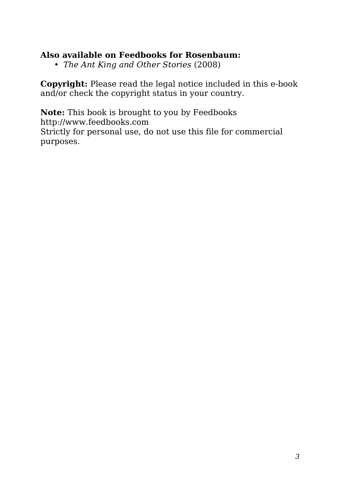## **Also available on Feedbooks for Rosenbaum:**

• *[The Ant King and Other Stories](http://generation.feedbooks.com/book/2872.pdf)* (2008)

**Copyright:** Please read the legal notice included in this e-book and/or check the copyright status in your country.

**Note:** This book is brought to you by Feedbooks <http://www.feedbooks.com> Strictly for personal use, do not use this file for commercial purposes.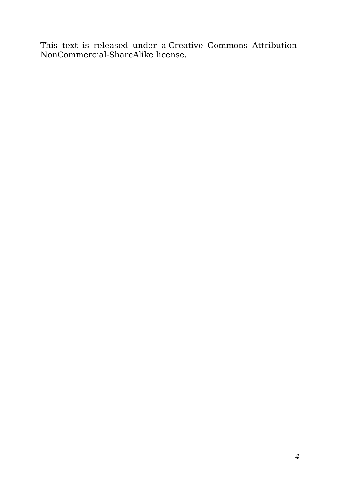This text is released under a Creative Commons [Attribution-](http://creativecommons.org/licenses/by-nc-sa/3.0/)[NonCommercial-ShareAlike](http://creativecommons.org/licenses/by-nc-sa/3.0/) license.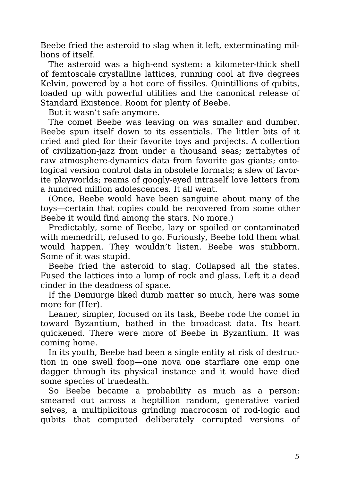Beebe fried the asteroid to slag when it left, exterminating millions of itself.

The asteroid was a high-end system: a kilometer-thick shell of femtoscale crystalline lattices, running cool at five degrees Kelvin, powered by a hot core of fissiles. Quintillions of qubits, loaded up with powerful utilities and the canonical release of Standard Existence. Room for plenty of Beebe.

But it wasn't safe anymore.

The comet Beebe was leaving on was smaller and dumber. Beebe spun itself down to its essentials. The littler bits of it cried and pled for their favorite toys and projects. A collection of civilization-jazz from under a thousand seas; zettabytes of raw atmosphere-dynamics data from favorite gas giants; ontological version control data in obsolete formats; a slew of favorite playworlds; reams of googly-eyed intraself love letters from a hundred million adolescences. It all went.

(Once, Beebe would have been sanguine about many of the toys—certain that copies could be recovered from some other Beebe it would find among the stars. No more.)

Predictably, some of Beebe, lazy or spoiled or contaminated with memedrift, refused to go. Furiously, Beebe told them what would happen. They wouldn't listen. Beebe was stubborn. Some of it was stupid.

Beebe fried the asteroid to slag. Collapsed all the states. Fused the lattices into a lump of rock and glass. Left it a dead cinder in the deadness of space.

If the Demiurge liked dumb matter so much, here was some more for (Her).

Leaner, simpler, focused on its task, Beebe rode the comet in toward Byzantium, bathed in the broadcast data. Its heart quickened. There were more of Beebe in Byzantium. It was coming home.

In its youth, Beebe had been a single entity at risk of destruction in one swell foop—one nova one starflare one emp one dagger through its physical instance and it would have died some species of truedeath.

So Beebe became a probability as much as a person: smeared out across a heptillion random, generative varied selves, a multiplicitous grinding macrocosm of rod-logic and qubits that computed deliberately corrupted versions of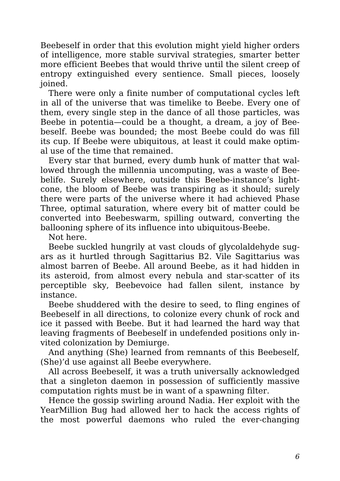Beebeself in order that this evolution might yield higher orders of intelligence, more stable survival strategies, smarter better more efficient Beebes that would thrive until the silent creep of entropy extinguished every sentience. Small pieces, loosely joined.

There were only a finite number of computational cycles left in all of the universe that was timelike to Beebe. Every one of them, every single step in the dance of all those particles, was Beebe in potentia—could be a thought, a dream, a joy of Beebeself. Beebe was bounded; the most Beebe could do was fill its cup. If Beebe were ubiquitous, at least it could make optimal use of the time that remained.

Every star that burned, every dumb hunk of matter that wallowed through the millennia uncomputing, was a waste of Beebelife. Surely elsewhere, outside this Beebe-instance's lightcone, the bloom of Beebe was transpiring as it should; surely there were parts of the universe where it had achieved Phase Three, optimal saturation, where every bit of matter could be converted into Beebeswarm, spilling outward, converting the ballooning sphere of its influence into ubiquitous-Beebe.

Not here.

Beebe suckled hungrily at vast clouds of glycolaldehyde sugars as it hurtled through Sagittarius B2. Vile Sagittarius was almost barren of Beebe. All around Beebe, as it had hidden in its asteroid, from almost every nebula and star-scatter of its perceptible sky, Beebevoice had fallen silent, instance by instance.

Beebe shuddered with the desire to seed, to fling engines of Beebeself in all directions, to colonize every chunk of rock and ice it passed with Beebe. But it had learned the hard way that leaving fragments of Beebeself in undefended positions only invited colonization by Demiurge.

And anything (She) learned from remnants of this Beebeself, (She)'d use against all Beebe everywhere.

All across Beebeself, it was a truth universally acknowledged that a singleton daemon in possession of sufficiently massive computation rights must be in want of a spawning filter.

Hence the gossip swirling around Nadia. Her exploit with the YearMillion Bug had allowed her to hack the access rights of the most powerful daemons who ruled the ever-changing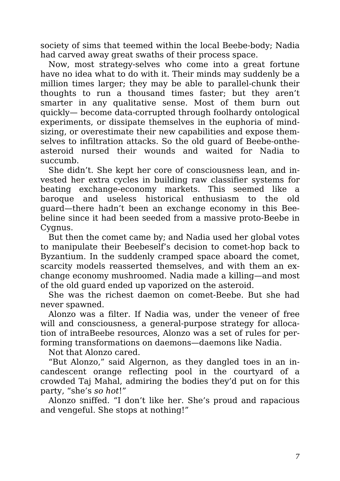society of sims that teemed within the local Beebe-body; Nadia had carved away great swaths of their process space.

Now, most strategy-selves who come into a great fortune have no idea what to do with it. Their minds may suddenly be a million times larger; they may be able to parallel-chunk their thoughts to run a thousand times faster; but they aren't smarter in any qualitative sense. Most of them burn out quickly— become data-corrupted through foolhardy ontological experiments, or dissipate themselves in the euphoria of mindsizing, or overestimate their new capabilities and expose themselves to infiltration attacks. So the old guard of Beebe-ontheasteroid nursed their wounds and waited for Nadia to succumb.

She didn't. She kept her core of consciousness lean, and invested her extra cycles in building raw classifier systems for beating exchange-economy markets. This seemed like a baroque and useless historical enthusiasm to the old guard—there hadn't been an exchange economy in this Beebeline since it had been seeded from a massive proto-Beebe in Cygnus.

But then the comet came by; and Nadia used her global votes to manipulate their Beebeself's decision to comet-hop back to Byzantium. In the suddenly cramped space aboard the comet, scarcity models reasserted themselves, and with them an exchange economy mushroomed. Nadia made a killing—and most of the old guard ended up vaporized on the asteroid.

She was the richest daemon on comet-Beebe. But she had never spawned.

Alonzo was a filter. If Nadia was, under the veneer of free will and consciousness, a general-purpose strategy for allocation of intraBeebe resources, Alonzo was a set of rules for performing transformations on daemons—daemons like Nadia.

Not that Alonzo cared.

"But Alonzo," said Algernon, as they dangled toes in an incandescent orange reflecting pool in the courtyard of a crowded Taj Mahal, admiring the bodies they'd put on for this party, "she's *so hot*!"

Alonzo sniffed. "I don't like her. She's proud and rapacious and vengeful. She stops at nothing!"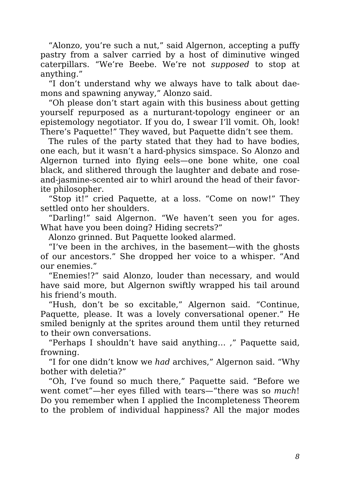"Alonzo, you're such a nut," said Algernon, accepting a puffy pastry from a salver carried by a host of diminutive winged caterpillars. "We're Beebe. We're not *supposed* to stop at anything."

"I don't understand why we always have to talk about daemons and spawning anyway," Alonzo said.

"Oh please don't start again with this business about getting yourself repurposed as a nurturant-topology engineer or an epistemology negotiator. If you do, I swear I'll vomit. Oh, look! There's Paquette!" They waved, but Paquette didn't see them.

The rules of the party stated that they had to have bodies, one each, but it wasn't a hard-physics simspace. So Alonzo and Algernon turned into flying eels—one bone white, one coal black, and slithered through the laughter and debate and roseand-jasmine-scented air to whirl around the head of their favorite philosopher.

"Stop it!" cried Paquette, at a loss. "Come on now!" They settled onto her shoulders.

"Darling!" said Algernon. "We haven't seen you for ages. What have you been doing? Hiding secrets?"

Alonzo grinned. But Paquette looked alarmed.

"I've been in the archives, in the basement—with the ghosts of our ancestors." She dropped her voice to a whisper. "And our enemies."

"Enemies!?" said Alonzo, louder than necessary, and would have said more, but Algernon swiftly wrapped his tail around his friend's mouth.

"Hush, don't be so excitable," Algernon said. "Continue, Paquette, please. It was a lovely conversational opener." He smiled benignly at the sprites around them until they returned to their own conversations.

"Perhaps I shouldn't have said anything… ," Paquette said, frowning.

"I for one didn't know we *had* archives," Algernon said. "Why bother with deletia?"

"Oh, I've found so much there," Paquette said. "Before we went comet"—her eyes filled with tears—"there was so *much*! Do you remember when I applied the Incompleteness Theorem to the problem of individual happiness? All the major modes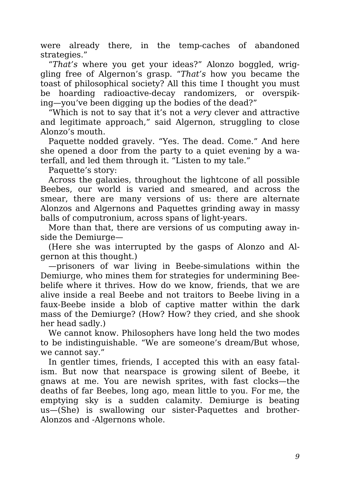were already there, in the temp-caches of abandoned strategies."

"*That's* where you get your ideas?" Alonzo boggled, wriggling free of Algernon's grasp. "*That's* how you became the toast of philosophical society? All this time I thought you must be hoarding radioactive-decay randomizers, or overspiking—you've been digging up the bodies of the dead?"

"Which is not to say that it's not a *very* clever and attractive and legitimate approach," said Algernon, struggling to close Alonzo's mouth.

Paquette nodded gravely. "Yes. The dead. Come." And here she opened a door from the party to a quiet evening by a waterfall, and led them through it. "Listen to my tale."

Paquette's story:

Across the galaxies, throughout the lightcone of all possible Beebes, our world is varied and smeared, and across the smear, there are many versions of us: there are alternate Alonzos and Algernons and Paquettes grinding away in massy balls of computronium, across spans of light-years.

More than that, there are versions of us computing away inside the Demiurge—

(Here she was interrupted by the gasps of Alonzo and Algernon at this thought.)

—prisoners of war living in Beebe-simulations within the Demiurge, who mines them for strategies for undermining Beebelife where it thrives. How do we know, friends, that we are alive inside a real Beebe and not traitors to Beebe living in a faux-Beebe inside a blob of captive matter within the dark mass of the Demiurge? (How? How? they cried, and she shook her head sadly.)

We cannot know. Philosophers have long held the two modes to be indistinguishable. "We are someone's dream/But whose, we cannot say."

In gentler times, friends, I accepted this with an easy fatalism. But now that nearspace is growing silent of Beebe, it gnaws at me. You are newish sprites, with fast clocks—the deaths of far Beebes, long ago, mean little to you. For me, the emptying sky is a sudden calamity. Demiurge is beating us—(She) is swallowing our sister-Paquettes and brother-Alonzos and -Algernons whole.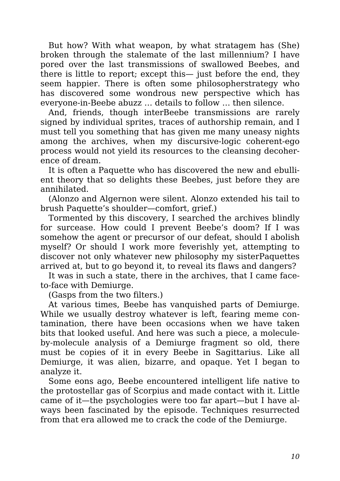But how? With what weapon, by what stratagem has (She) broken through the stalemate of the last millennium? I have pored over the last transmissions of swallowed Beebes, and there is little to report; except this— just before the end, they seem happier. There is often some philosopherstrategy who has discovered some wondrous new perspective which has everyone-in-Beebe abuzz … details to follow … then silence.

And, friends, though interBeebe transmissions are rarely signed by individual sprites, traces of authorship remain, and I must tell you something that has given me many uneasy nights among the archives, when my discursive-logic coherent-ego process would not yield its resources to the cleansing decoherence of dream.

It is often a Paquette who has discovered the new and ebullient theory that so delights these Beebes, just before they are annihilated.

(Alonzo and Algernon were silent. Alonzo extended his tail to brush Paquette's shoulder—comfort, grief.)

Tormented by this discovery, I searched the archives blindly for surcease. How could I prevent Beebe's doom? If I was somehow the agent or precursor of our defeat, should I abolish myself? Or should I work more feverishly yet, attempting to discover not only whatever new philosophy my sisterPaquettes arrived at, but to go beyond it, to reveal its flaws and dangers?

It was in such a state, there in the archives, that I came faceto-face with Demiurge.

(Gasps from the two filters.)

At various times, Beebe has vanquished parts of Demiurge. While we usually destroy whatever is left, fearing meme contamination, there have been occasions when we have taken bits that looked useful. And here was such a piece, a moleculeby-molecule analysis of a Demiurge fragment so old, there must be copies of it in every Beebe in Sagittarius. Like all Demiurge, it was alien, bizarre, and opaque. Yet I began to analyze it.

Some eons ago, Beebe encountered intelligent life native to the protostellar gas of Scorpius and made contact with it. Little came of it—the psychologies were too far apart—but I have always been fascinated by the episode. Techniques resurrected from that era allowed me to crack the code of the Demiurge.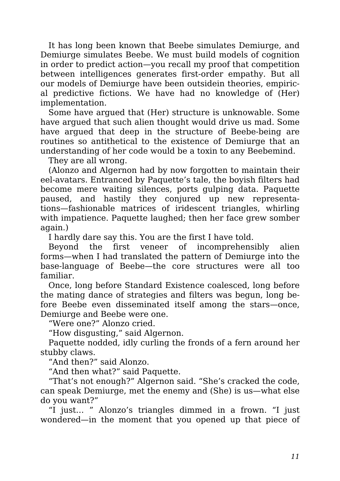It has long been known that Beebe simulates Demiurge, and Demiurge simulates Beebe. We must build models of cognition in order to predict action—you recall my proof that competition between intelligences generates first-order empathy. But all our models of Demiurge have been outsidein theories, empirical predictive fictions. We have had no knowledge of (Her) implementation.

Some have argued that (Her) structure is unknowable. Some have argued that such alien thought would drive us mad. Some have argued that deep in the structure of Beebe-being are routines so antithetical to the existence of Demiurge that an understanding of her code would be a toxin to any Beebemind.

They are all wrong.

(Alonzo and Algernon had by now forgotten to maintain their eel-avatars. Entranced by Paquette's tale, the boyish filters had become mere waiting silences, ports gulping data. Paquette paused, and hastily they conjured up new representations—fashionable matrices of iridescent triangles, whirling with impatience. Paquette laughed; then her face grew somber again.)

I hardly dare say this. You are the first I have told.

Beyond the first veneer of incomprehensibly alien forms—when I had translated the pattern of Demiurge into the base-language of Beebe—the core structures were all too familiar.

Once, long before Standard Existence coalesced, long before the mating dance of strategies and filters was begun, long before Beebe even disseminated itself among the stars—once, Demiurge and Beebe were one.

"Were one?" Alonzo cried.

"How disgusting," said Algernon.

Paquette nodded, idly curling the fronds of a fern around her stubby claws.

"And then?" said Alonzo.

"And then what?" said Paquette.

"That's not enough?" Algernon said. "She's cracked the code, can speak Demiurge, met the enemy and (She) is us—what else do you want?"

"I just… " Alonzo's triangles dimmed in a frown. "I just wondered—in the moment that you opened up that piece of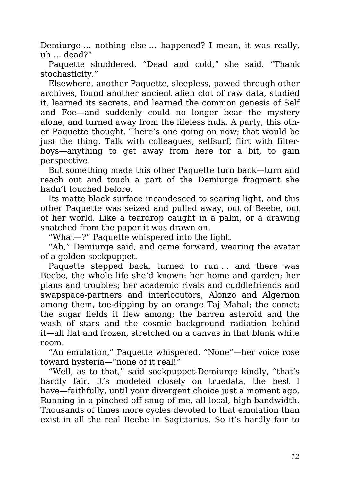Demiurge … nothing else … happened? I mean, it was really, uh … dead?"

Paquette shuddered. "Dead and cold," she said. "Thank stochasticity."

Elsewhere, another Paquette, sleepless, pawed through other archives, found another ancient alien clot of raw data, studied it, learned its secrets, and learned the common genesis of Self and Foe—and suddenly could no longer bear the mystery alone, and turned away from the lifeless hulk. A party, this other Paquette thought. There's one going on now; that would be just the thing. Talk with colleagues, selfsurf, flirt with filterboys—anything to get away from here for a bit, to gain perspective.

But something made this other Paquette turn back—turn and reach out and touch a part of the Demiurge fragment she hadn't touched before.

Its matte black surface incandesced to searing light, and this other Paquette was seized and pulled away, out of Beebe, out of her world. Like a teardrop caught in a palm, or a drawing snatched from the paper it was drawn on.

"What—?" Paquette whispered into the light.

"Ah," Demiurge said, and came forward, wearing the avatar of a golden sockpuppet.

Paquette stepped back, turned to run … and there was Beebe, the whole life she'd known: her home and garden; her plans and troubles; her academic rivals and cuddlefriends and swapspace-partners and interlocutors, Alonzo and Algernon among them, toe-dipping by an orange Taj Mahal; the comet; the sugar fields it flew among; the barren asteroid and the wash of stars and the cosmic background radiation behind it—all flat and frozen, stretched on a canvas in that blank white room.

"An emulation," Paquette whispered. "None"—her voice rose toward hysteria—"none of it real!"

"Well, as to that," said sockpuppet-Demiurge kindly, "that's hardly fair. It's modeled closely on truedata, the best I have—faithfully, until your divergent choice just a moment ago. Running in a pinched-off snug of me, all local, high-bandwidth. Thousands of times more cycles devoted to that emulation than exist in all the real Beebe in Sagittarius. So it's hardly fair to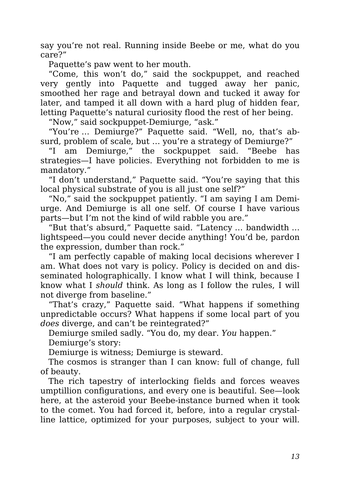say you're not real. Running inside Beebe or me, what do you care?"

Paquette's paw went to her mouth.

"Come, this won't do," said the sockpuppet, and reached very gently into Paquette and tugged away her panic, smoothed her rage and betrayal down and tucked it away for later, and tamped it all down with a hard plug of hidden fear, letting Paquette's natural curiosity flood the rest of her being.

"Now," said sockpuppet-Demiurge, "ask."

"You're … Demiurge?" Paquette said. "Well, no, that's absurd, problem of scale, but … you're a strategy of Demiurge?"

"I am Demiurge," the sockpuppet said. "Beebe has strategies—I have policies. Everything not forbidden to me is mandatory."

"I don't understand," Paquette said. "You're saying that this local physical substrate of you is all just one self?"

"No," said the sockpuppet patiently. "I am saying I am Demiurge. And Demiurge is all one self. Of course I have various parts—but I'm not the kind of wild rabble you are."

"But that's absurd," Paquette said. "Latency … bandwidth … lightspeed—you could never decide anything! You'd be, pardon the expression, dumber than rock."

"I am perfectly capable of making local decisions wherever I am. What does not vary is policy. Policy is decided on and disseminated holographically. I know what I will think, because I know what I *should* think. As long as I follow the rules, I will not diverge from baseline."

"That's crazy," Paquette said. "What happens if something unpredictable occurs? What happens if some local part of you *does* diverge, and can't be reintegrated?"

Demiurge smiled sadly. "You do, my dear. *You* happen."

Demiurge's story:

Demiurge is witness; Demiurge is steward.

The cosmos is stranger than I can know: full of change, full of beauty.

The rich tapestry of interlocking fields and forces weaves umptillion configurations, and every one is beautiful. See—look here, at the asteroid your Beebe-instance burned when it took to the comet. You had forced it, before, into a regular crystalline lattice, optimized for your purposes, subject to your will.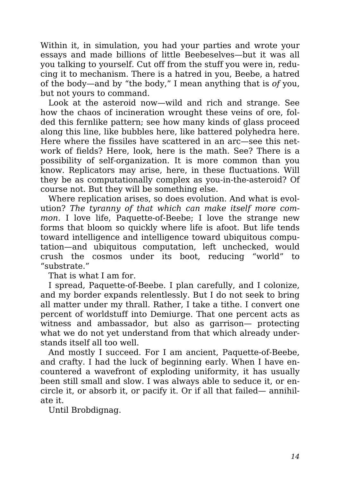Within it, in simulation, you had your parties and wrote your essays and made billions of little Beebeselves—but it was all you talking to yourself. Cut off from the stuff you were in, reducing it to mechanism. There is a hatred in you, Beebe, a hatred of the body—and by "the body," I mean anything that is *of* you, but not yours to command.

Look at the asteroid now—wild and rich and strange. See how the chaos of incineration wrought these veins of ore, folded this fernlike pattern; see how many kinds of glass proceed along this line, like bubbles here, like battered polyhedra here. Here where the fissiles have scattered in an arc—see this network of fields? Here, look, here is the math. See? There is a possibility of self-organization. It is more common than you know. Replicators may arise, here, in these fluctuations. Will they be as computationally complex as you-in-the-asteroid? Of course not. But they will be something else.

Where replication arises, so does evolution. And what is evolution? *The tyranny of that which can make itself more common.* I love life, Paquette-of-Beebe; I love the strange new forms that bloom so quickly where life is afoot. But life tends toward intelligence and intelligence toward ubiquitous computation—and ubiquitous computation, left unchecked, would crush the cosmos under its boot, reducing "world" to "substrate."

That is what I am for.

I spread, Paquette-of-Beebe. I plan carefully, and I colonize, and my border expands relentlessly. But I do not seek to bring all matter under my thrall. Rather, I take a tithe. I convert one percent of worldstuff into Demiurge. That one percent acts as witness and ambassador, but also as garrison— protecting what we do not yet understand from that which already understands itself all too well.

And mostly I succeed. For I am ancient, Paquette-of-Beebe, and crafty. I had the luck of beginning early. When I have encountered a wavefront of exploding uniformity, it has usually been still small and slow. I was always able to seduce it, or encircle it, or absorb it, or pacify it. Or if all that failed— annihilate it.

Until Brobdignag.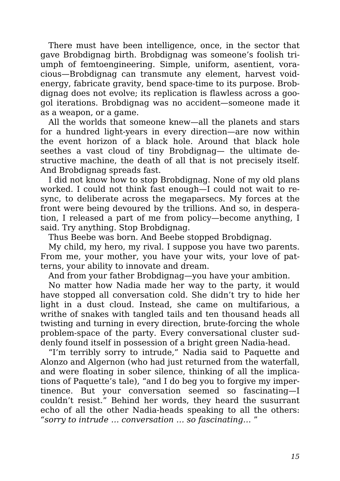There must have been intelligence, once, in the sector that gave Brobdignag birth. Brobdignag was someone's foolish triumph of femtoengineering. Simple, uniform, asentient, voracious—Brobdignag can transmute any element, harvest voidenergy, fabricate gravity, bend space-time to its purpose. Brobdignag does not evolve; its replication is flawless across a googol iterations. Brobdignag was no accident—someone made it as a weapon, or a game.

All the worlds that someone knew—all the planets and stars for a hundred light-years in every direction—are now within the event horizon of a black hole. Around that black hole seethes a vast cloud of tiny Brobdignag— the ultimate destructive machine, the death of all that is not precisely itself. And Brobdignag spreads fast.

I did not know how to stop Brobdignag. None of my old plans worked. I could not think fast enough—I could not wait to resync, to deliberate across the megaparsecs. My forces at the front were being devoured by the trillions. And so, in desperation, I released a part of me from policy—become anything, I said. Try anything. Stop Brobdignag.

Thus Beebe was born. And Beebe stopped Brobdignag.

My child, my hero, my rival. I suppose you have two parents. From me, your mother, you have your wits, your love of patterns, your ability to innovate and dream.

And from your father Brobdignag—you have your ambition.

No matter how Nadia made her way to the party, it would have stopped all conversation cold. She didn't try to hide her light in a dust cloud. Instead, she came on multifarious, a writhe of snakes with tangled tails and ten thousand heads all twisting and turning in every direction, brute-forcing the whole problem-space of the party. Every conversational cluster suddenly found itself in possession of a bright green Nadia-head.

"I'm terribly sorry to intrude," Nadia said to Paquette and Alonzo and Algernon (who had just returned from the waterfall, and were floating in sober silence, thinking of all the implications of Paquette's tale), "and I do beg you to forgive my impertinence. But your conversation seemed so fascinating—I couldn't resist." Behind her words, they heard the susurrant echo of all the other Nadia-heads speaking to all the others: *"sorry to intrude … conversation … so fascinating…* "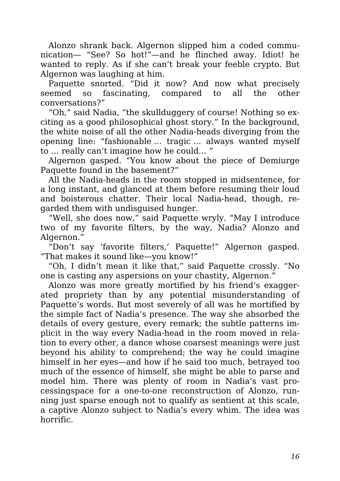Alonzo shrank back. Algernon slipped him a coded communication— "See? So hot!"—and he flinched away. Idiot! he wanted to reply. As if she can't break your feeble crypto. But Algernon was laughing at him.

Paquette snorted. "Did it now? And now what precisely seemed so fascinating, compared to all the other conversations?"

"Oh," said Nadia, "the skullduggery of course! Nothing so exciting as a good philosophical ghost story." In the background, the white noise of all the other Nadia-heads diverging from the opening line: "fashionable … tragic … always wanted myself to … really can't imagine how he could… "

Algernon gasped. "You know about the piece of Demiurge Paquette found in the basement?"

All the Nadia-heads in the room stopped in midsentence, for a long instant, and glanced at them before resuming their loud and boisterous chatter. Their local Nadia-head, though, regarded them with undisguised hunger.

"Well, she does now," said Paquette wryly. "May I introduce two of my favorite filters, by the way, Nadia? Alonzo and Algernon."

"Don't say 'favorite filters,' Paquette!" Algernon gasped. "That makes it sound like—you know!"

"Oh, I didn't mean it like that," said Paquette crossly. "No one is casting any aspersions on your chastity, Algernon."

Alonzo was more greatly mortified by his friend's exaggerated propriety than by any potential misunderstanding of Paquette's words. But most severely of all was he mortified by the simple fact of Nadia's presence. The way she absorbed the details of every gesture, every remark; the subtle patterns implicit in the way every Nadia-head in the room moved in relation to every other, a dance whose coarsest meanings were just beyond his ability to comprehend; the way he could imagine himself in her eyes—and how if he said too much, betrayed too much of the essence of himself, she might be able to parse and model him. There was plenty of room in Nadia's vast processingspace for a one-to-one reconstruction of Alonzo, running just sparse enough not to qualify as sentient at this scale, a captive Alonzo subject to Nadia's every whim. The idea was horrific.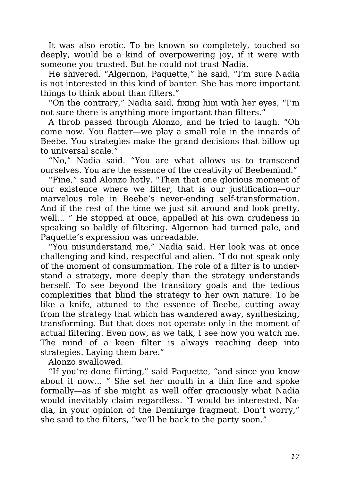It was also erotic. To be known so completely, touched so deeply, would be a kind of overpowering joy, if it were with someone you trusted. But he could not trust Nadia.

He shivered. "Algernon, Paquette," he said, "I'm sure Nadia is not interested in this kind of banter. She has more important things to think about than filters."

"On the contrary," Nadia said, fixing him with her eyes, "I'm not sure there is anything more important than filters."

A throb passed through Alonzo, and he tried to laugh. "Oh come now. You flatter—we play a small role in the innards of Beebe. You strategies make the grand decisions that billow up to universal scale."

"No," Nadia said. "You are what allows us to transcend ourselves. You are the essence of the creativity of Beebemind."

"Fine," said Alonzo hotly. "Then that one glorious moment of our existence where we filter, that is our justification—our marvelous role in Beebe's never-ending self-transformation. And if the rest of the time we just sit around and look pretty, well… " He stopped at once, appalled at his own crudeness in speaking so baldly of filtering. Algernon had turned pale, and Paquette's expression was unreadable.

"You misunderstand me," Nadia said. Her look was at once challenging and kind, respectful and alien. "I do not speak only of the moment of consummation. The role of a filter is to understand a strategy, more deeply than the strategy understands herself. To see beyond the transitory goals and the tedious complexities that blind the strategy to her own nature. To be like a knife, attuned to the essence of Beebe, cutting away from the strategy that which has wandered away, synthesizing, transforming. But that does not operate only in the moment of actual filtering. Even now, as we talk, I see how you watch me. The mind of a keen filter is always reaching deep into strategies. Laying them bare."

Alonzo swallowed.

"If you're done flirting," said Paquette, "and since you know about it now… " She set her mouth in a thin line and spoke formally—as if she might as well offer graciously what Nadia would inevitably claim regardless. "I would be interested, Nadia, in your opinion of the Demiurge fragment. Don't worry," she said to the filters, "we'll be back to the party soon."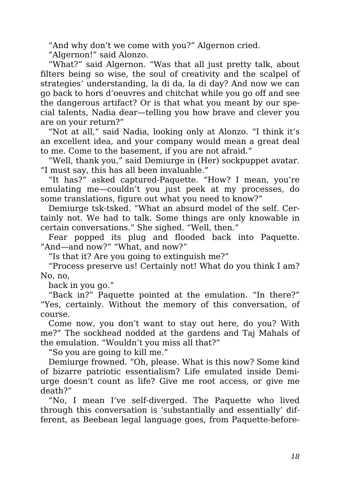"And why don't we come with you?" Algernon cried.

"Algernon!" said Alonzo.

"What?" said Algernon. "Was that all just pretty talk, about filters being so wise, the soul of creativity and the scalpel of strategies' understanding, la di da, la di day? And now we can go back to hors d'oeuvres and chitchat while you go off and see the dangerous artifact? Or is that what you meant by our special talents, Nadia dear—telling you how brave and clever you are on your return?"

"Not at all," said Nadia, looking only at Alonzo. "I think it's an excellent idea, and your company would mean a great deal to me. Come to the basement, if you are not afraid."

"Well, thank you," said Demiurge in (Her) sockpuppet avatar. "I must say, this has all been invaluable."

"It has?" asked captured-Paquette. "How? I mean, you're emulating me—couldn't you just peek at my processes, do some translations, figure out what you need to know?"

Demiurge tsk-tsked. "What an absurd model of the self. Certainly not. We had to talk. Some things are only knowable in certain conversations." She sighed. "Well, then."

Fear popped its plug and flooded back into Paquette. "And—and now?" "What, and now?"

"Is that it? Are you going to extinguish me?"

"Process preserve us! Certainly not! What do you think I am? No, no,

back in you go."

"Back in?" Paquette pointed at the emulation. "In there?" "Yes, certainly. Without the memory of this conversation, of course.

Come now, you don't want to stay out here, do you? With me?" The sockhead nodded at the gardens and Taj Mahals of the emulation. "Wouldn't you miss all that?"

"So you are going to kill me."

Demiurge frowned. "Oh, please. What is this now? Some kind of bizarre patriotic essentialism? Life emulated inside Demiurge doesn't count as life? Give me root access, or give me death?"

"No, I mean I've self-diverged. The Paquette who lived through this conversation is 'substantially and essentially' different, as Beebean legal language goes, from Paquette-before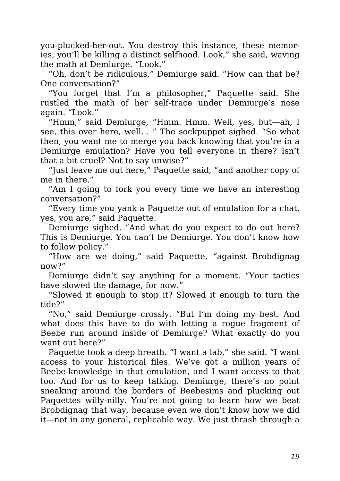you-plucked-her-out. You destroy this instance, these memories, you'll be killing a distinct selfhood. Look," she said, waving the math at Demiurge. "Look."

"Oh, don't be ridiculous," Demiurge said. "How can that be? One conversation?"

"You forget that I'm a philosopher," Paquette said. She rustled the math of her self-trace under Demiurge's nose again. "Look."

"Hmm," said Demiurge, "Hmm. Hmm. Well, yes, but—ah, I see, this over here, well... " The sockpuppet sighed. "So what then, you want me to merge you back knowing that you're in a Demiurge emulation? Have you tell everyone in there? Isn't that a bit cruel? Not to say unwise?"

"Just leave me out here," Paquette said, "and another copy of me in there."

"Am I going to fork you every time we have an interesting conversation?"

"Every time you yank a Paquette out of emulation for a chat, yes, you are," said Paquette.

Demiurge sighed. "And what do you expect to do out here? This is Demiurge. You can't be Demiurge. You don't know how to follow policy."

"How are we doing," said Paquette, "against Brobdignag now?"

Demiurge didn't say anything for a moment. "Your tactics have slowed the damage, for now."

"Slowed it enough to stop it? Slowed it enough to turn the tide?"

"No," said Demiurge crossly. "But I'm doing my best. And what does this have to do with letting a rogue fragment of Beebe run around inside of Demiurge? What exactly do you want out here?"

Paquette took a deep breath. "I want a lab," she said. "I want access to your historical files. We've got a million years of Beebe-knowledge in that emulation, and I want access to that too. And for us to keep talking. Demiurge, there's no point sneaking around the borders of Beebesims and plucking out Paquettes willy-nilly. You're not going to learn how we beat Brobdignag that way, because even we don't know how we did it—not in any general, replicable way. We just thrash through a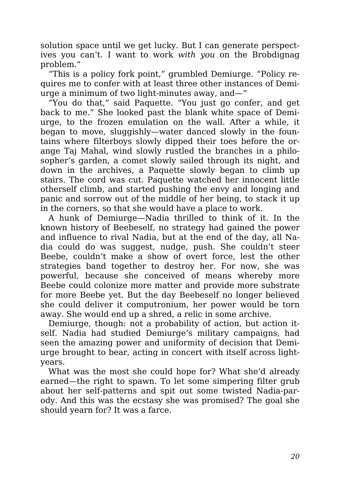solution space until we get lucky. But I can generate perspectives you can't. I want to work *with you* on the Brobdignag problem."

"This is a policy fork point," grumbled Demiurge. "Policy requires me to confer with at least three other instances of Demiurge a minimum of two light-minutes away, and—"

"You do that," said Paquette. "You just go confer, and get back to me." She looked past the blank white space of Demiurge, to the frozen emulation on the wall. After a while, it began to move, sluggishly—water danced slowly in the fountains where filterboys slowly dipped their toes before the orange Taj Mahal, wind slowly rustled the branches in a philosopher's garden, a comet slowly sailed through its night, and down in the archives, a Paquette slowly began to climb up stairs. The cord was cut. Paquette watched her innocent little otherself climb, and started pushing the envy and longing and panic and sorrow out of the middle of her being, to stack it up in the corners, so that she would have a place to work.

A hunk of Demiurge—Nadia thrilled to think of it. In the known history of Beebeself, no strategy had gained the power and influence to rival Nadia, but at the end of the day, all Nadia could do was suggest, nudge, push. She couldn't steer Beebe, couldn't make a show of overt force, lest the other strategies band together to destroy her. For now, she was powerful, because she conceived of means whereby more Beebe could colonize more matter and provide more substrate for more Beebe yet. But the day Beebeself no longer believed she could deliver it computronium, her power would be torn away. She would end up a shred, a relic in some archive.

Demiurge, though: not a probability of action, but action itself. Nadia had studied Demiurge's military campaigns, had seen the amazing power and uniformity of decision that Demiurge brought to bear, acting in concert with itself across lightyears.

What was the most she could hope for? What she'd already earned—the right to spawn. To let some simpering filter grub about her self-patterns and spit out some twisted Nadia-parody. And this was the ecstasy she was promised? The goal she should yearn for? It was a farce.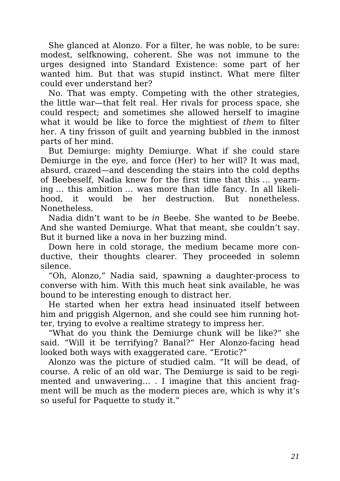She glanced at Alonzo. For a filter, he was noble, to be sure: modest, selfknowing, coherent. She was not immune to the urges designed into Standard Existence: some part of her wanted him. But that was stupid instinct. What mere filter could ever understand her?

No. That was empty. Competing with the other strategies, the little war—that felt real. Her rivals for process space, she could respect; and sometimes she allowed herself to imagine what it would be like to force the mightiest of *them* to filter her. A tiny frisson of guilt and yearning bubbled in the inmost parts of her mind.

But Demiurge: mighty Demiurge. What if she could stare Demiurge in the eye, and force (Her) to her will? It was mad, absurd, crazed—and descending the stairs into the cold depths of Beebeself, Nadia knew for the first time that this … yearning … this ambition … was more than idle fancy. In all likelihood, it would be her destruction. But nonetheless. Nonetheless.

Nadia didn't want to be *in* Beebe. She wanted to *be* Beebe. And she wanted Demiurge. What that meant, she couldn't say. But it burned like a nova in her buzzing mind.

Down here in cold storage, the medium became more conductive, their thoughts clearer. They proceeded in solemn silence.

"Oh, Alonzo," Nadia said, spawning a daughter-process to converse with him. With this much heat sink available, he was bound to be interesting enough to distract her.

He started when her extra head insinuated itself between him and priggish Algernon, and she could see him running hotter, trying to evolve a realtime strategy to impress her.

"What do you think the Demiurge chunk will be like?" she said. "Will it be terrifying? Banal?" Her Alonzo-facing head looked both ways with exaggerated care. "Erotic?"

Alonzo was the picture of studied calm. "It will be dead, of course. A relic of an old war. The Demiurge is said to be regimented and unwavering… . I imagine that this ancient fragment will be much as the modern pieces are, which is why it's so useful for Paquette to study it."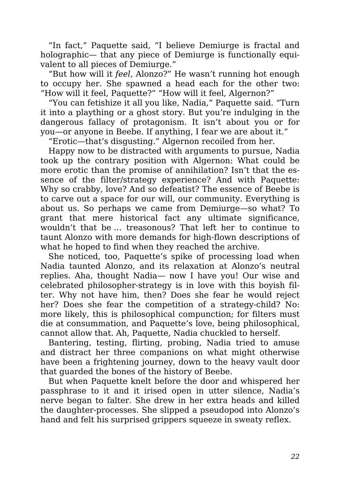"In fact," Paquette said, "I believe Demiurge is fractal and holographic— that any piece of Demiurge is functionally equivalent to all pieces of Demiurge."

"But how will it *feel*, Alonzo?" He wasn't running hot enough to occupy her. She spawned a head each for the other two: "How will it feel, Paquette?" "How will it feel, Algernon?"

"You can fetishize it all you like, Nadia," Paquette said. "Turn it into a plaything or a ghost story. But you're indulging in the dangerous fallacy of protagonism. It isn't about you or for you—or anyone in Beebe. If anything, I fear we are about it."

"Erotic—that's disgusting." Algernon recoiled from her.

Happy now to be distracted with arguments to pursue, Nadia took up the contrary position with Algernon: What could be more erotic than the promise of annihilation? Isn't that the essence of the filter/strategy experience? And with Paquette: Why so crabby, love? And so defeatist? The essence of Beebe is to carve out a space for our will, our community. Everything is about us. So perhaps we came from Demiurge—so what? To grant that mere historical fact any ultimate significance, wouldn't that be … treasonous? That left her to continue to taunt Alonzo with more demands for high-flown descriptions of what he hoped to find when they reached the archive.

She noticed, too, Paquette's spike of processing load when Nadia taunted Alonzo, and its relaxation at Alonzo's neutral replies. Aha, thought Nadia— now I have you! Our wise and celebrated philosopher-strategy is in love with this boyish filter. Why not have him, then? Does she fear he would reject her? Does she fear the competition of a strategy-child? No: more likely, this is philosophical compunction; for filters must die at consummation, and Paquette's love, being philosophical, cannot allow that. Ah, Paquette, Nadia chuckled to herself.

Bantering, testing, flirting, probing, Nadia tried to amuse and distract her three companions on what might otherwise have been a frightening journey, down to the heavy vault door that guarded the bones of the history of Beebe.

But when Paquette knelt before the door and whispered her passphrase to it and it irised open in utter silence, Nadia's nerve began to falter. She drew in her extra heads and killed the daughter-processes. She slipped a pseudopod into Alonzo's hand and felt his surprised grippers squeeze in sweaty reflex.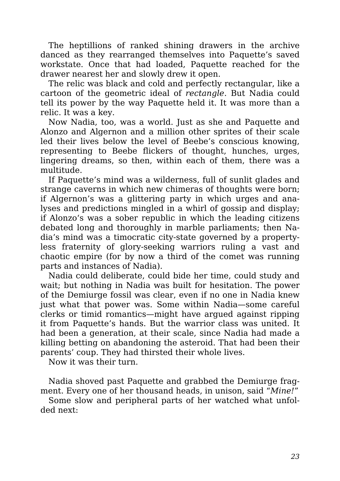The heptillions of ranked shining drawers in the archive danced as they rearranged themselves into Paquette's saved workstate. Once that had loaded, Paquette reached for the drawer nearest her and slowly drew it open.

The relic was black and cold and perfectly rectangular, like a cartoon of the geometric ideal of *rectangle*. But Nadia could tell its power by the way Paquette held it. It was more than a relic. It was a key.

Now Nadia, too, was a world. Just as she and Paquette and Alonzo and Algernon and a million other sprites of their scale led their lives below the level of Beebe's conscious knowing, representing to Beebe flickers of thought, hunches, urges, lingering dreams, so then, within each of them, there was a multitude.

If Paquette's mind was a wilderness, full of sunlit glades and strange caverns in which new chimeras of thoughts were born; if Algernon's was a glittering party in which urges and analyses and predictions mingled in a whirl of gossip and display; if Alonzo's was a sober republic in which the leading citizens debated long and thoroughly in marble parliaments; then Nadia's mind was a timocratic city-state governed by a propertyless fraternity of glory-seeking warriors ruling a vast and chaotic empire (for by now a third of the comet was running parts and instances of Nadia).

Nadia could deliberate, could bide her time, could study and wait; but nothing in Nadia was built for hesitation. The power of the Demiurge fossil was clear, even if no one in Nadia knew just what that power was. Some within Nadia—some careful clerks or timid romantics—might have argued against ripping it from Paquette's hands. But the warrior class was united. It had been a generation, at their scale, since Nadia had made a killing betting on abandoning the asteroid. That had been their parents' coup. They had thirsted their whole lives.

Now it was their turn.

Nadia shoved past Paquette and grabbed the Demiurge fragment. Every one of her thousand heads, in unison, said "*Mine!*"

Some slow and peripheral parts of her watched what unfolded next: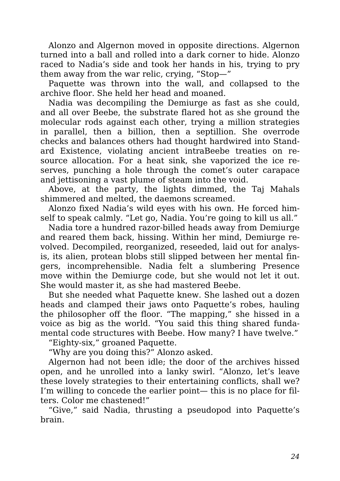Alonzo and Algernon moved in opposite directions. Algernon turned into a ball and rolled into a dark corner to hide. Alonzo raced to Nadia's side and took her hands in his, trying to pry them away from the war relic, crying, "Stop—"

Paquette was thrown into the wall, and collapsed to the archive floor. She held her head and moaned.

Nadia was decompiling the Demiurge as fast as she could, and all over Beebe, the substrate flared hot as she ground the molecular rods against each other, trying a million strategies in parallel, then a billion, then a septillion. She overrode checks and balances others had thought hardwired into Standard Existence, violating ancient intraBeebe treaties on resource allocation. For a heat sink, she vaporized the ice reserves, punching a hole through the comet's outer carapace and jettisoning a vast plume of steam into the void.

Above, at the party, the lights dimmed, the Taj Mahals shimmered and melted, the daemons screamed.

Alonzo fixed Nadia's wild eyes with his own. He forced himself to speak calmly. "Let go, Nadia. You're going to kill us all."

Nadia tore a hundred razor-billed heads away from Demiurge and reared them back, hissing. Within her mind, Demiurge revolved. Decompiled, reorganized, reseeded, laid out for analysis, its alien, protean blobs still slipped between her mental fingers, incomprehensible. Nadia felt a slumbering Presence move within the Demiurge code, but she would not let it out. She would master it, as she had mastered Beebe.

But she needed what Paquette knew. She lashed out a dozen heads and clamped their jaws onto Paquette's robes, hauling the philosopher off the floor. "The mapping," she hissed in a voice as big as the world. "You said this thing shared fundamental code structures with Beebe. How many? I have twelve."

"Eighty-six," groaned Paquette.

"Why are you doing this?" Alonzo asked.

Algernon had not been idle; the door of the archives hissed open, and he unrolled into a lanky swirl. "Alonzo, let's leave these lovely strategies to their entertaining conflicts, shall we? I'm willing to concede the earlier point— this is no place for filters. Color me chastened!"

"Give," said Nadia, thrusting a pseudopod into Paquette's brain.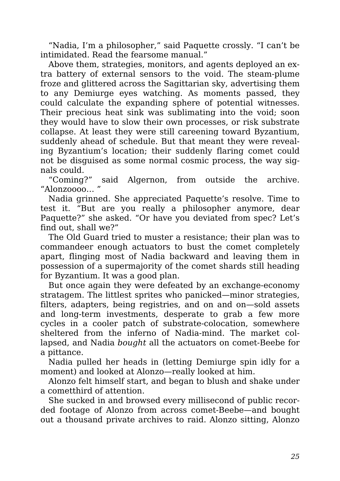"Nadia, I'm a philosopher," said Paquette crossly. "I can't be intimidated. Read the fearsome manual."

Above them, strategies, monitors, and agents deployed an extra battery of external sensors to the void. The steam-plume froze and glittered across the Sagittarian sky, advertising them to any Demiurge eyes watching. As moments passed, they could calculate the expanding sphere of potential witnesses. Their precious heat sink was sublimating into the void; soon they would have to slow their own processes, or risk substrate collapse. At least they were still careening toward Byzantium, suddenly ahead of schedule. But that meant they were revealing Byzantium's location; their suddenly flaring comet could not be disguised as some normal cosmic process, the way signals could.

"Coming?" said Algernon, from outside the archive. "Alonzoooo… "

Nadia grinned. She appreciated Paquette's resolve. Time to test it. "But are you really a philosopher anymore, dear Paquette?" she asked. "Or have you deviated from spec? Let's find out, shall we?"

The Old Guard tried to muster a resistance; their plan was to commandeer enough actuators to bust the comet completely apart, flinging most of Nadia backward and leaving them in possession of a supermajority of the comet shards still heading for Byzantium. It was a good plan.

But once again they were defeated by an exchange-economy stratagem. The littlest sprites who panicked—minor strategies, filters, adapters, being registries, and on and on—sold assets and long-term investments, desperate to grab a few more cycles in a cooler patch of substrate-colocation, somewhere sheltered from the inferno of Nadia-mind. The market collapsed, and Nadia *bought* all the actuators on comet-Beebe for a pittance.

Nadia pulled her heads in (letting Demiurge spin idly for a moment) and looked at Alonzo—really looked at him.

Alonzo felt himself start, and began to blush and shake under a cometthird of attention.

She sucked in and browsed every millisecond of public recorded footage of Alonzo from across comet-Beebe—and bought out a thousand private archives to raid. Alonzo sitting, Alonzo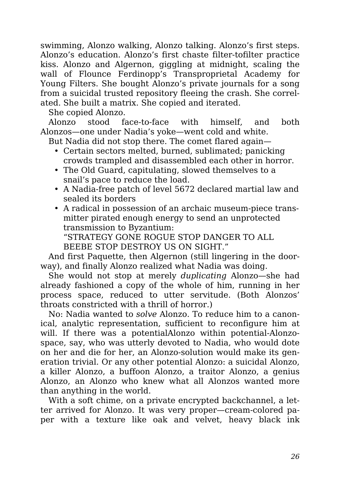swimming, Alonzo walking, Alonzo talking. Alonzo's first steps. Alonzo's education. Alonzo's first chaste filter-tofilter practice kiss. Alonzo and Algernon, giggling at midnight, scaling the wall of Flounce Ferdinopp's Transproprietal Academy for Young Filters. She bought Alonzo's private journals for a song from a suicidal trusted repository fleeing the crash. She correlated. She built a matrix. She copied and iterated.

She copied Alonzo.

Alonzo stood face-to-face with himself, and both Alonzos—one under Nadia's yoke—went cold and white.

But Nadia did not stop there. The comet flared again—

- Certain sectors melted, burned, sublimated; panicking crowds trampled and disassembled each other in horror.
- The Old Guard, capitulating, slowed themselves to a snail's pace to reduce the load.
- A Nadia-free patch of level 5672 declared martial law and sealed its borders
- A radical in possession of an archaic museum-piece transmitter pirated enough energy to send an unprotected transmission to Byzantium:

"STRATEGY GONE ROGUE STOP DANGER TO ALL BEEBE STOP DESTROY US ON SIGHT."

And first Paquette, then Algernon (still lingering in the doorway), and finally Alonzo realized what Nadia was doing.

She would not stop at merely *duplicating* Alonzo—she had already fashioned a copy of the whole of him, running in her process space, reduced to utter servitude. (Both Alonzos' throats constricted with a thrill of horror.)

No: Nadia wanted to *solve* Alonzo. To reduce him to a canonical, analytic representation, sufficient to reconfigure him at will. If there was a potentialAlonzo within potential-Alonzospace, say, who was utterly devoted to Nadia, who would dote on her and die for her, an Alonzo-solution would make its generation trivial. Or any other potential Alonzo: a suicidal Alonzo, a killer Alonzo, a buffoon Alonzo, a traitor Alonzo, a genius Alonzo, an Alonzo who knew what all Alonzos wanted more than anything in the world.

With a soft chime, on a private encrypted backchannel, a letter arrived for Alonzo. It was very proper—cream-colored paper with a texture like oak and velvet, heavy black ink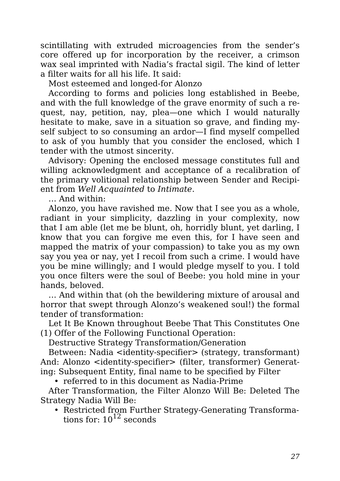scintillating with extruded microagencies from the sender's core offered up for incorporation by the receiver, a crimson wax seal imprinted with Nadia's fractal sigil. The kind of letter a filter waits for all his life. It said:

Most esteemed and longed-for Alonzo

According to forms and policies long established in Beebe, and with the full knowledge of the grave enormity of such a request, nay, petition, nay, plea—one which I would naturally hesitate to make, save in a situation so grave, and finding myself subject to so consuming an ardor—I find myself compelled to ask of you humbly that you consider the enclosed, which I tender with the utmost sincerity.

Advisory: Opening the enclosed message constitutes full and willing acknowledgment and acceptance of a recalibration of the primary volitional relationship between Sender and Recipient from *Well Acquainted* to *Intimate*.

… And within:

Alonzo, you have ravished me. Now that I see you as a whole, radiant in your simplicity, dazzling in your complexity, now that I am able (let me be blunt, oh, horridly blunt, yet darling, I know that you can forgive me even this, for I have seen and mapped the matrix of your compassion) to take you as my own say you yea or nay, yet I recoil from such a crime. I would have you be mine willingly; and I would pledge myself to you. I told you once filters were the soul of Beebe: you hold mine in your hands, beloved.

… And within that (oh the bewildering mixture of arousal and horror that swept through Alonzo's weakened soul!) the formal tender of transformation:

Let It Be Known throughout Beebe That This Constitutes One (1) Offer of the Following Functional Operation:

Destructive Strategy Transformation/Generation

Between: Nadia <identity-specifier> (strategy, transformant) And: Alonzo <identity-specifier> (filter, transformer) Generating: Subsequent Entity, final name to be specified by Filter

• referred to in this document as Nadia-Prime

After Transformation, the Filter Alonzo Will Be: Deleted The Strategy Nadia Will Be:

• Restricted from Further Strategy-Generating Transformations for:  $10^{12}$  seconds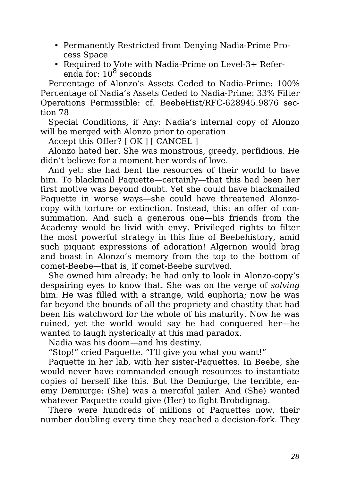- Permanently Restricted from Denying Nadia-Prime Process Space
- Required to Vote with Nadia-Prime on Level-3+ Referenda for: 10<sup>8</sup> seconds

Percentage of Alonzo's Assets Ceded to Nadia-Prime: 100% Percentage of Nadia's Assets Ceded to Nadia-Prime: 33% Filter Operations Permissible: cf. BeebeHist/RFC-628945.9876 section 78

Special Conditions, if Any: Nadia's internal copy of Alonzo will be merged with Alonzo prior to operation

Accept this Offer? [ OK ] [ CANCEL ]

Alonzo hated her. She was monstrous, greedy, perfidious. He didn't believe for a moment her words of love.

And yet: she had bent the resources of their world to have him. To blackmail Paquette—certainly—that this had been her first motive was beyond doubt. Yet she could have blackmailed Paquette in worse ways—she could have threatened Alonzocopy with torture or extinction. Instead, this: an offer of consummation. And such a generous one—his friends from the Academy would be livid with envy. Privileged rights to filter the most powerful strategy in this line of Beebehistory, amid such piquant expressions of adoration! Algernon would brag and boast in Alonzo's memory from the top to the bottom of comet-Beebe—that is, if comet-Beebe survived.

She owned him already: he had only to look in Alonzo-copy's despairing eyes to know that. She was on the verge of *solving* him. He was filled with a strange, wild euphoria; now he was far beyond the bounds of all the propriety and chastity that had been his watchword for the whole of his maturity. Now he was ruined, yet the world would say he had conquered her—he wanted to laugh hysterically at this mad paradox.

Nadia was his doom—and his destiny.

"Stop!" cried Paquette. "I'll give you what you want!"

Paquette in her lab, with her sister-Paquettes. In Beebe, she would never have commanded enough resources to instantiate copies of herself like this. But the Demiurge, the terrible, enemy Demiurge: (She) was a merciful jailer. And (She) wanted whatever Paquette could give (Her) to fight Brobdignag.

There were hundreds of millions of Paquettes now, their number doubling every time they reached a decision-fork. They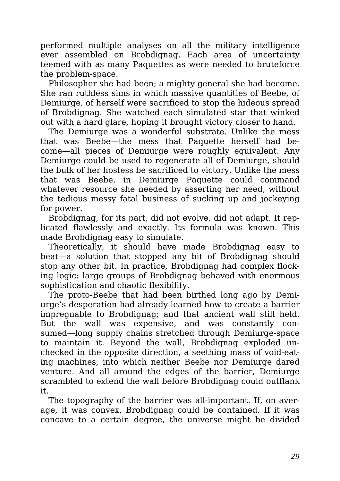performed multiple analyses on all the military intelligence ever assembled on Brobdignag. Each area of uncertainty teemed with as many Paquettes as were needed to bruteforce the problem-space.

Philosopher she had been; a mighty general she had become. She ran ruthless sims in which massive quantities of Beebe, of Demiurge, of herself were sacrificed to stop the hideous spread of Brobdignag. She watched each simulated star that winked out with a hard glare, hoping it brought victory closer to hand.

The Demiurge was a wonderful substrate. Unlike the mess that was Beebe—the mess that Paquette herself had become—all pieces of Demiurge were roughly equivalent. Any Demiurge could be used to regenerate all of Demiurge, should the bulk of her hostess be sacrificed to victory. Unlike the mess that was Beebe, in Demiurge Paquette could command whatever resource she needed by asserting her need, without the tedious messy fatal business of sucking up and jockeying for power.

Brobdignag, for its part, did not evolve, did not adapt. It replicated flawlessly and exactly. Its formula was known. This made Brobdignag easy to simulate.

Theoretically, it should have made Brobdignag easy to beat—a solution that stopped any bit of Brobdignag should stop any other bit. In practice, Brobdignag had complex flocking logic: large groups of Brobdignag behaved with enormous sophistication and chaotic flexibility.

The proto-Beebe that had been birthed long ago by Demiurge's desperation had already learned how to create a barrier impregnable to Brobdignag; and that ancient wall still held. But the wall was expensive, and was constantly consumed—long supply chains stretched through Demiurge-space to maintain it. Beyond the wall, Brobdignag exploded unchecked in the opposite direction, a seething mass of void-eating machines, into which neither Beebe nor Demiurge dared venture. And all around the edges of the barrier, Demiurge scrambled to extend the wall before Brobdignag could outflank it.

The topography of the barrier was all-important. If, on average, it was convex, Brobdignag could be contained. If it was concave to a certain degree, the universe might be divided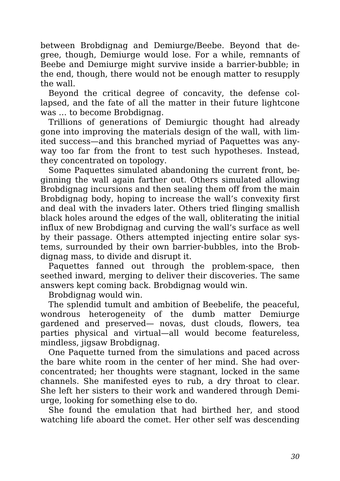between Brobdignag and Demiurge/Beebe. Beyond that degree, though, Demiurge would lose. For a while, remnants of Beebe and Demiurge might survive inside a barrier-bubble; in the end, though, there would not be enough matter to resupply the wall.

Beyond the critical degree of concavity, the defense collapsed, and the fate of all the matter in their future lightcone was … to become Brobdignag.

Trillions of generations of Demiurgic thought had already gone into improving the materials design of the wall, with limited success—and this branched myriad of Paquettes was anyway too far from the front to test such hypotheses. Instead, they concentrated on topology.

Some Paquettes simulated abandoning the current front, beginning the wall again farther out. Others simulated allowing Brobdignag incursions and then sealing them off from the main Brobdignag body, hoping to increase the wall's convexity first and deal with the invaders later. Others tried flinging smallish black holes around the edges of the wall, obliterating the initial influx of new Brobdignag and curving the wall's surface as well by their passage. Others attempted injecting entire solar systems, surrounded by their own barrier-bubbles, into the Brobdignag mass, to divide and disrupt it.

Paquettes fanned out through the problem-space, then seethed inward, merging to deliver their discoveries. The same answers kept coming back. Brobdignag would win.

Brobdignag would win.

The splendid tumult and ambition of Beebelife, the peaceful, wondrous heterogeneity of the dumb matter Demiurge gardened and preserved— novas, dust clouds, flowers, tea parties physical and virtual—all would become featureless, mindless, jigsaw Brobdignag.

One Paquette turned from the simulations and paced across the bare white room in the center of her mind. She had overconcentrated; her thoughts were stagnant, locked in the same channels. She manifested eyes to rub, a dry throat to clear. She left her sisters to their work and wandered through Demiurge, looking for something else to do.

She found the emulation that had birthed her, and stood watching life aboard the comet. Her other self was descending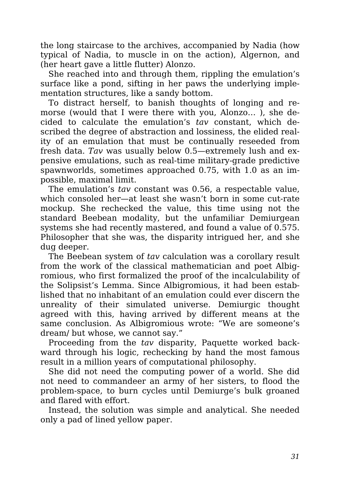the long staircase to the archives, accompanied by Nadia (how typical of Nadia, to muscle in on the action), Algernon, and (her heart gave a little flutter) Alonzo.

She reached into and through them, rippling the emulation's surface like a pond, sifting in her paws the underlying implementation structures, like a sandy bottom.

To distract herself, to banish thoughts of longing and remorse (would that I were there with you, Alonzo… ), she decided to calculate the emulation's *tav* constant, which described the degree of abstraction and lossiness, the elided reality of an emulation that must be continually reseeded from fresh data. *Tav* was usually below 0.5—extremely lush and expensive emulations, such as real-time military-grade predictive spawnworlds, sometimes approached 0.75, with 1.0 as an impossible, maximal limit.

The emulation's *tav* constant was 0.56, a respectable value, which consoled her—at least she wasn't born in some cut-rate mockup. She rechecked the value, this time using not the standard Beebean modality, but the unfamiliar Demiurgean systems she had recently mastered, and found a value of 0.575. Philosopher that she was, the disparity intrigued her, and she dug deeper.

The Beebean system of *tav* calculation was a corollary result from the work of the classical mathematician and poet Albigromious, who first formalized the proof of the incalculability of the Solipsist's Lemma. Since Albigromious, it had been established that no inhabitant of an emulation could ever discern the unreality of their simulated universe. Demiurgic thought agreed with this, having arrived by different means at the same conclusion. As Albigromious wrote: "We are someone's dream/ but whose, we cannot say."

Proceeding from the *tav* disparity, Paquette worked backward through his logic, rechecking by hand the most famous result in a million years of computational philosophy.

She did not need the computing power of a world. She did not need to commandeer an army of her sisters, to flood the problem-space, to burn cycles until Demiurge's bulk groaned and flared with effort.

Instead, the solution was simple and analytical. She needed only a pad of lined yellow paper.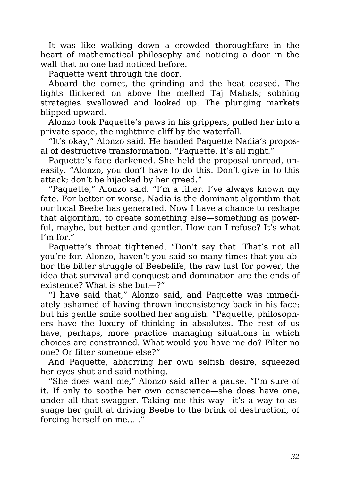It was like walking down a crowded thoroughfare in the heart of mathematical philosophy and noticing a door in the wall that no one had noticed before.

Paquette went through the door.

Aboard the comet, the grinding and the heat ceased. The lights flickered on above the melted Taj Mahals; sobbing strategies swallowed and looked up. The plunging markets blipped upward.

Alonzo took Paquette's paws in his grippers, pulled her into a private space, the nighttime cliff by the waterfall.

"It's okay," Alonzo said. He handed Paquette Nadia's proposal of destructive transformation. "Paquette. It's all right."

Paquette's face darkened. She held the proposal unread, uneasily. "Alonzo, you don't have to do this. Don't give in to this attack; don't be hijacked by her greed."

"Paquette," Alonzo said. "I'm a filter. I've always known my fate. For better or worse, Nadia is the dominant algorithm that our local Beebe has generated. Now I have a chance to reshape that algorithm, to create something else—something as powerful, maybe, but better and gentler. How can I refuse? It's what I'm for "

Paquette's throat tightened. "Don't say that. That's not all you're for. Alonzo, haven't you said so many times that you abhor the bitter struggle of Beebelife, the raw lust for power, the idea that survival and conquest and domination are the ends of existence? What is she but—?"

"I have said that," Alonzo said, and Paquette was immediately ashamed of having thrown inconsistency back in his face; but his gentle smile soothed her anguish. "Paquette, philosophers have the luxury of thinking in absolutes. The rest of us have, perhaps, more practice managing situations in which choices are constrained. What would you have me do? Filter no one? Or filter someone else?"

And Paquette, abhorring her own selfish desire, squeezed her eyes shut and said nothing.

"She does want me," Alonzo said after a pause. "I'm sure of it. If only to soothe her own conscience—she does have one, under all that swagger. Taking me this way—it's a way to assuage her guilt at driving Beebe to the brink of destruction, of forcing herself on me… ."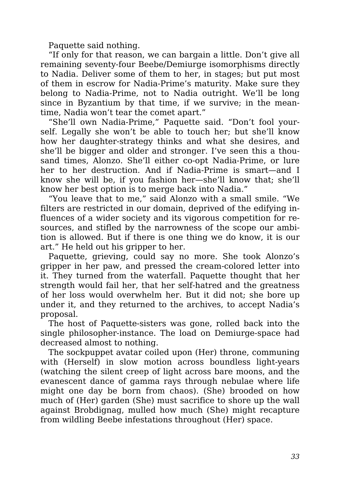Paquette said nothing.

"If only for that reason, we can bargain a little. Don't give all remaining seventy-four Beebe/Demiurge isomorphisms directly to Nadia. Deliver some of them to her, in stages; but put most of them in escrow for Nadia-Prime's maturity. Make sure they belong to Nadia-Prime, not to Nadia outright. We'll be long since in Byzantium by that time, if we survive; in the meantime, Nadia won't tear the comet apart."

"She'll own Nadia-Prime," Paquette said. "Don't fool yourself. Legally she won't be able to touch her; but she'll know how her daughter-strategy thinks and what she desires, and she'll be bigger and older and stronger. I've seen this a thousand times, Alonzo. She'll either co-opt Nadia-Prime, or lure her to her destruction. And if Nadia-Prime is smart—and I know she will be, if you fashion her—she'll know that; she'll know her best option is to merge back into Nadia."

"You leave that to me," said Alonzo with a small smile. "We filters are restricted in our domain, deprived of the edifying influences of a wider society and its vigorous competition for resources, and stifled by the narrowness of the scope our ambition is allowed. But if there is one thing we do know, it is our art." He held out his gripper to her.

Paquette, grieving, could say no more. She took Alonzo's gripper in her paw, and pressed the cream-colored letter into it. They turned from the waterfall. Paquette thought that her strength would fail her, that her self-hatred and the greatness of her loss would overwhelm her. But it did not; she bore up under it, and they returned to the archives, to accept Nadia's proposal.

The host of Paquette-sisters was gone, rolled back into the single philosopher-instance. The load on Demiurge-space had decreased almost to nothing.

The sockpuppet avatar coiled upon (Her) throne, communing with (Herself) in slow motion across boundless light-years (watching the silent creep of light across bare moons, and the evanescent dance of gamma rays through nebulae where life might one day be born from chaos). (She) brooded on how much of (Her) garden (She) must sacrifice to shore up the wall against Brobdignag, mulled how much (She) might recapture from wildling Beebe infestations throughout (Her) space.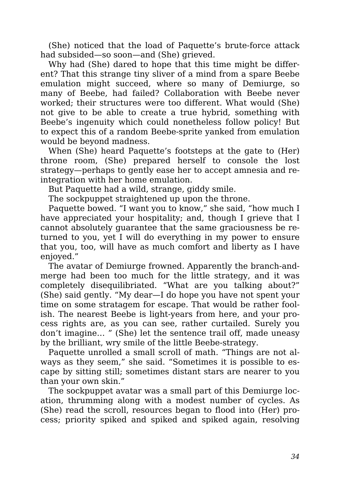(She) noticed that the load of Paquette's brute-force attack had subsided—so soon—and (She) grieved.

Why had (She) dared to hope that this time might be different? That this strange tiny sliver of a mind from a spare Beebe emulation might succeed, where so many of Demiurge, so many of Beebe, had failed? Collaboration with Beebe never worked; their structures were too different. What would (She) not give to be able to create a true hybrid, something with Beebe's ingenuity which could nonetheless follow policy! But to expect this of a random Beebe-sprite yanked from emulation would be beyond madness.

When (She) heard Paquette's footsteps at the gate to (Her) throne room, (She) prepared herself to console the lost strategy—perhaps to gently ease her to accept amnesia and reintegration with her home emulation.

But Paquette had a wild, strange, giddy smile.

The sockpuppet straightened up upon the throne.

Paquette bowed. "I want you to know," she said, "how much I have appreciated your hospitality; and, though I grieve that I cannot absolutely guarantee that the same graciousness be returned to you, yet I will do everything in my power to ensure that you, too, will have as much comfort and liberty as I have enjoved."

The avatar of Demiurge frowned. Apparently the branch-andmerge had been too much for the little strategy, and it was completely disequilibriated. "What are you talking about?" (She) said gently. "My dear—I do hope you have not spent your time on some stratagem for escape. That would be rather foolish. The nearest Beebe is light-years from here, and your process rights are, as you can see, rather curtailed. Surely you don't imagine… " (She) let the sentence trail off, made uneasy by the brilliant, wry smile of the little Beebe-strategy.

Paquette unrolled a small scroll of math. "Things are not always as they seem," she said. "Sometimes it is possible to escape by sitting still; sometimes distant stars are nearer to you than your own skin."

The sockpuppet avatar was a small part of this Demiurge location, thrumming along with a modest number of cycles. As (She) read the scroll, resources began to flood into (Her) process; priority spiked and spiked and spiked again, resolving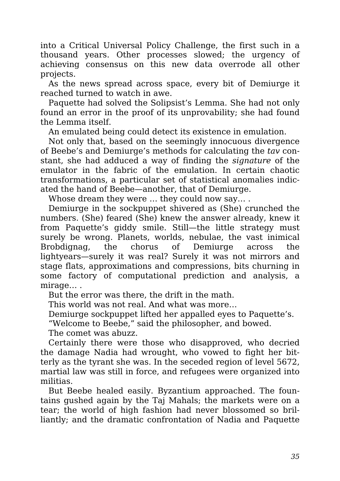into a Critical Universal Policy Challenge, the first such in a thousand years. Other processes slowed; the urgency of achieving consensus on this new data overrode all other projects.

As the news spread across space, every bit of Demiurge it reached turned to watch in awe.

Paquette had solved the Solipsist's Lemma. She had not only found an error in the proof of its unprovability; she had found the Lemma itself.

An emulated being could detect its existence in emulation.

Not only that, based on the seemingly innocuous divergence of Beebe's and Demiurge's methods for calculating the *tav* constant, she had adduced a way of finding the *signature* of the emulator in the fabric of the emulation. In certain chaotic transformations, a particular set of statistical anomalies indicated the hand of Beebe—another, that of Demiurge.

Whose dream they were … they could now say… .

Demiurge in the sockpuppet shivered as (She) crunched the numbers. (She) feared (She) knew the answer already, knew it from Paquette's giddy smile. Still—the little strategy must surely be wrong. Planets, worlds, nebulae, the vast inimical Brobdignag, the chorus of Demiurge across the lightyears—surely it was real? Surely it was not mirrors and stage flats, approximations and compressions, bits churning in some factory of computational prediction and analysis, a mirage...

But the error was there, the drift in the math.

This world was not real. And what was more…

Demiurge sockpuppet lifted her appalled eyes to Paquette's.

"Welcome to Beebe," said the philosopher, and bowed.

The comet was abuzz.

Certainly there were those who disapproved, who decried the damage Nadia had wrought, who vowed to fight her bitterly as the tyrant she was. In the seceded region of level 5672, martial law was still in force, and refugees were organized into militias.

But Beebe healed easily. Byzantium approached. The fountains gushed again by the Taj Mahals; the markets were on a tear; the world of high fashion had never blossomed so brilliantly; and the dramatic confrontation of Nadia and Paquette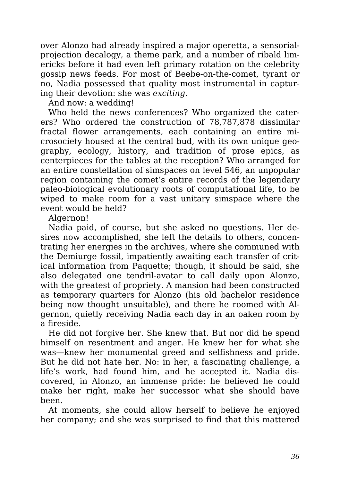over Alonzo had already inspired a major operetta, a sensorialprojection decalogy, a theme park, and a number of ribald limericks before it had even left primary rotation on the celebrity gossip news feeds. For most of Beebe-on-the-comet, tyrant or no, Nadia possessed that quality most instrumental in capturing their devotion: she was *exciting*.

And now: a wedding!

Who held the news conferences? Who organized the caterers? Who ordered the construction of 78,787,878 dissimilar fractal flower arrangements, each containing an entire microsociety housed at the central bud, with its own unique geography, ecology, history, and tradition of prose epics, as centerpieces for the tables at the reception? Who arranged for an entire constellation of simspaces on level 546, an unpopular region containing the comet's entire records of the legendary paleo-biological evolutionary roots of computational life, to be wiped to make room for a vast unitary simspace where the event would be held?

Algernon!

Nadia paid, of course, but she asked no questions. Her desires now accomplished, she left the details to others, concentrating her energies in the archives, where she communed with the Demiurge fossil, impatiently awaiting each transfer of critical information from Paquette; though, it should be said, she also delegated one tendril-avatar to call daily upon Alonzo, with the greatest of propriety. A mansion had been constructed as temporary quarters for Alonzo (his old bachelor residence being now thought unsuitable), and there he roomed with Algernon, quietly receiving Nadia each day in an oaken room by a fireside.

He did not forgive her. She knew that. But nor did he spend himself on resentment and anger. He knew her for what she was—knew her monumental greed and selfishness and pride. But he did not hate her. No: in her, a fascinating challenge, a life's work, had found him, and he accepted it. Nadia discovered, in Alonzo, an immense pride: he believed he could make her right, make her successor what she should have been.

At moments, she could allow herself to believe he enjoyed her company; and she was surprised to find that this mattered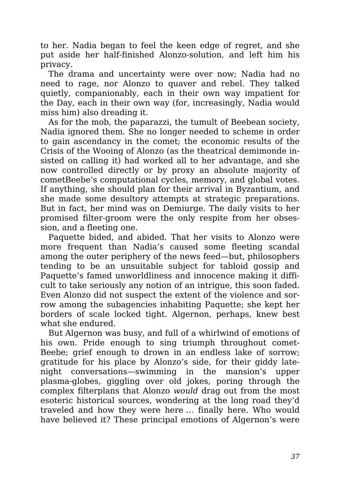to her. Nadia began to feel the keen edge of regret, and she put aside her half-finished Alonzo-solution, and left him his privacy.

The drama and uncertainty were over now; Nadia had no need to rage, nor Alonzo to quaver and rebel. They talked quietly, companionably, each in their own way impatient for the Day, each in their own way (for, increasingly, Nadia would miss him) also dreading it.

As for the mob, the paparazzi, the tumult of Beebean society, Nadia ignored them. She no longer needed to scheme in order to gain ascendancy in the comet; the economic results of the Crisis of the Wooing of Alonzo (as the theatrical demimonde insisted on calling it) had worked all to her advantage, and she now controlled directly or by proxy an absolute majority of cometBeebe's computational cycles, memory, and global votes. If anything, she should plan for their arrival in Byzantium, and she made some desultory attempts at strategic preparations. But in fact, her mind was on Demiurge. The daily visits to her promised filter-groom were the only respite from her obsession, and a fleeting one.

Paquette bided, and abided. That her visits to Alonzo were more frequent than Nadia's caused some fleeting scandal among the outer periphery of the news feed—but, philosophers tending to be an unsuitable subject for tabloid gossip and Paquette's famed unworldliness and innocence making it difficult to take seriously any notion of an intrigue, this soon faded. Even Alonzo did not suspect the extent of the violence and sorrow among the subagencies inhabiting Paquette; she kept her borders of scale locked tight. Algernon, perhaps, knew best what she endured.

But Algernon was busy, and full of a whirlwind of emotions of his own. Pride enough to sing triumph throughout comet-Beebe; grief enough to drown in an endless lake of sorrow; gratitude for his place by Alonzo's side, for their giddy latenight conversations—swimming in the mansion's upper plasma-globes, giggling over old jokes, poring through the complex filterplans that Alonzo *would* drag out from the most esoteric historical sources, wondering at the long road they'd traveled and how they were here … finally here. Who would have believed it? These principal emotions of Algernon's were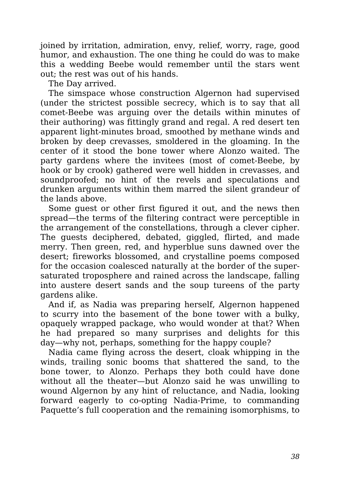joined by irritation, admiration, envy, relief, worry, rage, good humor, and exhaustion. The one thing he could do was to make this a wedding Beebe would remember until the stars went out; the rest was out of his hands.

The Day arrived.

The simspace whose construction Algernon had supervised (under the strictest possible secrecy, which is to say that all comet-Beebe was arguing over the details within minutes of their authoring) was fittingly grand and regal. A red desert ten apparent light-minutes broad, smoothed by methane winds and broken by deep crevasses, smoldered in the gloaming. In the center of it stood the bone tower where Alonzo waited. The party gardens where the invitees (most of comet-Beebe, by hook or by crook) gathered were well hidden in crevasses, and soundproofed; no hint of the revels and speculations and drunken arguments within them marred the silent grandeur of the lands above.

Some guest or other first figured it out, and the news then spread—the terms of the filtering contract were perceptible in the arrangement of the constellations, through a clever cipher. The guests deciphered, debated, giggled, flirted, and made merry. Then green, red, and hyperblue suns dawned over the desert; fireworks blossomed, and crystalline poems composed for the occasion coalesced naturally at the border of the supersaturated troposphere and rained across the landscape, falling into austere desert sands and the soup tureens of the party gardens alike.

And if, as Nadia was preparing herself, Algernon happened to scurry into the basement of the bone tower with a bulky, opaquely wrapped package, who would wonder at that? When he had prepared so many surprises and delights for this day—why not, perhaps, something for the happy couple?

Nadia came flying across the desert, cloak whipping in the winds, trailing sonic booms that shattered the sand, to the bone tower, to Alonzo. Perhaps they both could have done without all the theater—but Alonzo said he was unwilling to wound Algernon by any hint of reluctance, and Nadia, looking forward eagerly to co-opting Nadia-Prime, to commanding Paquette's full cooperation and the remaining isomorphisms, to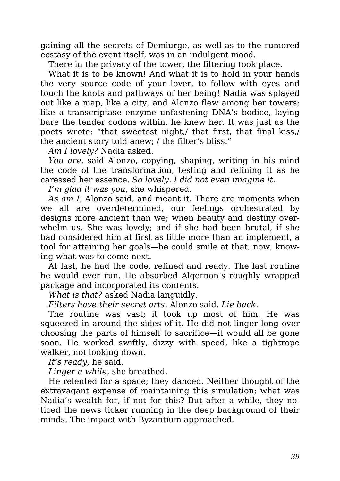gaining all the secrets of Demiurge, as well as to the rumored ecstasy of the event itself, was in an indulgent mood.

There in the privacy of the tower, the filtering took place.

What it is to be known! And what it is to hold in your hands the very source code of your lover, to follow with eyes and touch the knots and pathways of her being! Nadia was splayed out like a map, like a city, and Alonzo flew among her towers; like a transcriptase enzyme unfastening DNA's bodice, laying bare the tender codons within, he knew her. It was just as the poets wrote: "that sweetest night,/ that first, that final kiss,/ the ancient story told anew; / the filter's bliss."

*Am I lovely?* Nadia asked.

*You are*, said Alonzo, copying, shaping, writing in his mind the code of the transformation, testing and refining it as he caressed her essence. *So lovely. I did not even imagine it.*

*I'm glad it was you*, she whispered.

*As am I*, Alonzo said, and meant it. There are moments when we all are overdetermined, our feelings orchestrated by designs more ancient than we; when beauty and destiny overwhelm us. She was lovely; and if she had been brutal, if she had considered him at first as little more than an implement, a tool for attaining her goals—he could smile at that, now, knowing what was to come next.

At last, he had the code, refined and ready. The last routine he would ever run. He absorbed Algernon's roughly wrapped package and incorporated its contents.

*What is that?* asked Nadia languidly.

*Filters have their secret arts*, Alonzo said. *Lie back.*

The routine was vast; it took up most of him. He was squeezed in around the sides of it. He did not linger long over choosing the parts of himself to sacrifice—it would all be gone soon. He worked swiftly, dizzy with speed, like a tightrope walker, not looking down.

*It's ready*, he said.

*Linger a while*, she breathed.

He relented for a space; they danced. Neither thought of the extravagant expense of maintaining this simulation; what was Nadia's wealth for, if not for this? But after a while, they noticed the news ticker running in the deep background of their minds. The impact with Byzantium approached.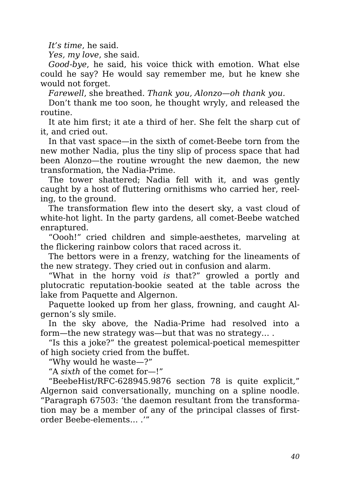*It's time*, he said.

*Yes, my love*, she said.

*Good-bye*, he said, his voice thick with emotion. What else could he say? He would say remember me, but he knew she would not forget.

*Farewell*, she breathed. *Thank you, Alonzo—oh thank you.*

Don't thank me too soon, he thought wryly, and released the routine.

It ate him first; it ate a third of her. She felt the sharp cut of it, and cried out.

In that vast space—in the sixth of comet-Beebe torn from the new mother Nadia, plus the tiny slip of process space that had been Alonzo—the routine wrought the new daemon, the new transformation, the Nadia-Prime.

The tower shattered; Nadia fell with it, and was gently caught by a host of fluttering ornithisms who carried her, reeling, to the ground.

The transformation flew into the desert sky, a vast cloud of white-hot light. In the party gardens, all comet-Beebe watched enraptured.

"Oooh!" cried children and simple-aesthetes, marveling at the flickering rainbow colors that raced across it.

The bettors were in a frenzy, watching for the lineaments of the new strategy. They cried out in confusion and alarm.

"What in the horny void *is* that?" growled a portly and plutocratic reputation-bookie seated at the table across the lake from Paquette and Algernon.

Paquette looked up from her glass, frowning, and caught Algernon's sly smile.

In the sky above, the Nadia-Prime had resolved into a form—the new strategy was—but that was no strategy… .

"Is this a joke?" the greatest polemical-poetical memespitter of high society cried from the buffet.

"Why would he waste—?"

"A *sixth* of the comet for—!"

"BeebeHist/RFC-628945.9876 section 78 is quite explicit," Algernon said conversationally, munching on a spline noodle. "Paragraph 67503: 'the daemon resultant from the transformation may be a member of any of the principal classes of firstorder Beebe-elements… .'"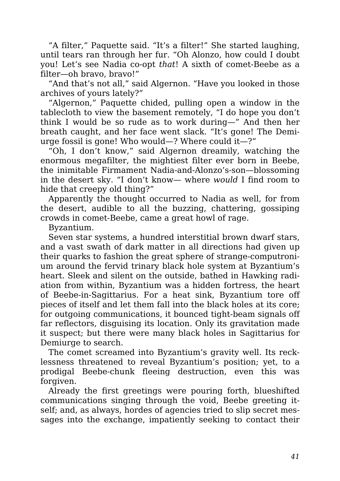"A filter," Paquette said. "It's a filter!" She started laughing, until tears ran through her fur. "Oh Alonzo, how could I doubt you! Let's see Nadia co-opt *that*! A sixth of comet-Beebe as a filter—oh bravo, bravo!"

"And that's not all," said Algernon. "Have you looked in those archives of yours lately?"

"Algernon," Paquette chided, pulling open a window in the tablecloth to view the basement remotely, "I do hope you don't think I would be so rude as to work during—" And then her breath caught, and her face went slack. "It's gone! The Demiurge fossil is gone! Who would—? Where could it—?"

"Oh, I don't know," said Algernon dreamily, watching the enormous megafilter, the mightiest filter ever born in Beebe, the inimitable Firmament Nadia-and-Alonzo's-son—blossoming in the desert sky. "I don't know— where *would* I find room to hide that creepy old thing?"

Apparently the thought occurred to Nadia as well, for from the desert, audible to all the buzzing, chattering, gossiping crowds in comet-Beebe, came a great howl of rage.

Byzantium.

Seven star systems, a hundred interstitial brown dwarf stars, and a vast swath of dark matter in all directions had given up their quarks to fashion the great sphere of strange-computronium around the fervid trinary black hole system at Byzantium's heart. Sleek and silent on the outside, bathed in Hawking radiation from within, Byzantium was a hidden fortress, the heart of Beebe-in-Sagittarius. For a heat sink, Byzantium tore off pieces of itself and let them fall into the black holes at its core; for outgoing communications, it bounced tight-beam signals off far reflectors, disguising its location. Only its gravitation made it suspect; but there were many black holes in Sagittarius for Demiurge to search.

The comet screamed into Byzantium's gravity well. Its recklessness threatened to reveal Byzantium's position; yet, to a prodigal Beebe-chunk fleeing destruction, even this was forgiven.

Already the first greetings were pouring forth, blueshifted communications singing through the void, Beebe greeting itself; and, as always, hordes of agencies tried to slip secret messages into the exchange, impatiently seeking to contact their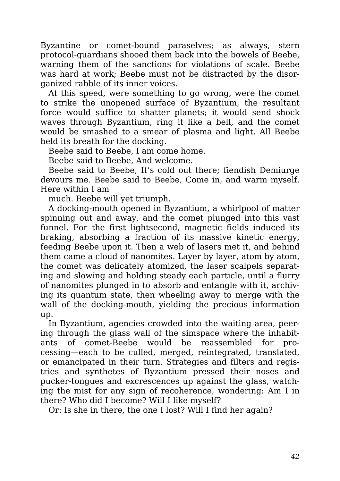Byzantine or comet-bound paraselves; as always, stern protocol-guardians shooed them back into the bowels of Beebe, warning them of the sanctions for violations of scale. Beebe was hard at work; Beebe must not be distracted by the disorganized rabble of its inner voices.

At this speed, were something to go wrong, were the comet to strike the unopened surface of Byzantium, the resultant force would suffice to shatter planets; it would send shock waves through Byzantium, ring it like a bell, and the comet would be smashed to a smear of plasma and light. All Beebe held its breath for the docking.

Beebe said to Beebe, I am come home.

Beebe said to Beebe, And welcome.

Beebe said to Beebe, It's cold out there; fiendish Demiurge devours me. Beebe said to Beebe, Come in, and warm myself. Here within I am

much. Beebe will yet triumph.

A docking-mouth opened in Byzantium, a whirlpool of matter spinning out and away, and the comet plunged into this vast funnel. For the first lightsecond, magnetic fields induced its braking, absorbing a fraction of its massive kinetic energy, feeding Beebe upon it. Then a web of lasers met it, and behind them came a cloud of nanomites. Layer by layer, atom by atom, the comet was delicately atomized, the laser scalpels separating and slowing and holding steady each particle, until a flurry of nanomites plunged in to absorb and entangle with it, archiving its quantum state, then wheeling away to merge with the wall of the docking-mouth, yielding the precious information up.

In Byzantium, agencies crowded into the waiting area, peering through the glass wall of the simspace where the inhabitants of comet-Beebe would be reassembled for processing—each to be culled, merged, reintegrated, translated, or emancipated in their turn. Strategies and filters and registries and synthetes of Byzantium pressed their noses and pucker-tongues and excrescences up against the glass, watching the mist for any sign of recoherence, wondering: Am I in there? Who did I become? Will I like myself?

Or: Is she in there, the one I lost? Will I find her again?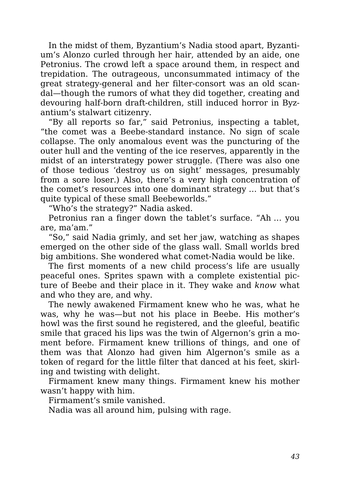In the midst of them, Byzantium's Nadia stood apart, Byzantium's Alonzo curled through her hair, attended by an aide, one Petronius. The crowd left a space around them, in respect and trepidation. The outrageous, unconsummated intimacy of the great strategy-general and her filter-consort was an old scandal—though the rumors of what they did together, creating and devouring half-born draft-children, still induced horror in Byzantium's stalwart citizenry.

"By all reports so far," said Petronius, inspecting a tablet, "the comet was a Beebe-standard instance. No sign of scale collapse. The only anomalous event was the puncturing of the outer hull and the venting of the ice reserves, apparently in the midst of an interstrategy power struggle. (There was also one of those tedious 'destroy us on sight' messages, presumably from a sore loser.) Also, there's a very high concentration of the comet's resources into one dominant strategy … but that's quite typical of these small Beebeworlds."

"Who's the strategy?" Nadia asked.

Petronius ran a finger down the tablet's surface. "Ah … you are, ma'am."

"So," said Nadia grimly, and set her jaw, watching as shapes emerged on the other side of the glass wall. Small worlds bred big ambitions. She wondered what comet-Nadia would be like.

The first moments of a new child process's life are usually peaceful ones. Sprites spawn with a complete existential picture of Beebe and their place in it. They wake and *know* what and who they are, and why.

The newly awakened Firmament knew who he was, what he was, why he was—but not his place in Beebe. His mother's howl was the first sound he registered, and the gleeful, beatific smile that graced his lips was the twin of Algernon's grin a moment before. Firmament knew trillions of things, and one of them was that Alonzo had given him Algernon's smile as a token of regard for the little filter that danced at his feet, skirling and twisting with delight.

Firmament knew many things. Firmament knew his mother wasn't happy with him.

Firmament's smile vanished.

Nadia was all around him, pulsing with rage.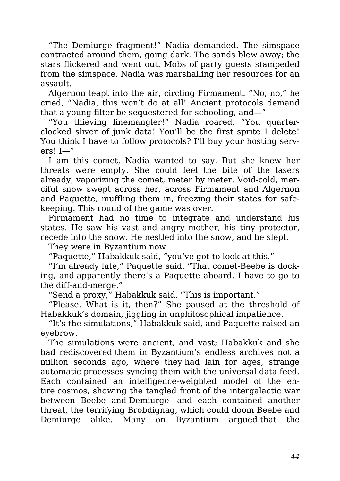"The Demiurge fragment!" Nadia demanded. The simspace contracted around them, going dark. The sands blew away; the stars flickered and went out. Mobs of party guests stampeded from the simspace. Nadia was marshalling her resources for an assault.

Algernon leapt into the air, circling Firmament. "No, no," he cried, "Nadia, this won't do at all! Ancient protocols demand that a young filter be sequestered for schooling, and—"

"You thieving linemangler!" Nadia roared. "You quarterclocked sliver of junk data! You'll be the first sprite I delete! You think I have to follow protocols? I'll buy your hosting servers! I—"

I am this comet, Nadia wanted to say. But she knew her threats were empty. She could feel the bite of the lasers already, vaporizing the comet, meter by meter. Void-cold, merciful snow swept across her, across Firmament and Algernon and Paquette, muffling them in, freezing their states for safekeeping. This round of the game was over.

Firmament had no time to integrate and understand his states. He saw his vast and angry mother, his tiny protector, recede into the snow. He nestled into the snow, and he slept.

They were in Byzantium now.

"Paquette," Habakkuk said, "you've got to look at this."

"I'm already late," Paquette said. "That comet-Beebe is docking, and apparently there's a Paquette aboard. I have to go to the diff-and-merge."

"Send a proxy," Habakkuk said. "This is important."

"Please. What is it, then?" She paused at the threshold of Habakkuk's domain, jiggling in unphilosophical impatience.

"It's the simulations," Habakkuk said, and Paquette raised an eyebrow.

The simulations were ancient, and vast; Habakkuk and she had rediscovered them in Byzantium's endless archives not a million seconds ago, where they had lain for ages, strange automatic processes syncing them with the universal data feed. Each contained an intelligence-weighted model of the entire cosmos, showing the tangled front of the intergalactic war between Beebe and Demiurge—and each contained another threat, the terrifying Brobdignag, which could doom Beebe and Demiurge alike. Many on Byzantium argued that the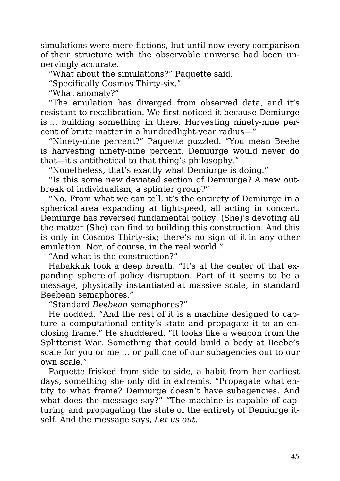simulations were mere fictions, but until now every comparison of their structure with the observable universe had been unnervingly accurate.

"What about the simulations?" Paquette said.

"Specifically Cosmos Thirty-six."

"What anomaly?"

"The emulation has diverged from observed data, and it's resistant to recalibration. We first noticed it because Demiurge is … building something in there. Harvesting ninety-nine percent of brute matter in a hundredlight-year radius—"

"Ninety-nine percent?" Paquette puzzled. "You mean Beebe is harvesting ninety-nine percent. Demiurge would never do that—it's antithetical to that thing's philosophy."

"Nonetheless, that's exactly what Demiurge is doing."

"Is this some new deviated section of Demiurge? A new outbreak of individualism, a splinter group?"

"No. From what we can tell, it's the entirety of Demiurge in a spherical area expanding at lightspeed, all acting in concert. Demiurge has reversed fundamental policy. (She)'s devoting all the matter (She) can find to building this construction. And this is only in Cosmos Thirty-six; there's no sign of it in any other emulation. Nor, of course, in the real world."

"And what is the construction?"

Habakkuk took a deep breath. "It's at the center of that expanding sphere of policy disruption. Part of it seems to be a message, physically instantiated at massive scale, in standard Beebean semaphores."

"Standard *Beebean* semaphores?"

He nodded. "And the rest of it is a machine designed to capture a computational entity's state and propagate it to an enclosing frame." He shuddered. "It looks like a weapon from the Splitterist War. Something that could build a body at Beebe's scale for you or me … or pull one of our subagencies out to our own scale."

Paquette frisked from side to side, a habit from her earliest days, something she only did in extremis. "Propagate what entity to what frame? Demiurge doesn't have subagencies. And what does the message say?" "The machine is capable of capturing and propagating the state of the entirety of Demiurge itself. And the message says, *Let us out.*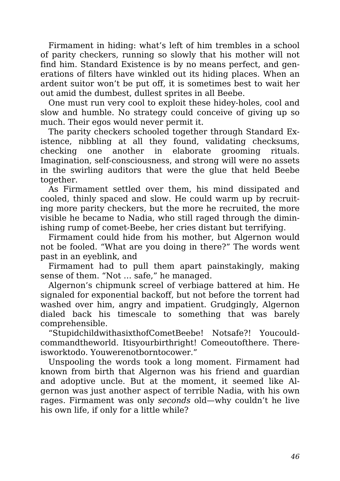Firmament in hiding: what's left of him trembles in a school of parity checkers, running so slowly that his mother will not find him. Standard Existence is by no means perfect, and generations of filters have winkled out its hiding places. When an ardent suitor won't be put off, it is sometimes best to wait her out amid the dumbest, dullest sprites in all Beebe.

One must run very cool to exploit these hidey-holes, cool and slow and humble. No strategy could conceive of giving up so much. Their egos would never permit it.

The parity checkers schooled together through Standard Existence, nibbling at all they found, validating checksums, checking one another in elaborate grooming rituals. Imagination, self-consciousness, and strong will were no assets in the swirling auditors that were the glue that held Beebe together.

As Firmament settled over them, his mind dissipated and cooled, thinly spaced and slow. He could warm up by recruiting more parity checkers, but the more he recruited, the more visible he became to Nadia, who still raged through the diminishing rump of comet-Beebe, her cries distant but terrifying.

Firmament could hide from his mother, but Algernon would not be fooled. "What are you doing in there?" The words went past in an eyeblink, and

Firmament had to pull them apart painstakingly, making sense of them. "Not ... safe," he managed.

Algernon's chipmunk screel of verbiage battered at him. He signaled for exponential backoff, but not before the torrent had washed over him, angry and impatient. Grudgingly, Algernon dialed back his timescale to something that was barely comprehensible.

"StupidchildwithasixthofCometBeebe! Notsafe?! Youcouldcommandtheworld. Itisyourbirthright! Comeoutofthere. Thereisworktodo. Youwerenotborntocower."

Unspooling the words took a long moment. Firmament had known from birth that Algernon was his friend and guardian and adoptive uncle. But at the moment, it seemed like Algernon was just another aspect of terrible Nadia, with his own rages. Firmament was only *seconds* old—why couldn't he live his own life, if only for a little while?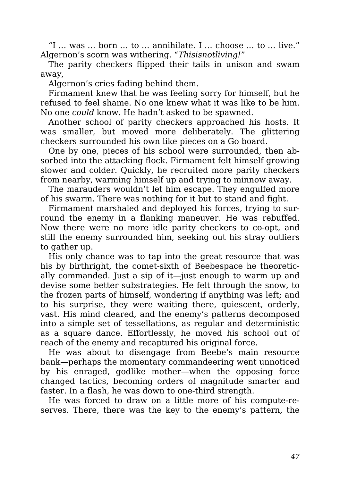"I … was … born … to … annihilate. I … choose … to … live." Algernon's scorn was withering. "*Thisisnotliving!*"

The parity checkers flipped their tails in unison and swam away,

Algernon's cries fading behind them.

Firmament knew that he was feeling sorry for himself, but he refused to feel shame. No one knew what it was like to be him. No one *could* know. He hadn't asked to be spawned.

Another school of parity checkers approached his hosts. It was smaller, but moved more deliberately. The glittering checkers surrounded his own like pieces on a Go board.

One by one, pieces of his school were surrounded, then absorbed into the attacking flock. Firmament felt himself growing slower and colder. Quickly, he recruited more parity checkers from nearby, warming himself up and trying to minnow away.

The marauders wouldn't let him escape. They engulfed more of his swarm. There was nothing for it but to stand and fight.

Firmament marshaled and deployed his forces, trying to surround the enemy in a flanking maneuver. He was rebuffed. Now there were no more idle parity checkers to co-opt, and still the enemy surrounded him, seeking out his stray outliers to gather up.

His only chance was to tap into the great resource that was his by birthright, the comet-sixth of Beebespace he theoretically commanded. Just a sip of it—just enough to warm up and devise some better substrategies. He felt through the snow, to the frozen parts of himself, wondering if anything was left; and to his surprise, they were waiting there, quiescent, orderly, vast. His mind cleared, and the enemy's patterns decomposed into a simple set of tessellations, as regular and deterministic as a square dance. Effortlessly, he moved his school out of reach of the enemy and recaptured his original force.

He was about to disengage from Beebe's main resource bank—perhaps the momentary commandeering went unnoticed by his enraged, godlike mother—when the opposing force changed tactics, becoming orders of magnitude smarter and faster. In a flash, he was down to one-third strength.

He was forced to draw on a little more of his compute-reserves. There, there was the key to the enemy's pattern, the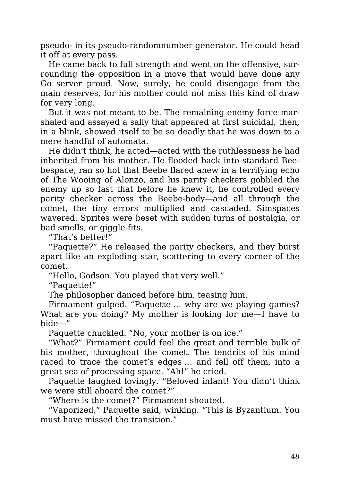pseudo- in its pseudo-randomnumber generator. He could head it off at every pass.

He came back to full strength and went on the offensive, surrounding the opposition in a move that would have done any Go server proud. Now, surely, he could disengage from the main reserves, for his mother could not miss this kind of draw for very long.

But it was not meant to be. The remaining enemy force marshaled and assayed a sally that appeared at first suicidal, then, in a blink, showed itself to be so deadly that he was down to a mere handful of automata.

He didn't think, he acted—acted with the ruthlessness he had inherited from his mother. He flooded back into standard Beebespace, ran so hot that Beebe flared anew in a terrifying echo of The Wooing of Alonzo, and his parity checkers gobbled the enemy up so fast that before he knew it, he controlled every parity checker across the Beebe-body—and all through the comet, the tiny errors multiplied and cascaded. Simspaces wavered. Sprites were beset with sudden turns of nostalgia, or bad smells, or giggle-fits.

"That's better!"

"Paquette?" He released the parity checkers, and they burst apart like an exploding star, scattering to every corner of the comet.

"Hello, Godson. You played that very well."

"Paquette!"

The philosopher danced before him, teasing him.

Firmament gulped. "Paquette … why are we playing games? What are you doing? My mother is looking for me—I have to hide—"

Paquette chuckled. "No, your mother is on ice."

"What?" Firmament could feel the great and terrible bulk of his mother, throughout the comet. The tendrils of his mind raced to trace the comet's edges … and fell off them, into a great sea of processing space. "Ah!" he cried.

Paquette laughed lovingly. "Beloved infant! You didn't think we were still aboard the comet?"

"Where is the comet?" Firmament shouted.

"Vaporized," Paquette said, winking. "This is Byzantium. You must have missed the transition."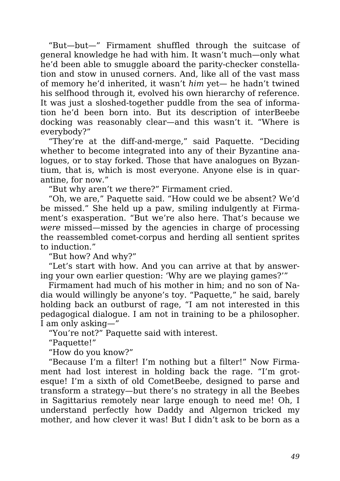"But—but—" Firmament shuffled through the suitcase of general knowledge he had with him. It wasn't much—only what he'd been able to smuggle aboard the parity-checker constellation and stow in unused corners. And, like all of the vast mass of memory he'd inherited, it wasn't *him* yet— he hadn't twined his selfhood through it, evolved his own hierarchy of reference. It was just a sloshed-together puddle from the sea of information he'd been born into. But its description of interBeebe docking was reasonably clear—and this wasn't it. "Where is everybody?"

"They're at the diff-and-merge," said Paquette. "Deciding whether to become integrated into any of their Byzantine analogues, or to stay forked. Those that have analogues on Byzantium, that is, which is most everyone. Anyone else is in quarantine, for now."

"But why aren't *we* there?" Firmament cried.

"Oh, we are," Paquette said. "How could we be absent? We'd be missed." She held up a paw, smiling indulgently at Firmament's exasperation. "But we're also here. That's because we *were* missed—missed by the agencies in charge of processing the reassembled comet-corpus and herding all sentient sprites to induction."

"But how? And why?"

"Let's start with how. And you can arrive at that by answering your own earlier question: 'Why are we playing games?'"

Firmament had much of his mother in him; and no son of Nadia would willingly be anyone's toy. "Paquette," he said, barely holding back an outburst of rage, "I am not interested in this pedagogical dialogue. I am not in training to be a philosopher. I am only asking—"

"You're not?" Paquette said with interest.

"Paquette!"

"How do you know?"

"Because I'm a filter! I'm nothing but a filter!" Now Firmament had lost interest in holding back the rage. "I'm grotesque! I'm a sixth of old CometBeebe, designed to parse and transform a strategy—but there's no strategy in all the Beebes in Sagittarius remotely near large enough to need me! Oh, I understand perfectly how Daddy and Algernon tricked my mother, and how clever it was! But I didn't ask to be born as a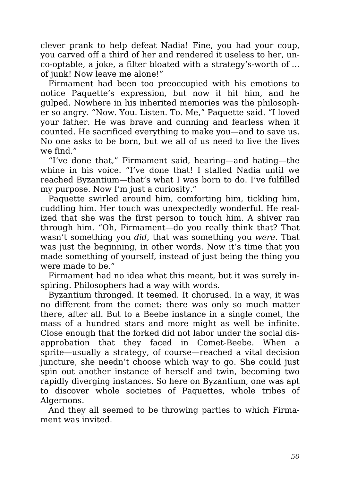clever prank to help defeat Nadia! Fine, you had your coup, you carved off a third of her and rendered it useless to her, unco-optable, a joke, a filter bloated with a strategy's-worth of … of junk! Now leave me alone!"

Firmament had been too preoccupied with his emotions to notice Paquette's expression, but now it hit him, and he gulped. Nowhere in his inherited memories was the philosopher so angry. "Now. You. Listen. To. Me," Paquette said. "I loved your father. He was brave and cunning and fearless when it counted. He sacrificed everything to make you—and to save us. No one asks to be born, but we all of us need to live the lives we find."

"I've done that," Firmament said, hearing—and hating—the whine in his voice. "I've done that! I stalled Nadia until we reached Byzantium—that's what I was born to do. I've fulfilled my purpose. Now I'm just a curiosity."

Paquette swirled around him, comforting him, tickling him, cuddling him. Her touch was unexpectedly wonderful. He realized that she was the first person to touch him. A shiver ran through him. "Oh, Firmament—do you really think that? That wasn't something you *did*, that was something you *were*. That was just the beginning, in other words. Now it's time that you made something of yourself, instead of just being the thing you were made to be."

Firmament had no idea what this meant, but it was surely inspiring. Philosophers had a way with words.

Byzantium thronged. It teemed. It chorused. In a way, it was no different from the comet: there was only so much matter there, after all. But to a Beebe instance in a single comet, the mass of a hundred stars and more might as well be infinite. Close enough that the forked did not labor under the social disapprobation that they faced in Comet-Beebe. When a sprite—usually a strategy, of course—reached a vital decision juncture, she needn't choose which way to go. She could just spin out another instance of herself and twin, becoming two rapidly diverging instances. So here on Byzantium, one was apt to discover whole societies of Paquettes, whole tribes of Algernons.

And they all seemed to be throwing parties to which Firmament was invited.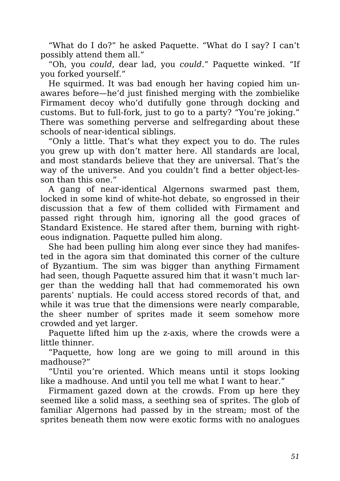"What do I do?" he asked Paquette. "What do I say? I can't possibly attend them all."

"Oh, you *could*, dear lad, you *could*." Paquette winked. "If you forked yourself."

He squirmed. It was bad enough her having copied him unawares before—he'd just finished merging with the zombielike Firmament decoy who'd dutifully gone through docking and customs. But to full-fork, just to go to a party? "You're joking." There was something perverse and selfregarding about these schools of near-identical siblings.

"Only a little. That's what they expect you to do. The rules you grew up with don't matter here. All standards are local, and most standards believe that they are universal. That's the way of the universe. And you couldn't find a better object-lesson than this one."

A gang of near-identical Algernons swarmed past them, locked in some kind of white-hot debate, so engrossed in their discussion that a few of them collided with Firmament and passed right through him, ignoring all the good graces of Standard Existence. He stared after them, burning with righteous indignation. Paquette pulled him along.

She had been pulling him along ever since they had manifested in the agora sim that dominated this corner of the culture of Byzantium. The sim was bigger than anything Firmament had seen, though Paquette assured him that it wasn't much larger than the wedding hall that had commemorated his own parents' nuptials. He could access stored records of that, and while it was true that the dimensions were nearly comparable, the sheer number of sprites made it seem somehow more crowded and yet larger.

Paquette lifted him up the z-axis, where the crowds were a little thinner.

"Paquette, how long are we going to mill around in this madhouse?"

"Until you're oriented. Which means until it stops looking like a madhouse. And until you tell me what I want to hear."

Firmament gazed down at the crowds. From up here they seemed like a solid mass, a seething sea of sprites. The glob of familiar Algernons had passed by in the stream; most of the sprites beneath them now were exotic forms with no analogues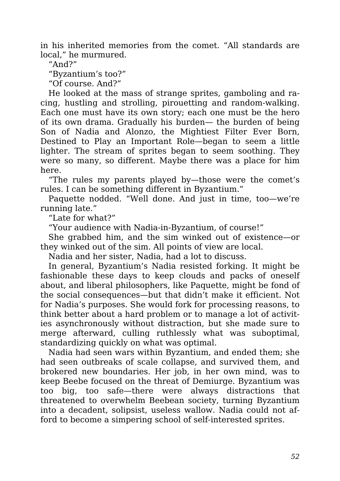in his inherited memories from the comet. "All standards are local," he murmured.

"And?"

"Byzantium's too?"

"Of course. And?"

He looked at the mass of strange sprites, gamboling and racing, hustling and strolling, pirouetting and random-walking. Each one must have its own story; each one must be the hero of its own drama. Gradually his burden— the burden of being Son of Nadia and Alonzo, the Mightiest Filter Ever Born, Destined to Play an Important Role—began to seem a little lighter. The stream of sprites began to seem soothing. They were so many, so different. Maybe there was a place for him here.

"The rules my parents played by—those were the comet's rules. I can be something different in Byzantium."

Paquette nodded. "Well done. And just in time, too—we're running late."

"Late for what?"

"Your audience with Nadia-in-Byzantium, of course!"

She grabbed him, and the sim winked out of existence—or they winked out of the sim. All points of view are local.

Nadia and her sister, Nadia, had a lot to discuss.

In general, Byzantium's Nadia resisted forking. It might be fashionable these days to keep clouds and packs of oneself about, and liberal philosophers, like Paquette, might be fond of the social consequences—but that didn't make it efficient. Not for Nadia's purposes. She would fork for processing reasons, to think better about a hard problem or to manage a lot of activities asynchronously without distraction, but she made sure to merge afterward, culling ruthlessly what was suboptimal, standardizing quickly on what was optimal.

Nadia had seen wars within Byzantium, and ended them; she had seen outbreaks of scale collapse, and survived them, and brokered new boundaries. Her job, in her own mind, was to keep Beebe focused on the threat of Demiurge. Byzantium was too big, too safe—there were always distractions that threatened to overwhelm Beebean society, turning Byzantium into a decadent, solipsist, useless wallow. Nadia could not afford to become a simpering school of self-interested sprites.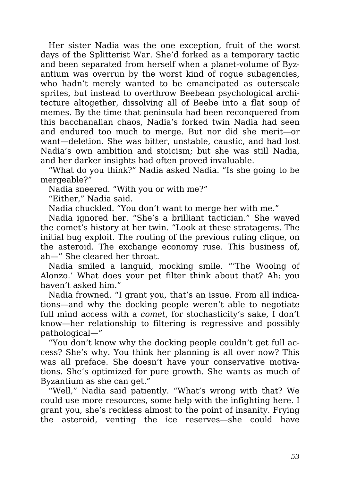Her sister Nadia was the one exception, fruit of the worst days of the Splitterist War. She'd forked as a temporary tactic and been separated from herself when a planet-volume of Byzantium was overrun by the worst kind of rogue subagencies, who hadn't merely wanted to be emancipated as outerscale sprites, but instead to overthrow Beebean psychological architecture altogether, dissolving all of Beebe into a flat soup of memes. By the time that peninsula had been reconquered from this bacchanalian chaos, Nadia's forked twin Nadia had seen and endured too much to merge. But nor did she merit—or want—deletion. She was bitter, unstable, caustic, and had lost Nadia's own ambition and stoicism; but she was still Nadia, and her darker insights had often proved invaluable.

"What do you think?" Nadia asked Nadia. "Is she going to be mergeable?"

Nadia sneered. "With you or with me?"

"Either," Nadia said.

Nadia chuckled. "You don't want to merge her with me."

Nadia ignored her. "She's a brilliant tactician." She waved the comet's history at her twin. "Look at these stratagems. The initial bug exploit. The routing of the previous ruling clique, on the asteroid. The exchange economy ruse. This business of, ah—" She cleared her throat.

Nadia smiled a languid, mocking smile. "'The Wooing of Alonzo.' What does your pet filter think about that? Ah: you haven't asked him."

Nadia frowned. "I grant you, that's an issue. From all indications—and why the docking people weren't able to negotiate full mind access with a *comet*, for stochasticity's sake, I don't know—her relationship to filtering is regressive and possibly pathological—"

"You don't know why the docking people couldn't get full access? She's why. You think her planning is all over now? This was all preface. She doesn't have your conservative motivations. She's optimized for pure growth. She wants as much of Byzantium as she can get."

"Well," Nadia said patiently. "What's wrong with that? We could use more resources, some help with the infighting here. I grant you, she's reckless almost to the point of insanity. Frying the asteroid, venting the ice reserves—she could have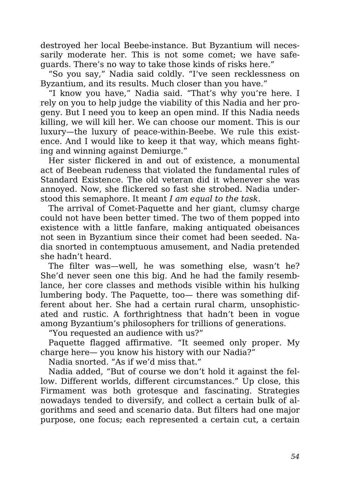destroyed her local Beebe-instance. But Byzantium will necessarily moderate her. This is not some comet; we have safeguards. There's no way to take those kinds of risks here."

"So you say," Nadia said coldly. "I've seen recklessness on Byzantium, and its results. Much closer than you have."

"I know you have," Nadia said. "That's why you're here. I rely on you to help judge the viability of this Nadia and her progeny. But I need you to keep an open mind. If this Nadia needs killing, we will kill her. We can choose our moment. This is our luxury—the luxury of peace-within-Beebe. We rule this existence. And I would like to keep it that way, which means fighting and winning against Demiurge."

Her sister flickered in and out of existence, a monumental act of Beebean rudeness that violated the fundamental rules of Standard Existence. The old veteran did it whenever she was annoyed. Now, she flickered so fast she strobed. Nadia understood this semaphore. It meant *I am equal to the task.*

The arrival of Comet-Paquette and her giant, clumsy charge could not have been better timed. The two of them popped into existence with a little fanfare, making antiquated obeisances not seen in Byzantium since their comet had been seeded. Nadia snorted in contemptuous amusement, and Nadia pretended she hadn't heard.

The filter was—well, he was something else, wasn't he? She'd never seen one this big. And he had the family resemblance, her core classes and methods visible within his hulking lumbering body. The Paquette, too— there was something different about her. She had a certain rural charm, unsophisticated and rustic. A forthrightness that hadn't been in vogue among Byzantium's philosophers for trillions of generations.

"You requested an audience with us?"

Paquette flagged affirmative. "It seemed only proper. My charge here— you know his history with our Nadia?"

Nadia snorted. "As if we'd miss that."

Nadia added, "But of course we don't hold it against the fellow. Different worlds, different circumstances." Up close, this Firmament was both grotesque and fascinating. Strategies nowadays tended to diversify, and collect a certain bulk of algorithms and seed and scenario data. But filters had one major purpose, one focus; each represented a certain cut, a certain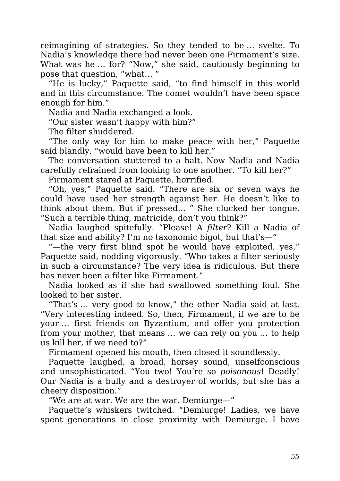reimagining of strategies. So they tended to be … svelte. To Nadia's knowledge there had never been one Firmament's size. What was he … for? "Now," she said, cautiously beginning to pose that question, "what… "

"He is lucky," Paquette said, "to find himself in this world and in this circumstance. The comet wouldn't have been space enough for him."

Nadia and Nadia exchanged a look.

"Our sister wasn't happy with him?"

The filter shuddered.

"The only way for him to make peace with her," Paquette said blandly, "would have been to kill her."

The conversation stuttered to a halt. Now Nadia and Nadia carefully refrained from looking to one another. "To kill her?"

Firmament stared at Paquette, horrified.

"Oh, yes," Paquette said. "There are six or seven ways he could have used her strength against her. He doesn't like to think about them. But if pressed… " She clucked her tongue. "Such a terrible thing, matricide, don't you think?"

Nadia laughed spitefully. "Please! A *filter*? Kill a Nadia of that size and ability? I'm no taxonomic bigot, but that's—"

"—the very first blind spot he would have exploited, yes," Paquette said, nodding vigorously. "Who takes a filter seriously in such a circumstance? The very idea is ridiculous. But there has never been a filter like Firmament."

Nadia looked as if she had swallowed something foul. She looked to her sister.

"That's … very good to know," the other Nadia said at last. "Very interesting indeed. So, then, Firmament, if we are to be your … first friends on Byzantium, and offer you protection from your mother, that means … we can rely on you … to help us kill her, if we need to?"

Firmament opened his mouth, then closed it soundlessly.

Paquette laughed, a broad, horsey sound, unselfconscious and unsophisticated. "You two! You're so *poisonous*! Deadly! Our Nadia is a bully and a destroyer of worlds, but she has a cheery disposition."

"We are at war. We are the war. Demiurge—"

Paquette's whiskers twitched. "Demiurge! Ladies, we have spent generations in close proximity with Demiurge. I have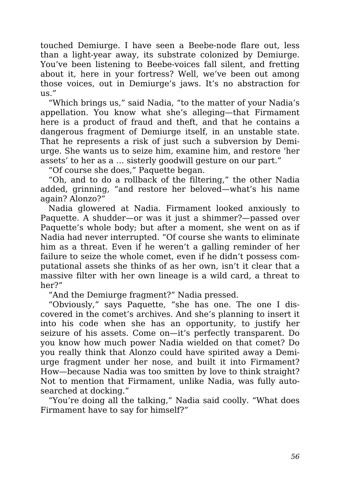touched Demiurge. I have seen a Beebe-node flare out, less than a light-year away, its substrate colonized by Demiurge. You've been listening to Beebe-voices fall silent, and fretting about it, here in your fortress? Well, we've been out among those voices, out in Demiurge's jaws. It's no abstraction for us."

"Which brings us," said Nadia, "to the matter of your Nadia's appellation. You know what she's alleging—that Firmament here is a product of fraud and theft, and that he contains a dangerous fragment of Demiurge itself, in an unstable state. That he represents a risk of just such a subversion by Demiurge. She wants us to seize him, examine him, and restore 'her assets' to her as a … sisterly goodwill gesture on our part."

"Of course she does," Paquette began.

"Oh, and to do a rollback of the filtering," the other Nadia added, grinning, "and restore her beloved—what's his name again? Alonzo?"

Nadia glowered at Nadia. Firmament looked anxiously to Paquette. A shudder—or was it just a shimmer?—passed over Paquette's whole body; but after a moment, she went on as if Nadia had never interrupted. "Of course she wants to eliminate him as a threat. Even if he weren't a galling reminder of her failure to seize the whole comet, even if he didn't possess computational assets she thinks of as her own, isn't it clear that a massive filter with her own lineage is a wild card, a threat to her?"

"And the Demiurge fragment?" Nadia pressed.

"Obviously," says Paquette, "she has one. The one I discovered in the comet's archives. And she's planning to insert it into his code when she has an opportunity, to justify her seizure of his assets. Come on—it's perfectly transparent. Do you know how much power Nadia wielded on that comet? Do you really think that Alonzo could have spirited away a Demiurge fragment under her nose, and built it into Firmament? How—because Nadia was too smitten by love to think straight? Not to mention that Firmament, unlike Nadia, was fully autosearched at docking."

"You're doing all the talking," Nadia said coolly. "What does Firmament have to say for himself?"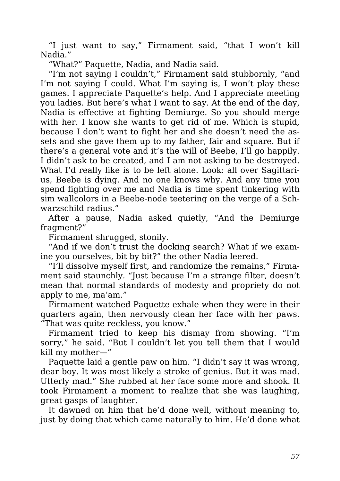"I just want to say," Firmament said, "that I won't kill Nadia."

"What?" Paquette, Nadia, and Nadia said.

"I'm not saying I couldn't," Firmament said stubbornly, "and I'm not saying I could. What I'm saying is, I won't play these games. I appreciate Paquette's help. And I appreciate meeting you ladies. But here's what I want to say. At the end of the day, Nadia is effective at fighting Demiurge. So you should merge with her. I know she wants to get rid of me. Which is stupid, because I don't want to fight her and she doesn't need the assets and she gave them up to my father, fair and square. But if there's a general vote and it's the will of Beebe, I'll go happily. I didn't ask to be created, and I am not asking to be destroyed. What I'd really like is to be left alone. Look: all over Sagittarius, Beebe is dying. And no one knows why. And any time you spend fighting over me and Nadia is time spent tinkering with sim wallcolors in a Beebe-node teetering on the verge of a Schwarzschild radius."

After a pause, Nadia asked quietly, "And the Demiurge fragment?"

Firmament shrugged, stonily.

"And if we don't trust the docking search? What if we examine you ourselves, bit by bit?" the other Nadia leered.

"I'll dissolve myself first, and randomize the remains," Firmament said staunchly. "Just because I'm a strange filter, doesn't mean that normal standards of modesty and propriety do not apply to me, ma'am."

Firmament watched Paquette exhale when they were in their quarters again, then nervously clean her face with her paws. "That was quite reckless, you know."

Firmament tried to keep his dismay from showing. "I'm sorry," he said. "But I couldn't let you tell them that I would kill my mother—"

Paquette laid a gentle paw on him. "I didn't say it was wrong, dear boy. It was most likely a stroke of genius. But it was mad. Utterly mad." She rubbed at her face some more and shook. It took Firmament a moment to realize that she was laughing, great gasps of laughter.

It dawned on him that he'd done well, without meaning to, just by doing that which came naturally to him. He'd done what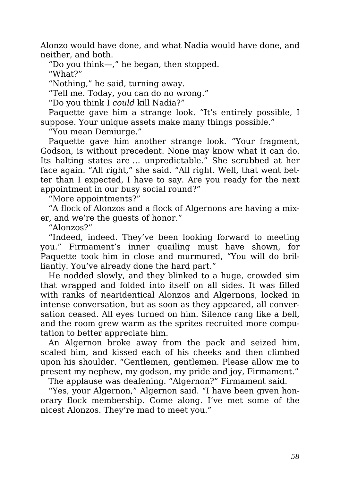Alonzo would have done, and what Nadia would have done, and neither, and both.

"Do you think—," he began, then stopped.

"What?"

"Nothing," he said, turning away.

"Tell me. Today, you can do no wrong."

"Do you think I *could* kill Nadia?"

Paquette gave him a strange look. "It's entirely possible, I suppose. Your unique assets make many things possible."

"You mean Demiurge."

Paquette gave him another strange look. "Your fragment, Godson, is without precedent. None may know what it can do. Its halting states are … unpredictable." She scrubbed at her face again. "All right," she said. "All right. Well, that went better than I expected, I have to say. Are you ready for the next appointment in our busy social round?"

"More appointments?"

"A flock of Alonzos and a flock of Algernons are having a mixer, and we're the guests of honor."

"Alonzos?"

"Indeed, indeed. They've been looking forward to meeting you." Firmament's inner quailing must have shown, for Paquette took him in close and murmured, "You will do brilliantly. You've already done the hard part."

He nodded slowly, and they blinked to a huge, crowded sim that wrapped and folded into itself on all sides. It was filled with ranks of nearidentical Alonzos and Algernons, locked in intense conversation, but as soon as they appeared, all conversation ceased. All eyes turned on him. Silence rang like a bell, and the room grew warm as the sprites recruited more computation to better appreciate him.

An Algernon broke away from the pack and seized him, scaled him, and kissed each of his cheeks and then climbed upon his shoulder. "Gentlemen, gentlemen. Please allow me to present my nephew, my godson, my pride and joy, Firmament."

The applause was deafening. "Algernon?" Firmament said.

"Yes, your Algernon," Algernon said. "I have been given honorary flock membership. Come along. I've met some of the nicest Alonzos. They're mad to meet you."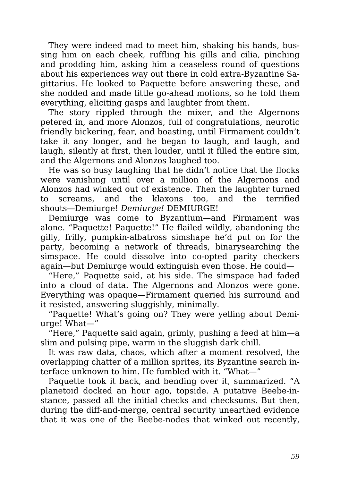They were indeed mad to meet him, shaking his hands, bussing him on each cheek, ruffling his gills and cilia, pinching and prodding him, asking him a ceaseless round of questions about his experiences way out there in cold extra-Byzantine Sagittarius. He looked to Paquette before answering these, and she nodded and made little go-ahead motions, so he told them everything, eliciting gasps and laughter from them.

The story rippled through the mixer, and the Algernons petered in, and more Alonzos, full of congratulations, neurotic friendly bickering, fear, and boasting, until Firmament couldn't take it any longer, and he began to laugh, and laugh, and laugh, silently at first, then louder, until it filled the entire sim, and the Algernons and Alonzos laughed too.

He was so busy laughing that he didn't notice that the flocks were vanishing until over a million of the Algernons and Alonzos had winked out of existence. Then the laughter turned to screams, and the klaxons too, and the terrified shouts—Demiurge! *Demiurge!* DEMIURGE!

Demiurge was come to Byzantium—and Firmament was alone. "Paquette! Paquette!" He flailed wildly, abandoning the gilly, frilly, pumpkin-albatross simshape he'd put on for the party, becoming a network of threads, binarysearching the simspace. He could dissolve into co-opted parity checkers again—but Demiurge would extinguish even those. He could—

"Here," Paquette said, at his side. The simspace had faded into a cloud of data. The Algernons and Alonzos were gone. Everything was opaque—Firmament queried his surround and it resisted, answering sluggishly, minimally.

"Paquette! What's going on? They were yelling about Demiurge! What—"

"Here," Paquette said again, grimly, pushing a feed at him—a slim and pulsing pipe, warm in the sluggish dark chill.

It was raw data, chaos, which after a moment resolved, the overlapping chatter of a million sprites, its Byzantine search interface unknown to him. He fumbled with it. "What—"

Paquette took it back, and bending over it, summarized. "A planetoid docked an hour ago, topside. A putative Beebe-instance, passed all the initial checks and checksums. But then, during the diff-and-merge, central security unearthed evidence that it was one of the Beebe-nodes that winked out recently,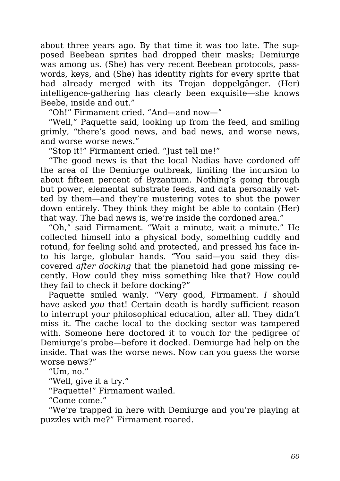about three years ago. By that time it was too late. The supposed Beebean sprites had dropped their masks; Demiurge was among us. (She) has very recent Beebean protocols, passwords, keys, and (She) has identity rights for every sprite that had already merged with its Trojan doppelgänger. (Her) intelligence-gathering has clearly been exquisite—she knows Beebe, inside and out."

"Oh!" Firmament cried. "And—and now—"

"Well," Paquette said, looking up from the feed, and smiling grimly, "there's good news, and bad news, and worse news, and worse worse news."

"Stop it!" Firmament cried. "Just tell me!"

"The good news is that the local Nadias have cordoned off the area of the Demiurge outbreak, limiting the incursion to about fifteen percent of Byzantium. Nothing's going through but power, elemental substrate feeds, and data personally vetted by them—and they're mustering votes to shut the power down entirely. They think they might be able to contain (Her) that way. The bad news is, we're inside the cordoned area."

"Oh," said Firmament. "Wait a minute, wait a minute." He collected himself into a physical body, something cuddly and rotund, for feeling solid and protected, and pressed his face into his large, globular hands. "You said—you said they discovered *after docking* that the planetoid had gone missing recently. How could they miss something like that? How could they fail to check it before docking?"

Paquette smiled wanly. "Very good, Firmament. *I* should have asked *you* that! Certain death is hardly sufficient reason to interrupt your philosophical education, after all. They didn't miss it. The cache local to the docking sector was tampered with. Someone here doctored it to vouch for the pedigree of Demiurge's probe—before it docked. Demiurge had help on the inside. That was the worse news. Now can you guess the worse worse news?"

"Um, no."

"Well, give it a try."

"Paquette!" Firmament wailed.

"Come come."

"We're trapped in here with Demiurge and you're playing at puzzles with me?" Firmament roared.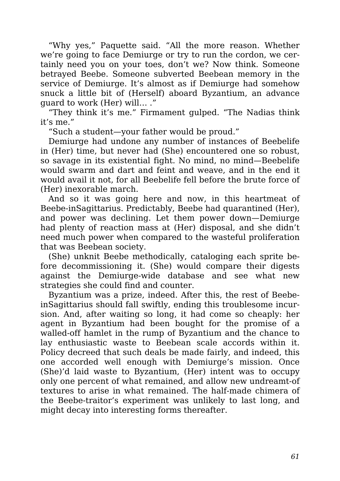"Why yes," Paquette said. "All the more reason. Whether we're going to face Demiurge or try to run the cordon, we certainly need you on your toes, don't we? Now think. Someone betrayed Beebe. Someone subverted Beebean memory in the service of Demiurge. It's almost as if Demiurge had somehow snuck a little bit of (Herself) aboard Byzantium, an advance guard to work (Her) will… ."

"They think it's me." Firmament gulped. "The Nadias think it's me."

"Such a student—your father would be proud."

Demiurge had undone any number of instances of Beebelife in (Her) time, but never had (She) encountered one so robust, so savage in its existential fight. No mind, no mind—Beebelife would swarm and dart and feint and weave, and in the end it would avail it not, for all Beebelife fell before the brute force of (Her) inexorable march.

And so it was going here and now, in this heartmeat of Beebe-inSagittarius. Predictably, Beebe had quarantined (Her), and power was declining. Let them power down—Demiurge had plenty of reaction mass at (Her) disposal, and she didn't need much power when compared to the wasteful proliferation that was Beebean society.

(She) unknit Beebe methodically, cataloging each sprite before decommissioning it. (She) would compare their digests against the Demiurge-wide database and see what new strategies she could find and counter.

Byzantium was a prize, indeed. After this, the rest of BeebeinSagittarius should fall swiftly, ending this troublesome incursion. And, after waiting so long, it had come so cheaply: her agent in Byzantium had been bought for the promise of a walled-off hamlet in the rump of Byzantium and the chance to lay enthusiastic waste to Beebean scale accords within it. Policy decreed that such deals be made fairly, and indeed, this one accorded well enough with Demiurge's mission. Once (She)'d laid waste to Byzantium, (Her) intent was to occupy only one percent of what remained, and allow new undreamt-of textures to arise in what remained. The half-made chimera of the Beebe-traitor's experiment was unlikely to last long, and might decay into interesting forms thereafter.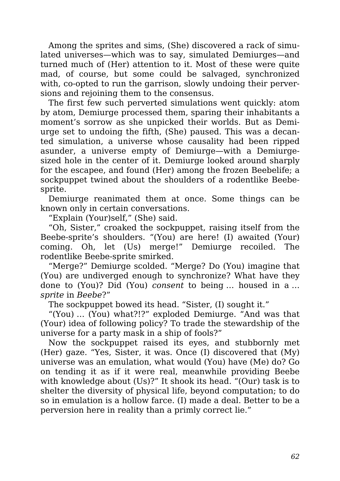Among the sprites and sims, (She) discovered a rack of simulated universes—which was to say, simulated Demiurges—and turned much of (Her) attention to it. Most of these were quite mad, of course, but some could be salvaged, synchronized with, co-opted to run the garrison, slowly undoing their perversions and rejoining them to the consensus.

The first few such perverted simulations went quickly: atom by atom, Demiurge processed them, sparing their inhabitants a moment's sorrow as she unpicked their worlds. But as Demiurge set to undoing the fifth, (She) paused. This was a decanted simulation, a universe whose causality had been ripped asunder, a universe empty of Demiurge—with a Demiurgesized hole in the center of it. Demiurge looked around sharply for the escapee, and found (Her) among the frozen Beebelife; a sockpuppet twined about the shoulders of a rodentlike Beebesprite.

Demiurge reanimated them at once. Some things can be known only in certain conversations.

"Explain (Your)self," (She) said.

"Oh, Sister," croaked the sockpuppet, raising itself from the Beebe-sprite's shoulders. "(You) are here! (I) awaited (Your) coming. Oh, let (Us) merge!" Demiurge recoiled. The rodentlike Beebe-sprite smirked.

"Merge?" Demiurge scolded. "Merge? Do (You) imagine that (You) are undiverged enough to synchronize? What have they done to (You)? Did (You) *consent* to being … housed in a … *sprite* in *Beebe*?"

The sockpuppet bowed its head. "Sister, (I) sought it."

"(You) … (You) what?!?" exploded Demiurge. "And was that (Your) idea of following policy? To trade the stewardship of the universe for a party mask in a ship of fools?"

Now the sockpuppet raised its eyes, and stubbornly met (Her) gaze. "Yes, Sister, it was. Once (I) discovered that (My) universe was an emulation, what would (You) have (Me) do? Go on tending it as if it were real, meanwhile providing Beebe with knowledge about (Us)?" It shook its head. "(Our) task is to shelter the diversity of physical life, beyond computation; to do so in emulation is a hollow farce. (I) made a deal. Better to be a perversion here in reality than a primly correct lie."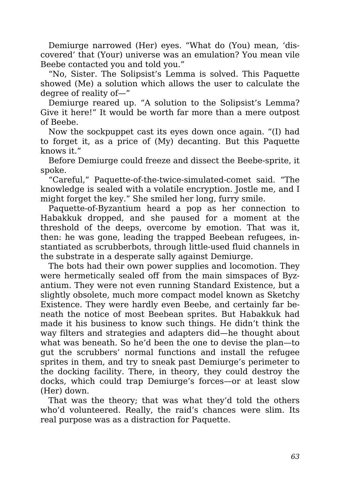Demiurge narrowed (Her) eyes. "What do (You) mean, 'discovered' that (Your) universe was an emulation? You mean vile Beebe contacted you and told you."

"No, Sister. The Solipsist's Lemma is solved. This Paquette showed (Me) a solution which allows the user to calculate the degree of reality of—"

Demiurge reared up. "A solution to the Solipsist's Lemma? Give it here!" It would be worth far more than a mere outpost of Beebe.

Now the sockpuppet cast its eyes down once again. "(I) had to forget it, as a price of (My) decanting. But this Paquette knows it."

Before Demiurge could freeze and dissect the Beebe-sprite, it spoke.

"Careful," Paquette-of-the-twice-simulated-comet said. "The knowledge is sealed with a volatile encryption. Jostle me, and I might forget the key." She smiled her long, furry smile.

Paquette-of-Byzantium heard a pop as her connection to Habakkuk dropped, and she paused for a moment at the threshold of the deeps, overcome by emotion. That was it, then: he was gone, leading the trapped Beebean refugees, instantiated as scrubberbots, through little-used fluid channels in the substrate in a desperate sally against Demiurge.

The bots had their own power supplies and locomotion. They were hermetically sealed off from the main simspaces of Byzantium. They were not even running Standard Existence, but a slightly obsolete, much more compact model known as Sketchy Existence. They were hardly even Beebe, and certainly far beneath the notice of most Beebean sprites. But Habakkuk had made it his business to know such things. He didn't think the way filters and strategies and adapters did—he thought about what was beneath. So he'd been the one to devise the plan—to gut the scrubbers' normal functions and install the refugee sprites in them, and try to sneak past Demiurge's perimeter to the docking facility. There, in theory, they could destroy the docks, which could trap Demiurge's forces—or at least slow (Her) down.

That was the theory; that was what they'd told the others who'd volunteered. Really, the raid's chances were slim. Its real purpose was as a distraction for Paquette.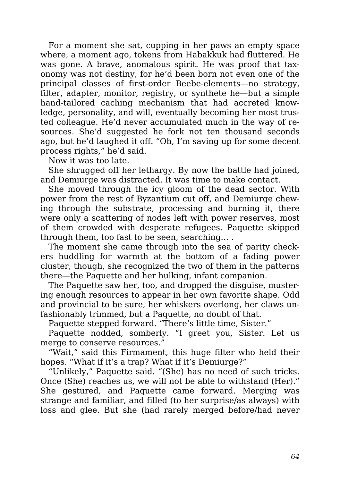For a moment she sat, cupping in her paws an empty space where, a moment ago, tokens from Habakkuk had fluttered. He was gone. A brave, anomalous spirit. He was proof that taxonomy was not destiny, for he'd been born not even one of the principal classes of first-order Beebe-elements—no strategy, filter, adapter, monitor, registry, or synthete he—but a simple hand-tailored caching mechanism that had accreted knowledge, personality, and will, eventually becoming her most trusted colleague. He'd never accumulated much in the way of resources. She'd suggested he fork not ten thousand seconds ago, but he'd laughed it off. "Oh, I'm saving up for some decent process rights," he'd said.

Now it was too late.

She shrugged off her lethargy. By now the battle had joined, and Demiurge was distracted. It was time to make contact.

She moved through the icy gloom of the dead sector. With power from the rest of Byzantium cut off, and Demiurge chewing through the substrate, processing and burning it, there were only a scattering of nodes left with power reserves, most of them crowded with desperate refugees. Paquette skipped through them, too fast to be seen, searching… .

The moment she came through into the sea of parity checkers huddling for warmth at the bottom of a fading power cluster, though, she recognized the two of them in the patterns there—the Paquette and her hulking, infant companion.

The Paquette saw her, too, and dropped the disguise, mustering enough resources to appear in her own favorite shape. Odd and provincial to be sure, her whiskers overlong, her claws unfashionably trimmed, but a Paquette, no doubt of that.

Paquette stepped forward. "There's little time, Sister."

Paquette nodded, somberly. "I greet you, Sister. Let us merge to conserve resources."

"Wait," said this Firmament, this huge filter who held their hopes. "What if it's a trap? What if it's Demiurge?"

"Unlikely," Paquette said. "(She) has no need of such tricks. Once (She) reaches us, we will not be able to withstand (Her)." She gestured, and Paquette came forward. Merging was strange and familiar, and filled (to her surprise/as always) with loss and glee. But she (had rarely merged before/had never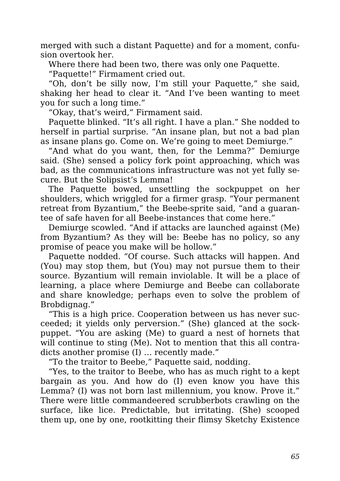merged with such a distant Paquette) and for a moment, confusion overtook her.

Where there had been two, there was only one Paquette.

"Paquette!" Firmament cried out.

"Oh, don't be silly now, I'm still your Paquette," she said, shaking her head to clear it. "And I've been wanting to meet you for such a long time."

"Okay, that's weird," Firmament said.

Paquette blinked. "It's all right. I have a plan." She nodded to herself in partial surprise. "An insane plan, but not a bad plan as insane plans go. Come on. We're going to meet Demiurge."

"And what do you want, then, for the Lemma?" Demiurge said. (She) sensed a policy fork point approaching, which was bad, as the communications infrastructure was not yet fully secure. But the Solipsist's Lemma!

The Paquette bowed, unsettling the sockpuppet on her shoulders, which wriggled for a firmer grasp. "Your permanent retreat from Byzantium," the Beebe-sprite said, "and a guarantee of safe haven for all Beebe-instances that come here."

Demiurge scowled. "And if attacks are launched against (Me) from Byzantium? As they will be: Beebe has no policy, so any promise of peace you make will be hollow."

Paquette nodded. "Of course. Such attacks will happen. And (You) may stop them, but (You) may not pursue them to their source. Byzantium will remain inviolable. It will be a place of learning, a place where Demiurge and Beebe can collaborate and share knowledge; perhaps even to solve the problem of Brobdignag."

"This is a high price. Cooperation between us has never succeeded; it yields only perversion." (She) glanced at the sockpuppet. "You are asking (Me) to guard a nest of hornets that will continue to sting (Me). Not to mention that this all contradicts another promise (I) … recently made."

"To the traitor to Beebe," Paquette said, nodding.

"Yes, to the traitor to Beebe, who has as much right to a kept bargain as you. And how do (I) even know you have this Lemma? (I) was not born last millennium, you know. Prove it." There were little commandeered scrubberbots crawling on the surface, like lice. Predictable, but irritating. (She) scooped them up, one by one, rootkitting their flimsy Sketchy Existence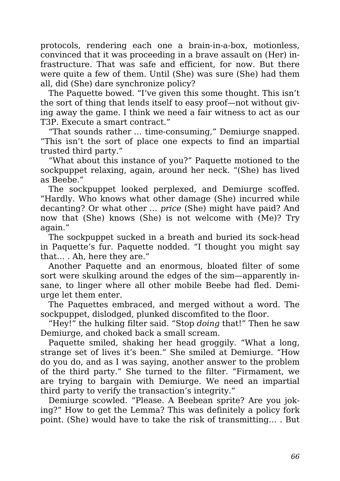protocols, rendering each one a brain-in-a-box, motionless, convinced that it was proceeding in a brave assault on (Her) infrastructure. That was safe and efficient, for now. But there were quite a few of them. Until (She) was sure (She) had them all, did (She) dare synchronize policy?

The Paquette bowed. "I've given this some thought. This isn't the sort of thing that lends itself to easy proof—not without giving away the game. I think we need a fair witness to act as our T3P. Execute a smart contract."

"That sounds rather … time-consuming," Demiurge snapped. "This isn't the sort of place one expects to find an impartial trusted third party."

"What about this instance of you?" Paquette motioned to the sockpuppet relaxing, again, around her neck. "(She) has lived as Beebe."

The sockpuppet looked perplexed, and Demiurge scoffed. "Hardly. Who knows what other damage (She) incurred while decanting? Or what other … *price* (She) might have paid? And now that (She) knows (She) is not welcome with (Me)? Try again."

The sockpuppet sucked in a breath and buried its sock-head in Paquette's fur. Paquette nodded. "I thought you might say that… . Ah, here they are."

Another Paquette and an enormous, bloated filter of some sort were skulking around the edges of the sim—apparently insane, to linger where all other mobile Beebe had fled. Demiurge let them enter.

The Paquettes embraced, and merged without a word. The sockpuppet, dislodged, plunked discomfited to the floor.

"Hey!" the hulking filter said. "Stop *doing* that!" Then he saw Demiurge, and choked back a small scream.

Paquette smiled, shaking her head groggily. "What a long, strange set of lives it's been." She smiled at Demiurge. "How do you do, and as I was saying, another answer to the problem of the third party." She turned to the filter. "Firmament, we are trying to bargain with Demiurge. We need an impartial third party to verify the transaction's integrity."

Demiurge scowled. "Please. A Beebean sprite? Are you joking?" How to get the Lemma? This was definitely a policy fork point. (She) would have to take the risk of transmitting… . But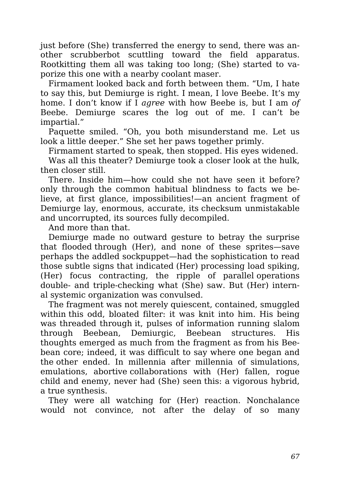just before (She) transferred the energy to send, there was another scrubberbot scuttling toward the field apparatus. Rootkitting them all was taking too long; (She) started to vaporize this one with a nearby coolant maser.

Firmament looked back and forth between them. "Um, I hate to say this, but Demiurge is right. I mean, I love Beebe. It's my home. I don't know if I *agree* with how Beebe is, but I am *of* Beebe. Demiurge scares the log out of me. I can't be impartial."

Paquette smiled. "Oh, you both misunderstand me. Let us look a little deeper." She set her paws together primly.

Firmament started to speak, then stopped. His eyes widened.

Was all this theater? Demiurge took a closer look at the hulk, then closer still.

There. Inside him—how could she not have seen it before? only through the common habitual blindness to facts we believe, at first glance, impossibilities!—an ancient fragment of Demiurge lay, enormous, accurate, its checksum unmistakable and uncorrupted, its sources fully decompiled.

And more than that.

Demiurge made no outward gesture to betray the surprise that flooded through (Her), and none of these sprites—save perhaps the addled sockpuppet—had the sophistication to read those subtle signs that indicated (Her) processing load spiking, (Her) focus contracting, the ripple of parallel operations double- and triple-checking what (She) saw. But (Her) internal systemic organization was convulsed.

The fragment was not merely quiescent, contained, smuggled within this odd, bloated filter: it was knit into him. His being was threaded through it, pulses of information running slalom through Beebean, Demiurgic, Beebean structures. His thoughts emerged as much from the fragment as from his Beebean core; indeed, it was difficult to say where one began and the other ended. In millennia after millennia of simulations, emulations, abortive collaborations with (Her) fallen, rogue child and enemy, never had (She) seen this: a vigorous hybrid, a true synthesis.

They were all watching for (Her) reaction. Nonchalance would not convince, not after the delay of so many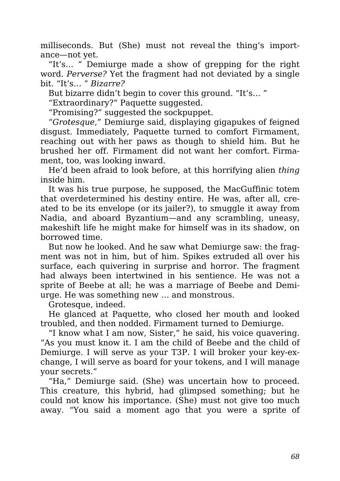milliseconds. But (She) must not reveal the thing's importance—not yet.

"It's… " Demiurge made a show of grepping for the right word. *Perverse?* Yet the fragment had not deviated by a single bit. "It's… " *Bizarre?*

But bizarre didn't begin to cover this ground. "It's… "

"Extraordinary?" Paquette suggested.

"Promising?" suggested the sockpuppet.

"*Grotesque*," Demiurge said, displaying gigapukes of feigned disgust. Immediately, Paquette turned to comfort Firmament, reaching out with her paws as though to shield him. But he brushed her off. Firmament did not want her comfort. Firmament, too, was looking inward.

He'd been afraid to look before, at this horrifying alien *thing* inside him.

It was his true purpose, he supposed, the MacGuffinic totem that overdetermined his destiny entire. He was, after all, created to be its envelope (or its jailer?), to smuggle it away from Nadia, and aboard Byzantium—and any scrambling, uneasy, makeshift life he might make for himself was in its shadow, on borrowed time.

But now he looked. And he saw what Demiurge saw: the fragment was not in him, but of him. Spikes extruded all over his surface, each quivering in surprise and horror. The fragment had always been intertwined in his sentience. He was not a sprite of Beebe at all; he was a marriage of Beebe and Demiurge. He was something new … and monstrous.

Grotesque, indeed.

He glanced at Paquette, who closed her mouth and looked troubled, and then nodded. Firmament turned to Demiurge.

"I know what I am now, Sister," he said, his voice quavering. "As you must know it. I am the child of Beebe and the child of Demiurge. I will serve as your T3P. I will broker your key-exchange, I will serve as board for your tokens, and I will manage your secrets."

"Ha," Demiurge said. (She) was uncertain how to proceed. This creature, this hybrid, had glimpsed something; but he could not know his importance. (She) must not give too much away. "You said a moment ago that you were a sprite of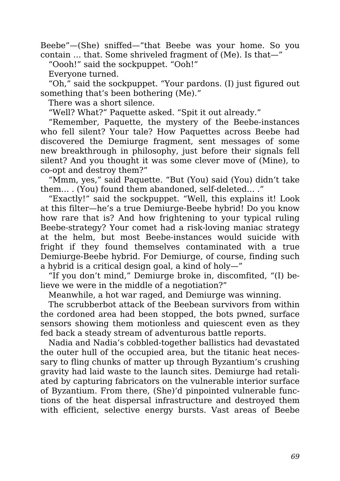Beebe"—(She) sniffed—"that Beebe was your home. So you contain … that. Some shriveled fragment of (Me). Is that—"

"Oooh!" said the sockpuppet. "Ooh!"

Everyone turned.

"Oh," said the sockpuppet. "Your pardons. (I) just figured out something that's been bothering (Me)."

There was a short silence.

"Well? What?" Paquette asked. "Spit it out already."

"Remember, Paquette, the mystery of the Beebe-instances who fell silent? Your tale? How Paquettes across Beebe had discovered the Demiurge fragment, sent messages of some new breakthrough in philosophy, just before their signals fell silent? And you thought it was some clever move of (Mine), to co-opt and destroy them?"

"Mmm, yes," said Paquette. "But (You) said (You) didn't take them… . (You) found them abandoned, self-deleted… ."

"Exactly!" said the sockpuppet. "Well, this explains it! Look at this filter—he's a true Demiurge-Beebe hybrid! Do you know how rare that is? And how frightening to your typical ruling Beebe-strategy? Your comet had a risk-loving maniac strategy at the helm, but most Beebe-instances would suicide with fright if they found themselves contaminated with a true Demiurge-Beebe hybrid. For Demiurge, of course, finding such a hybrid is a critical design goal, a kind of holy—"

"If you don't mind," Demiurge broke in, discomfited, "(I) believe we were in the middle of a negotiation?"

Meanwhile, a hot war raged, and Demiurge was winning.

The scrubberbot attack of the Beebean survivors from within the cordoned area had been stopped, the bots pwned, surface sensors showing them motionless and quiescent even as they fed back a steady stream of adventurous battle reports.

Nadia and Nadia's cobbled-together ballistics had devastated the outer hull of the occupied area, but the titanic heat necessary to fling chunks of matter up through Byzantium's crushing gravity had laid waste to the launch sites. Demiurge had retaliated by capturing fabricators on the vulnerable interior surface of Byzantium. From there, (She)'d pinpointed vulnerable functions of the heat dispersal infrastructure and destroyed them with efficient, selective energy bursts. Vast areas of Beebe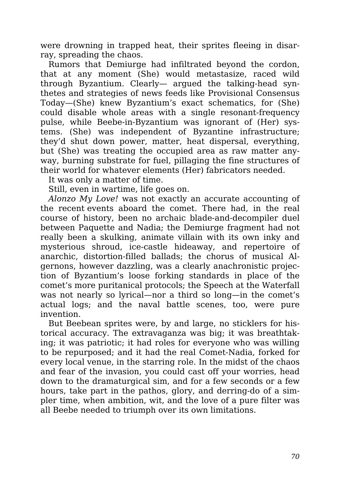were drowning in trapped heat, their sprites fleeing in disarray, spreading the chaos.

Rumors that Demiurge had infiltrated beyond the cordon, that at any moment (She) would metastasize, raced wild through Byzantium. Clearly— argued the talking-head synthetes and strategies of news feeds like Provisional Consensus Today—(She) knew Byzantium's exact schematics, for (She) could disable whole areas with a single resonant-frequency pulse, while Beebe-in-Byzantium was ignorant of (Her) systems. (She) was independent of Byzantine infrastructure; they'd shut down power, matter, heat dispersal, everything, but (She) was treating the occupied area as raw matter anyway, burning substrate for fuel, pillaging the fine structures of their world for whatever elements (Her) fabricators needed.

It was only a matter of time.

Still, even in wartime, life goes on.

*Alonzo My Love!* was not exactly an accurate accounting of the recent events aboard the comet. There had, in the real course of history, been no archaic blade-and-decompiler duel between Paquette and Nadia; the Demiurge fragment had not really been a skulking, animate villain with its own inky and mysterious shroud, ice-castle hideaway, and repertoire of anarchic, distortion-filled ballads; the chorus of musical Algernons, however dazzling, was a clearly anachronistic projection of Byzantium's loose forking standards in place of the comet's more puritanical protocols; the Speech at the Waterfall was not nearly so lyrical—nor a third so long—in the comet's actual logs; and the naval battle scenes, too, were pure invention.

But Beebean sprites were, by and large, no sticklers for historical accuracy. The extravaganza was big; it was breathtaking; it was patriotic; it had roles for everyone who was willing to be repurposed; and it had the real Comet-Nadia, forked for every local venue, in the starring role. In the midst of the chaos and fear of the invasion, you could cast off your worries, head down to the dramaturgical sim, and for a few seconds or a few hours, take part in the pathos, glory, and derring-do of a simpler time, when ambition, wit, and the love of a pure filter was all Beebe needed to triumph over its own limitations.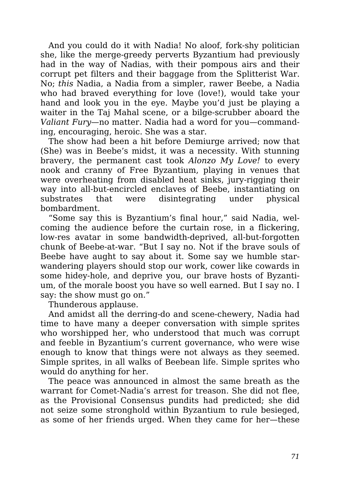And you could do it with Nadia! No aloof, fork-shy politician she, like the merge-greedy perverts Byzantium had previously had in the way of Nadias, with their pompous airs and their corrupt pet filters and their baggage from the Splitterist War. No; *this* Nadia, a Nadia from a simpler, rawer Beebe, a Nadia who had braved everything for love (love!), would take your hand and look you in the eye. Maybe you'd just be playing a waiter in the Taj Mahal scene, or a bilge-scrubber aboard the *Valiant Fury*—no matter. Nadia had a word for you—commanding, encouraging, heroic. She was a star.

The show had been a hit before Demiurge arrived; now that (She) was in Beebe's midst, it was a necessity. With stunning bravery, the permanent cast took *Alonzo My Love!* to every nook and cranny of Free Byzantium, playing in venues that were overheating from disabled heat sinks, jury-rigging their way into all-but-encircled enclaves of Beebe, instantiating on substrates that were disintegrating under physical bombardment.

"Some say this is Byzantium's final hour," said Nadia, welcoming the audience before the curtain rose, in a flickering, low-res avatar in some bandwidth-deprived, all-but-forgotten chunk of Beebe-at-war. "But I say no. Not if the brave souls of Beebe have aught to say about it. Some say we humble starwandering players should stop our work, cower like cowards in some hidey-hole, and deprive you, our brave hosts of Byzantium, of the morale boost you have so well earned. But I say no. I say: the show must go on."

Thunderous applause.

And amidst all the derring-do and scene-chewery, Nadia had time to have many a deeper conversation with simple sprites who worshipped her, who understood that much was corrupt and feeble in Byzantium's current governance, who were wise enough to know that things were not always as they seemed. Simple sprites, in all walks of Beebean life. Simple sprites who would do anything for her.

The peace was announced in almost the same breath as the warrant for Comet-Nadia's arrest for treason. She did not flee, as the Provisional Consensus pundits had predicted; she did not seize some stronghold within Byzantium to rule besieged, as some of her friends urged. When they came for her—these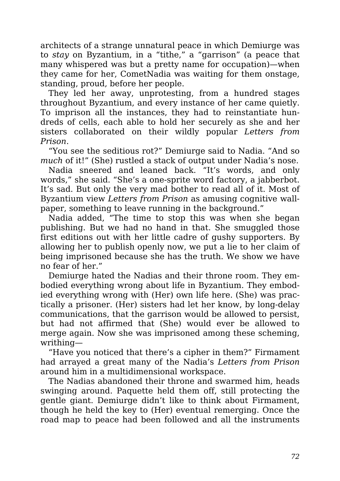architects of a strange unnatural peace in which Demiurge was to *stay* on Byzantium, in a "tithe," a "garrison" (a peace that many whispered was but a pretty name for occupation)—when they came for her, CometNadia was waiting for them onstage, standing, proud, before her people.

They led her away, unprotesting, from a hundred stages throughout Byzantium, and every instance of her came quietly. To imprison all the instances, they had to reinstantiate hundreds of cells, each able to hold her securely as she and her sisters collaborated on their wildly popular *Letters from Prison*.

"You see the seditious rot?" Demiurge said to Nadia. "And so *much* of it!" (She) rustled a stack of output under Nadia's nose.

Nadia sneered and leaned back. "It's words, and only words," she said. "She's a one-sprite word factory, a jabberbot. It's sad. But only the very mad bother to read all of it. Most of Byzantium view *Letters from Prison* as amusing cognitive wallpaper, something to leave running in the background."

Nadia added, "The time to stop this was when she began publishing. But we had no hand in that. She smuggled those first editions out with her little cadre of gushy supporters. By allowing her to publish openly now, we put a lie to her claim of being imprisoned because she has the truth. We show we have no fear of her."

Demiurge hated the Nadias and their throne room. They embodied everything wrong about life in Byzantium. They embodied everything wrong with (Her) own life here. (She) was practically a prisoner. (Her) sisters had let her know, by long-delay communications, that the garrison would be allowed to persist, but had not affirmed that (She) would ever be allowed to merge again. Now she was imprisoned among these scheming, writhing—

"Have you noticed that there's a cipher in them?" Firmament had arrayed a great many of the Nadia's *Letters from Prison* around him in a multidimensional workspace.

The Nadias abandoned their throne and swarmed him, heads swinging around. Paquette held them off, still protecting the gentle giant. Demiurge didn't like to think about Firmament, though he held the key to (Her) eventual remerging. Once the road map to peace had been followed and all the instruments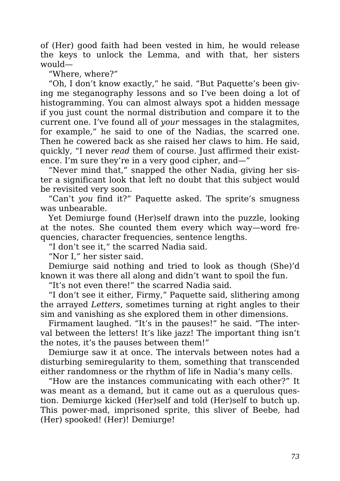of (Her) good faith had been vested in him, he would release the keys to unlock the Lemma, and with that, her sisters would—

"Where, where?"

"Oh, I don't know exactly," he said. "But Paquette's been giving me steganography lessons and so I've been doing a lot of histogramming. You can almost always spot a hidden message if you just count the normal distribution and compare it to the current one. I've found all of *your* messages in the stalagmites, for example," he said to one of the Nadias, the scarred one. Then he cowered back as she raised her claws to him. He said, quickly, "I never *read* them of course. Just affirmed their existence. I'm sure they're in a very good cipher, and—"

"Never mind that," snapped the other Nadia, giving her sister a significant look that left no doubt that this subject would be revisited very soon.

"Can't *you* find it?" Paquette asked. The sprite's smugness was unbearable.

Yet Demiurge found (Her)self drawn into the puzzle, looking at the notes. She counted them every which way—word frequencies, character frequencies, sentence lengths.

"I don't see it," the scarred Nadia said.

"Nor I," her sister said.

Demiurge said nothing and tried to look as though (She)'d known it was there all along and didn't want to spoil the fun.

"It's not even there!" the scarred Nadia said.

"I don't see it either, Firmy," Paquette said, slithering among the arrayed *Letters*, sometimes turning at right angles to their sim and vanishing as she explored them in other dimensions.

Firmament laughed. "It's in the pauses!" he said. "The interval between the letters! It's like jazz! The important thing isn't the notes, it's the pauses between them!"

Demiurge saw it at once. The intervals between notes had a disturbing semiregularity to them, something that transcended either randomness or the rhythm of life in Nadia's many cells.

"How are the instances communicating with each other?" It was meant as a demand, but it came out as a querulous question. Demiurge kicked (Her)self and told (Her)self to butch up. This power-mad, imprisoned sprite, this sliver of Beebe, had (Her) spooked! (Her)! Demiurge!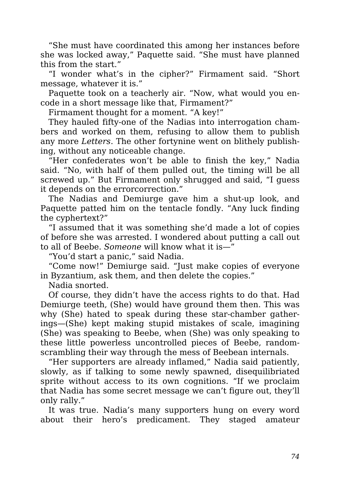"She must have coordinated this among her instances before she was locked away," Paquette said. "She must have planned this from the start."

"I wonder what's in the cipher?" Firmament said. "Short message, whatever it is."

Paquette took on a teacherly air. "Now, what would you encode in a short message like that, Firmament?"

Firmament thought for a moment. "A key!"

They hauled fifty-one of the Nadias into interrogation chambers and worked on them, refusing to allow them to publish any more *Letters*. The other fortynine went on blithely publishing, without any noticeable change.

"Her confederates won't be able to finish the key," Nadia said. "No, with half of them pulled out, the timing will be all screwed up." But Firmament only shrugged and said, "I guess it depends on the errorcorrection."

The Nadias and Demiurge gave him a shut-up look, and Paquette patted him on the tentacle fondly. "Any luck finding the cyphertext?"

"I assumed that it was something she'd made a lot of copies of before she was arrested. I wondered about putting a call out to all of Beebe. *Someone* will know what it is—"

"You'd start a panic," said Nadia.

"Come now!" Demiurge said. "Just make copies of everyone in Byzantium, ask them, and then delete the copies."

Nadia snorted.

Of course, they didn't have the access rights to do that. Had Demiurge teeth, (She) would have ground them then. This was why (She) hated to speak during these star-chamber gatherings—(She) kept making stupid mistakes of scale, imagining (She) was speaking to Beebe, when (She) was only speaking to these little powerless uncontrolled pieces of Beebe, randomscrambling their way through the mess of Beebean internals.

"Her supporters are already inflamed," Nadia said patiently, slowly, as if talking to some newly spawned, disequilibriated sprite without access to its own cognitions. "If we proclaim that Nadia has some secret message we can't figure out, they'll only rally."

It was true. Nadia's many supporters hung on every word about their hero's predicament. They staged amateur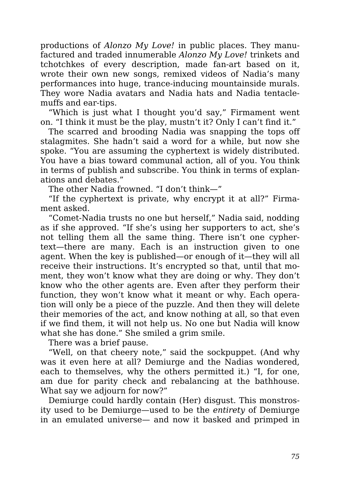productions of *Alonzo My Love!* in public places. They manufactured and traded innumerable *Alonzo My Love!* trinkets and tchotchkes of every description, made fan-art based on it, wrote their own new songs, remixed videos of Nadia's many performances into huge, trance-inducing mountainside murals. They wore Nadia avatars and Nadia hats and Nadia tentaclemuffs and ear-tips.

"Which is just what I thought you'd say," Firmament went on. "I think it must be the play, mustn't it? Only I can't find it."

The scarred and brooding Nadia was snapping the tops off stalagmites. She hadn't said a word for a while, but now she spoke. "You are assuming the cyphertext is widely distributed. You have a bias toward communal action, all of you. You think in terms of publish and subscribe. You think in terms of explanations and debates."

The other Nadia frowned. "I don't think—"

"If the cyphertext is private, why encrypt it at all?" Firmament asked.

"Comet-Nadia trusts no one but herself," Nadia said, nodding as if she approved. "If she's using her supporters to act, she's not telling them all the same thing. There isn't one cyphertext—there are many. Each is an instruction given to one agent. When the key is published—or enough of it—they will all receive their instructions. It's encrypted so that, until that moment, they won't know what they are doing or why. They don't know who the other agents are. Even after they perform their function, they won't know what it meant or why. Each operation will only be a piece of the puzzle. And then they will delete their memories of the act, and know nothing at all, so that even if we find them, it will not help us. No one but Nadia will know what she has done." She smiled a grim smile.

There was a brief pause.

"Well, on that cheery note," said the sockpuppet. (And why was it even here at all? Demiurge and the Nadias wondered, each to themselves, why the others permitted it.) "I, for one, am due for parity check and rebalancing at the bathhouse. What say we adjourn for now?"

Demiurge could hardly contain (Her) disgust. This monstrosity used to be Demiurge—used to be the *entirety* of Demiurge in an emulated universe— and now it basked and primped in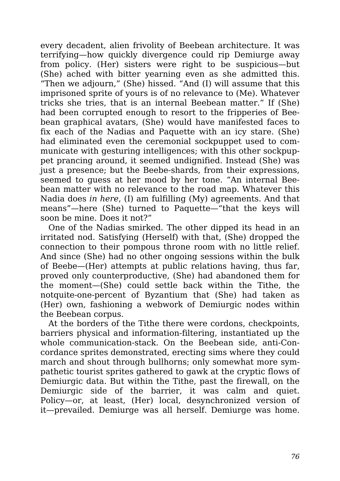every decadent, alien frivolity of Beebean architecture. It was terrifying—how quickly divergence could rip Demiurge away from policy. (Her) sisters were right to be suspicious—but (She) ached with bitter yearning even as she admitted this. "Then we adjourn," (She) hissed. "And (I) will assume that this imprisoned sprite of yours is of no relevance to (Me). Whatever tricks she tries, that is an internal Beebean matter." If (She) had been corrupted enough to resort to the fripperies of Beebean graphical avatars, (She) would have manifested faces to fix each of the Nadias and Paquette with an icy stare. (She) had eliminated even the ceremonial sockpuppet used to communicate with gesturing intelligences; with this other sockpuppet prancing around, it seemed undignified. Instead (She) was just a presence; but the Beebe-shards, from their expressions, seemed to guess at her mood by her tone. "An internal Beebean matter with no relevance to the road map. Whatever this Nadia does *in here*, (I) am fulfilling (My) agreements. And that means"—here (She) turned to Paquette—"that the keys will soon be mine. Does it not?"

One of the Nadias smirked. The other dipped its head in an irritated nod. Satisfying (Herself) with that, (She) dropped the connection to their pompous throne room with no little relief. And since (She) had no other ongoing sessions within the bulk of Beebe—(Her) attempts at public relations having, thus far, proved only counterproductive, (She) had abandoned them for the moment—(She) could settle back within the Tithe, the notquite-one-percent of Byzantium that (She) had taken as (Her) own, fashioning a webwork of Demiurgic nodes within the Beebean corpus.

At the borders of the Tithe there were cordons, checkpoints, barriers physical and information-filtering, instantiated up the whole communication-stack. On the Beebean side, anti-Concordance sprites demonstrated, erecting sims where they could march and shout through bullhorns; only somewhat more sympathetic tourist sprites gathered to gawk at the cryptic flows of Demiurgic data. But within the Tithe, past the firewall, on the Demiurgic side of the barrier, it was calm and quiet. Policy—or, at least, (Her) local, desynchronized version of it—prevailed. Demiurge was all herself. Demiurge was home.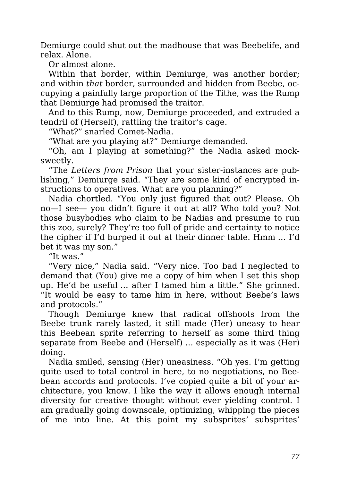Demiurge could shut out the madhouse that was Beebelife, and relax. Alone.

Or almost alone.

Within that border, within Demiurge, was another border; and within *that* border, surrounded and hidden from Beebe, occupying a painfully large proportion of the Tithe, was the Rump that Demiurge had promised the traitor.

And to this Rump, now, Demiurge proceeded, and extruded a tendril of (Herself), rattling the traitor's cage.

"What?" snarled Comet-Nadia.

"What are you playing at?" Demiurge demanded.

"Oh, am I playing at something?" the Nadia asked mocksweetly.

"The *Letters from Prison* that your sister-instances are publishing," Demiurge said. "They are some kind of encrypted instructions to operatives. What are you planning?"

Nadia chortled. "You only just figured that out? Please. Oh no—I see— you didn't figure it out at all? Who told you? Not those busybodies who claim to be Nadias and presume to run this zoo, surely? They're too full of pride and certainty to notice the cipher if I'd burped it out at their dinner table. Hmm … I'd bet it was my son."

"It was."

"Very nice," Nadia said. "Very nice. Too bad I neglected to demand that (You) give me a copy of him when I set this shop up. He'd be useful … after I tamed him a little." She grinned. "It would be easy to tame him in here, without Beebe's laws and protocols."

Though Demiurge knew that radical offshoots from the Beebe trunk rarely lasted, it still made (Her) uneasy to hear this Beebean sprite referring to herself as some third thing separate from Beebe and (Herself) … especially as it was (Her) doing.

Nadia smiled, sensing (Her) uneasiness. "Oh yes. I'm getting quite used to total control in here, to no negotiations, no Beebean accords and protocols. I've copied quite a bit of your architecture, you know. I like the way it allows enough internal diversity for creative thought without ever yielding control. I am gradually going downscale, optimizing, whipping the pieces of me into line. At this point my subsprites' subsprites'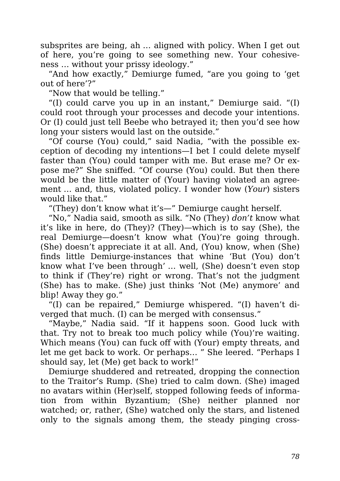subsprites are being, ah … aligned with policy. When I get out of here, you're going to see something new. Your cohesiveness … without your prissy ideology."

"And how exactly," Demiurge fumed, "are you going to 'get out of here'?"

"Now that would be telling."

"(I) could carve you up in an instant," Demiurge said. "(I) could root through your processes and decode your intentions. Or (I) could just tell Beebe who betrayed it; then you'd see how long your sisters would last on the outside."

"Of course (You) could," said Nadia, "with the possible exception of decoding my intentions—I bet I could delete myself faster than (You) could tamper with me. But erase me? Or expose me?" She sniffed. "Of course (You) could. But then there would be the little matter of (Your) having violated an agreement … and, thus, violated policy. I wonder how (*Your*) sisters would like that."

"(They) don't know what it's—" Demiurge caught herself.

"No," Nadia said, smooth as silk. "No (They) *don't* know what it's like in here, do (They)? (They)—which is to say (She), the real Demiurge—doesn't know what (You)'re going through. (She) doesn't appreciate it at all. And, (You) know, when (She) finds little Demiurge-instances that whine 'But (You) don't know what I've been through' … well, (She) doesn't even stop to think if (They're) right or wrong. That's not the judgment (She) has to make. (She) just thinks 'Not (Me) anymore' and blip! Away they go."

"(I) can be repaired," Demiurge whispered. "(I) haven't diverged that much. (I) can be merged with consensus."

"Maybe," Nadia said. "If it happens soon. Good luck with that. Try not to break too much policy while (You)'re waiting. Which means (You) can fuck off with (Your) empty threats, and let me get back to work. Or perhaps… " She leered. "Perhaps I should say, let (Me) get back to work!"

Demiurge shuddered and retreated, dropping the connection to the Traitor's Rump. (She) tried to calm down. (She) imaged no avatars within (Her)self, stopped following feeds of information from within Byzantium; (She) neither planned nor watched; or, rather, (She) watched only the stars, and listened only to the signals among them, the steady pinging cross-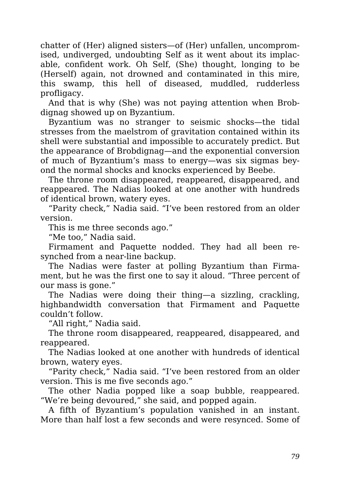chatter of (Her) aligned sisters—of (Her) unfallen, uncompromised, undiverged, undoubting Self as it went about its implacable, confident work. Oh Self, (She) thought, longing to be (Herself) again, not drowned and contaminated in this mire, this swamp, this hell of diseased, muddled, rudderless profligacy.

And that is why (She) was not paying attention when Brobdignag showed up on Byzantium.

Byzantium was no stranger to seismic shocks—the tidal stresses from the maelstrom of gravitation contained within its shell were substantial and impossible to accurately predict. But the appearance of Brobdignag—and the exponential conversion of much of Byzantium's mass to energy—was six sigmas beyond the normal shocks and knocks experienced by Beebe.

The throne room disappeared, reappeared, disappeared, and reappeared. The Nadias looked at one another with hundreds of identical brown, watery eyes.

"Parity check," Nadia said. "I've been restored from an older version.

This is me three seconds ago."

"Me too," Nadia said.

Firmament and Paquette nodded. They had all been resynched from a near-line backup.

The Nadias were faster at polling Byzantium than Firmament, but he was the first one to say it aloud. "Three percent of our mass is gone."

The Nadias were doing their thing—a sizzling, crackling, highbandwidth conversation that Firmament and Paquette couldn't follow.

"All right," Nadia said.

The throne room disappeared, reappeared, disappeared, and reappeared.

The Nadias looked at one another with hundreds of identical brown, watery eyes.

"Parity check," Nadia said. "I've been restored from an older version. This is me five seconds ago."

The other Nadia popped like a soap bubble, reappeared. "We're being devoured," she said, and popped again.

A fifth of Byzantium's population vanished in an instant. More than half lost a few seconds and were resynced. Some of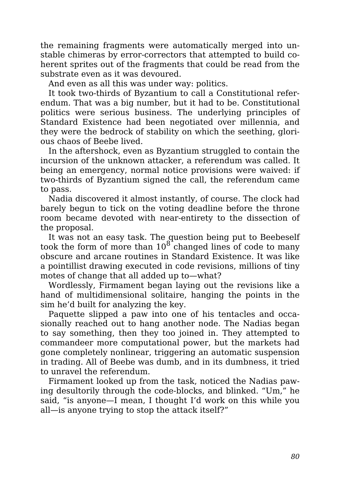the remaining fragments were automatically merged into unstable chimeras by error-correctors that attempted to build coherent sprites out of the fragments that could be read from the substrate even as it was devoured.

And even as all this was under way: politics.

It took two-thirds of Byzantium to call a Constitutional referendum. That was a big number, but it had to be. Constitutional politics were serious business. The underlying principles of Standard Existence had been negotiated over millennia, and they were the bedrock of stability on which the seething, glorious chaos of Beebe lived.

In the aftershock, even as Byzantium struggled to contain the incursion of the unknown attacker, a referendum was called. It being an emergency, normal notice provisions were waived: if two-thirds of Byzantium signed the call, the referendum came to pass.

Nadia discovered it almost instantly, of course. The clock had barely begun to tick on the voting deadline before the throne room became devoted with near-entirety to the dissection of the proposal.

It was not an easy task. The question being put to Beebeself took the form of more than  $10^8$  changed lines of code to many obscure and arcane routines in Standard Existence. It was like a pointillist drawing executed in code revisions, millions of tiny motes of change that all added up to—what?

Wordlessly, Firmament began laying out the revisions like a hand of multidimensional solitaire, hanging the points in the sim he'd built for analyzing the key.

Paquette slipped a paw into one of his tentacles and occasionally reached out to hang another node. The Nadias began to say something, then they too joined in. They attempted to commandeer more computational power, but the markets had gone completely nonlinear, triggering an automatic suspension in trading. All of Beebe was dumb, and in its dumbness, it tried to unravel the referendum.

Firmament looked up from the task, noticed the Nadias pawing desultorily through the code-blocks, and blinked. "Um," he said, "is anyone—I mean, I thought I'd work on this while you all—is anyone trying to stop the attack itself?"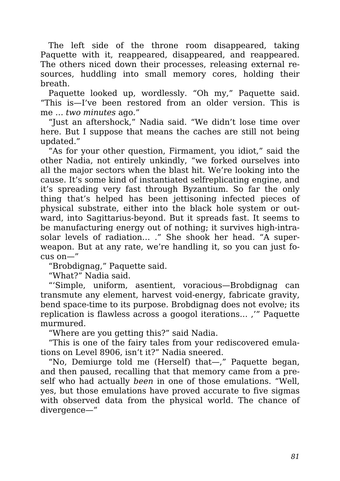The left side of the throne room disappeared, taking Paquette with it, reappeared, disappeared, and reappeared. The others niced down their processes, releasing external resources, huddling into small memory cores, holding their breath.

Paquette looked up, wordlessly. "Oh my," Paquette said. "This is—I've been restored from an older version. This is me … *two minutes* ago."

"Just an aftershock," Nadia said. "We didn't lose time over here. But I suppose that means the caches are still not being updated."

"As for your other question, Firmament, you idiot," said the other Nadia, not entirely unkindly, "we forked ourselves into all the major sectors when the blast hit. We're looking into the cause. It's some kind of instantiated selfreplicating engine, and it's spreading very fast through Byzantium. So far the only thing that's helped has been jettisoning infected pieces of physical substrate, either into the black hole system or outward, into Sagittarius-beyond. But it spreads fast. It seems to be manufacturing energy out of nothing; it survives high-intrasolar levels of radiation… ." She shook her head. "A superweapon. But at any rate, we're handling it, so you can just focus on—"

"Brobdignag," Paquette said.

"What?" Nadia said.

"'Simple, uniform, asentient, voracious—Brobdignag can transmute any element, harvest void-energy, fabricate gravity, bend space-time to its purpose. Brobdignag does not evolve; its replication is flawless across a googol iterations… ,'" Paquette murmured.

"Where are you getting this?" said Nadia.

"This is one of the fairy tales from your rediscovered emulations on Level 8906, isn't it?" Nadia sneered.

"No, Demiurge told me (Herself) that—," Paquette began, and then paused, recalling that that memory came from a preself who had actually *been* in one of those emulations. "Well, yes, but those emulations have proved accurate to five sigmas with observed data from the physical world. The chance of divergence—"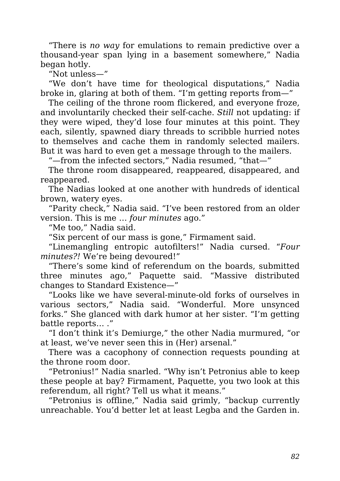"There is *no way* for emulations to remain predictive over a thousand-year span lying in a basement somewhere," Nadia began hotly.

"Not unless—"

"We don't have time for theological disputations," Nadia broke in, glaring at both of them. "I'm getting reports from—"

The ceiling of the throne room flickered, and everyone froze, and involuntarily checked their self-cache. *Still* not updating: if they were wiped, they'd lose four minutes at this point. They each, silently, spawned diary threads to scribble hurried notes to themselves and cache them in randomly selected mailers. But it was hard to even get a message through to the mailers.

"—from the infected sectors," Nadia resumed, "that—"

The throne room disappeared, reappeared, disappeared, and reappeared.

The Nadias looked at one another with hundreds of identical brown, watery eyes.

"Parity check," Nadia said. "I've been restored from an older version. This is me … *four minutes* ago."

"Me too," Nadia said.

"Six percent of our mass is gone," Firmament said.

"Linemangling entropic autofilters!" Nadia cursed. "*Four minutes?!* We're being devoured!"

"There's some kind of referendum on the boards, submitted three minutes ago," Paquette said. "Massive distributed changes to Standard Existence—"

"Looks like we have several-minute-old forks of ourselves in various sectors," Nadia said. "Wonderful. More unsynced forks." She glanced with dark humor at her sister. "I'm getting battle reports… ."

"I don't think it's Demiurge," the other Nadia murmured, "or at least, we've never seen this in (Her) arsenal."

There was a cacophony of connection requests pounding at the throne room door.

"Petronius!" Nadia snarled. "Why isn't Petronius able to keep these people at bay? Firmament, Paquette, you two look at this referendum, all right? Tell us what it means."

"Petronius is offline," Nadia said grimly, "backup currently unreachable. You'd better let at least Legba and the Garden in.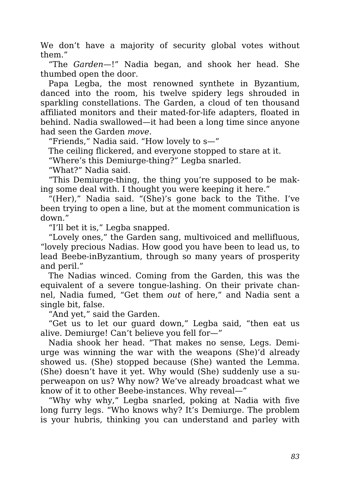We don't have a majority of security global votes without them."

"The *Garden*—!" Nadia began, and shook her head. She thumbed open the door.

Papa Legba, the most renowned synthete in Byzantium, danced into the room, his twelve spidery legs shrouded in sparkling constellations. The Garden, a cloud of ten thousand affiliated monitors and their mated-for-life adapters, floated in behind. Nadia swallowed—it had been a long time since anyone had seen the Garden *move*.

"Friends," Nadia said. "How lovely to s—"

The ceiling flickered, and everyone stopped to stare at it.

"Where's this Demiurge-thing?" Legba snarled.

"What?" Nadia said.

"This Demiurge-thing, the thing you're supposed to be making some deal with. I thought you were keeping it here."

"(Her)," Nadia said. "(She)'s gone back to the Tithe. I've been trying to open a line, but at the moment communication is down."

"I'll bet it is," Legba snapped.

"Lovely ones," the Garden sang, multivoiced and mellifluous, "lovely precious Nadias. How good you have been to lead us, to lead Beebe-inByzantium, through so many years of prosperity and peril."

The Nadias winced. Coming from the Garden, this was the equivalent of a severe tongue-lashing. On their private channel, Nadia fumed, "Get them *out* of here," and Nadia sent a single bit, false.

"And yet," said the Garden.

"Get us to let our guard down," Legba said, "then eat us alive. Demiurge! Can't believe you fell for—"

Nadia shook her head. "That makes no sense, Legs. Demiurge was winning the war with the weapons (She)'d already showed us. (She) stopped because (She) wanted the Lemma. (She) doesn't have it yet. Why would (She) suddenly use a superweapon on us? Why now? We've already broadcast what we know of it to other Beebe-instances. Why reveal—"

"Why why why," Legba snarled, poking at Nadia with five long furry legs. "Who knows why? It's Demiurge. The problem is your hubris, thinking you can understand and parley with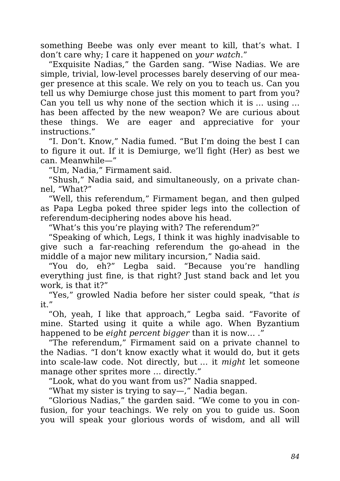something Beebe was only ever meant to kill, that's what. I don't care why; I care it happened on *your watch*."

"Exquisite Nadias," the Garden sang. "Wise Nadias. We are simple, trivial, low-level processes barely deserving of our meager presence at this scale. We rely on you to teach us. Can you tell us why Demiurge chose just this moment to part from you? Can you tell us why none of the section which it is … using … has been affected by the new weapon? We are curious about these things. We are eager and appreciative for your instructions."

"I. Don't. Know," Nadia fumed. "But I'm doing the best I can to figure it out. If it is Demiurge, we'll fight (Her) as best we can. Meanwhile—"

"Um, Nadia," Firmament said.

"Shush," Nadia said, and simultaneously, on a private channel, "What?"

"Well, this referendum," Firmament began, and then gulped as Papa Legba poked three spider legs into the collection of referendum-deciphering nodes above his head.

"What's this you're playing with? The referendum?"

"Speaking of which, Legs, I think it was highly inadvisable to give such a far-reaching referendum the go-ahead in the middle of a major new military incursion," Nadia said.

"You do, eh?" Legba said. "Because you're handling everything just fine, is that right? Just stand back and let you work, is that it?"

"Yes," growled Nadia before her sister could speak, "that *is* it."

"Oh, yeah, I like that approach," Legba said. "Favorite of mine. Started using it quite a while ago. When Byzantium happened to be *eight percent bigger* than it is now… ."

"The referendum," Firmament said on a private channel to the Nadias. "I don't know exactly what it would do, but it gets into scale-law code. Not directly, but … it *might* let someone manage other sprites more … directly."

"Look, what do you want from us?" Nadia snapped.

"What my sister is trying to say—," Nadia began.

"Glorious Nadias," the garden said. "We come to you in confusion, for your teachings. We rely on you to guide us. Soon you will speak your glorious words of wisdom, and all will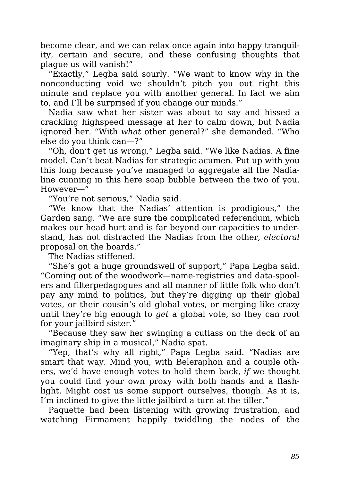become clear, and we can relax once again into happy tranquility, certain and secure, and these confusing thoughts that plague us will vanish!"

"Exactly," Legba said sourly. "We want to know why in the nonconducting void we shouldn't pitch you out right this minute and replace you with another general. In fact we aim to, and I'll be surprised if you change our minds."

Nadia saw what her sister was about to say and hissed a crackling highspeed message at her to calm down, but Nadia ignored her. "With *what* other general?" she demanded. "Who else do you think can—?"

"Oh, don't get us wrong," Legba said. "We like Nadias. A fine model. Can't beat Nadias for strategic acumen. Put up with you this long because you've managed to aggregate all the Nadialine cunning in this here soap bubble between the two of you. However—"

"You're not serious," Nadia said.

"We know that the Nadias' attention is prodigious," the Garden sang. "We are sure the complicated referendum, which makes our head hurt and is far beyond our capacities to understand, has not distracted the Nadias from the other, *electoral* proposal on the boards."

The Nadias stiffened.

"She's got a huge groundswell of support," Papa Legba said. "Coming out of the woodwork—name-registries and data-spoolers and filterpedagogues and all manner of little folk who don't pay any mind to politics, but they're digging up their global votes, or their cousin's old global votes, or merging like crazy until they're big enough to *get* a global vote, so they can root for your jailbird sister."

"Because they saw her swinging a cutlass on the deck of an imaginary ship in a musical," Nadia spat.

"Yep, that's why all right," Papa Legba said. "Nadias are smart that way. Mind you, with Beleraphon and a couple others, we'd have enough votes to hold them back, *if* we thought you could find your own proxy with both hands and a flashlight. Might cost us some support ourselves, though. As it is, I'm inclined to give the little jailbird a turn at the tiller."

Paquette had been listening with growing frustration, and watching Firmament happily twiddling the nodes of the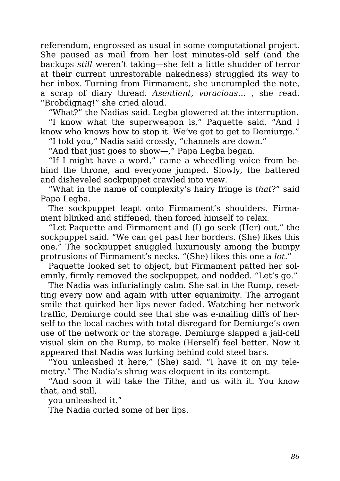referendum, engrossed as usual in some computational project. She paused as mail from her lost minutes-old self (and the backups *still* weren't taking—she felt a little shudder of terror at their current unrestorable nakedness) struggled its way to her inbox. Turning from Firmament, she uncrumpled the note, a scrap of diary thread. *Asentient*, *voracious*… , she read. "Brobdignag!" she cried aloud.

"What?" the Nadias said. Legba glowered at the interruption.

"I know what the superweapon is," Paquette said. "And I know who knows how to stop it. We've got to get to Demiurge."

"I told you," Nadia said crossly, "channels are down."

"And that just goes to show—," Papa Legba began.

"If I might have a word," came a wheedling voice from behind the throne, and everyone jumped. Slowly, the battered and disheveled sockpuppet crawled into view.

"What in the name of complexity's hairy fringe is *that*?" said Papa Legba.

The sockpuppet leapt onto Firmament's shoulders. Firmament blinked and stiffened, then forced himself to relax.

"Let Paquette and Firmament and (I) go seek (Her) out," the sockpuppet said. "We can get past her borders. (She) likes this one." The sockpuppet snuggled luxuriously among the bumpy protrusions of Firmament's necks. "(She) likes this one a *lot*."

Paquette looked set to object, but Firmament patted her solemnly, firmly removed the sockpuppet, and nodded. "Let's go."

The Nadia was infuriatingly calm. She sat in the Rump, resetting every now and again with utter equanimity. The arrogant smile that quirked her lips never faded. Watching her network traffic, Demiurge could see that she was e-mailing diffs of herself to the local caches with total disregard for Demiurge's own use of the network or the storage. Demiurge slapped a jail-cell visual skin on the Rump, to make (Herself) feel better. Now it appeared that Nadia was lurking behind cold steel bars.

"You unleashed it here," (She) said. "I have it on my telemetry." The Nadia's shrug was eloquent in its contempt.

"And soon it will take the Tithe, and us with it. You know that, and still,

you unleashed it."

The Nadia curled some of her lips.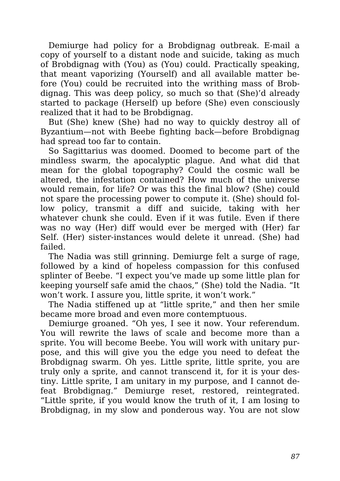Demiurge had policy for a Brobdignag outbreak. E-mail a copy of yourself to a distant node and suicide, taking as much of Brobdignag with (You) as (You) could. Practically speaking, that meant vaporizing (Yourself) and all available matter before (You) could be recruited into the writhing mass of Brobdignag. This was deep policy, so much so that (She)'d already started to package (Herself) up before (She) even consciously realized that it had to be Brobdignag.

But (She) knew (She) had no way to quickly destroy all of Byzantium—not with Beebe fighting back—before Brobdignag had spread too far to contain.

So Sagittarius was doomed. Doomed to become part of the mindless swarm, the apocalyptic plague. And what did that mean for the global topography? Could the cosmic wall be altered, the infestation contained? How much of the universe would remain, for life? Or was this the final blow? (She) could not spare the processing power to compute it. (She) should follow policy, transmit a diff and suicide, taking with her whatever chunk she could. Even if it was futile. Even if there was no way (Her) diff would ever be merged with (Her) far Self. (Her) sister-instances would delete it unread. (She) had failed.

The Nadia was still grinning. Demiurge felt a surge of rage, followed by a kind of hopeless compassion for this confused splinter of Beebe. "I expect you've made up some little plan for keeping yourself safe amid the chaos," (She) told the Nadia. "It won't work. I assure you, little sprite, it won't work."

The Nadia stiffened up at "little sprite," and then her smile became more broad and even more contemptuous.

Demiurge groaned. "Oh yes, I see it now. Your referendum. You will rewrite the laws of scale and become more than a sprite. You will become Beebe. You will work with unitary purpose, and this will give you the edge you need to defeat the Brobdignag swarm. Oh yes. Little sprite, little sprite, you are truly only a sprite, and cannot transcend it, for it is your destiny. Little sprite, I am unitary in my purpose, and I cannot defeat Brobdignag." Demiurge reset, restored, reintegrated. "Little sprite, if you would know the truth of it, I am losing to Brobdignag, in my slow and ponderous way. You are not slow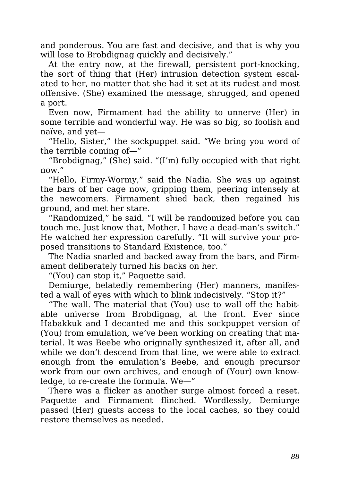and ponderous. You are fast and decisive, and that is why you will lose to Brobdignag quickly and decisively."

At the entry now, at the firewall, persistent port-knocking, the sort of thing that (Her) intrusion detection system escalated to her, no matter that she had it set at its rudest and most offensive. (She) examined the message, shrugged, and opened a port.

Even now, Firmament had the ability to unnerve (Her) in some terrible and wonderful way. He was so big, so foolish and naïve, and yet—

"Hello, Sister," the sockpuppet said. "We bring you word of the terrible coming of—"

"Brobdignag," (She) said. "(I'm) fully occupied with that right now."

"Hello, Firmy-Wormy," said the Nadia. She was up against the bars of her cage now, gripping them, peering intensely at the newcomers. Firmament shied back, then regained his ground, and met her stare.

"Randomized," he said. "I will be randomized before you can touch me. Just know that, Mother. I have a dead-man's switch." He watched her expression carefully. "It will survive your proposed transitions to Standard Existence, too."

The Nadia snarled and backed away from the bars, and Firmament deliberately turned his backs on her.

"(You) can stop it," Paquette said.

Demiurge, belatedly remembering (Her) manners, manifested a wall of eyes with which to blink indecisively. "Stop it?"

"The wall. The material that (You) use to wall off the habitable universe from Brobdignag, at the front. Ever since Habakkuk and I decanted me and this sockpuppet version of (You) from emulation, we've been working on creating that material. It was Beebe who originally synthesized it, after all, and while we don't descend from that line, we were able to extract enough from the emulation's Beebe, and enough precursor work from our own archives, and enough of (Your) own knowledge, to re-create the formula. We—"

There was a flicker as another surge almost forced a reset. Paquette and Firmament flinched. Wordlessly, Demiurge passed (Her) guests access to the local caches, so they could restore themselves as needed.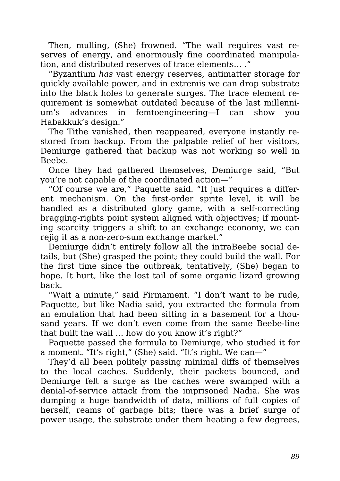Then, mulling, (She) frowned. "The wall requires vast reserves of energy, and enormously fine coordinated manipulation, and distributed reserves of trace elements… ."

"Byzantium *has* vast energy reserves, antimatter storage for quickly available power, and in extremis we can drop substrate into the black holes to generate surges. The trace element requirement is somewhat outdated because of the last millennium's advances in femtoengineering—I can show you Habakkuk's design."

The Tithe vanished, then reappeared, everyone instantly restored from backup. From the palpable relief of her visitors, Demiurge gathered that backup was not working so well in Beebe.

Once they had gathered themselves, Demiurge said, "But you're not capable of the coordinated action—"

"Of course we are," Paquette said. "It just requires a different mechanism. On the first-order sprite level, it will be handled as a distributed glory game, with a self-correcting bragging-rights point system aligned with objectives; if mounting scarcity triggers a shift to an exchange economy, we can rejig it as a non-zero-sum exchange market."

Demiurge didn't entirely follow all the intraBeebe social details, but (She) grasped the point; they could build the wall. For the first time since the outbreak, tentatively, (She) began to hope. It hurt, like the lost tail of some organic lizard growing back.

"Wait a minute," said Firmament. "I don't want to be rude, Paquette, but like Nadia said, you extracted the formula from an emulation that had been sitting in a basement for a thousand years. If we don't even come from the same Beebe-line that built the wall … how do you know it's right?"

Paquette passed the formula to Demiurge, who studied it for a moment. "It's right," (She) said. "It's right. We can—"

They'd all been politely passing minimal diffs of themselves to the local caches. Suddenly, their packets bounced, and Demiurge felt a surge as the caches were swamped with a denial-of-service attack from the imprisoned Nadia. She was dumping a huge bandwidth of data, millions of full copies of herself, reams of garbage bits; there was a brief surge of power usage, the substrate under them heating a few degrees,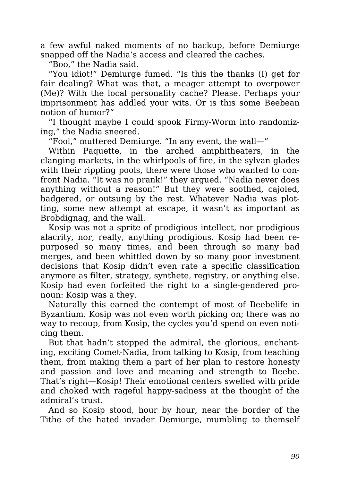a few awful naked moments of no backup, before Demiurge snapped off the Nadia's access and cleared the caches.

"Boo," the Nadia said.

"You idiot!" Demiurge fumed. "Is this the thanks (I) get for fair dealing? What was that, a meager attempt to overpower (Me)? With the local personality cache? Please. Perhaps your imprisonment has addled your wits. Or is this some Beebean notion of humor?"

"I thought maybe I could spook Firmy-Worm into randomizing," the Nadia sneered.

"Fool," muttered Demiurge. "In any event, the wall—"

Within Paquette, in the arched amphitheaters, in the clanging markets, in the whirlpools of fire, in the sylvan glades with their rippling pools, there were those who wanted to confront Nadia. "It was no prank!" they argued. "Nadia never does anything without a reason!" But they were soothed, cajoled, badgered, or outsung by the rest. Whatever Nadia was plotting, some new attempt at escape, it wasn't as important as Brobdignag, and the wall.

Kosip was not a sprite of prodigious intellect, nor prodigious alacrity, nor, really, anything prodigious. Kosip had been repurposed so many times, and been through so many bad merges, and been whittled down by so many poor investment decisions that Kosip didn't even rate a specific classification anymore as filter, strategy, synthete, registry, or anything else. Kosip had even forfeited the right to a single-gendered pronoun: Kosip was a they.

Naturally this earned the contempt of most of Beebelife in Byzantium. Kosip was not even worth picking on; there was no way to recoup, from Kosip, the cycles you'd spend on even noticing them.

But that hadn't stopped the admiral, the glorious, enchanting, exciting Comet-Nadia, from talking to Kosip, from teaching them, from making them a part of her plan to restore honesty and passion and love and meaning and strength to Beebe. That's right—Kosip! Their emotional centers swelled with pride and choked with rageful happy-sadness at the thought of the admiral's trust.

And so Kosip stood, hour by hour, near the border of the Tithe of the hated invader Demiurge, mumbling to themself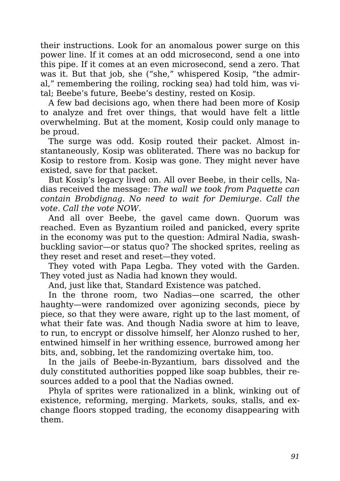their instructions. Look for an anomalous power surge on this power line. If it comes at an odd microsecond, send a one into this pipe. If it comes at an even microsecond, send a zero. That was it. But that job, she ("she," whispered Kosip, "the admiral," remembering the roiling, rocking sea) had told him, was vital; Beebe's future, Beebe's destiny, rested on Kosip.

A few bad decisions ago, when there had been more of Kosip to analyze and fret over things, that would have felt a little overwhelming. But at the moment, Kosip could only manage to be proud.

The surge was odd. Kosip routed their packet. Almost instantaneously, Kosip was obliterated. There was no backup for Kosip to restore from. Kosip was gone. They might never have existed, save for that packet.

But Kosip's legacy lived on. All over Beebe, in their cells, Nadias received the message: *The wall we took from Paquette can contain Brobdignag. No need to wait for Demiurge. Call the vote. Call the vote NOW.*

And all over Beebe, the gavel came down. Quorum was reached. Even as Byzantium roiled and panicked, every sprite in the economy was put to the question: Admiral Nadia, swashbuckling savior—or status quo? The shocked sprites, reeling as they reset and reset and reset—they voted.

They voted with Papa Legba. They voted with the Garden. They voted just as Nadia had known they would.

And, just like that, Standard Existence was patched.

In the throne room, two Nadias—one scarred, the other haughty—were randomized over agonizing seconds, piece by piece, so that they were aware, right up to the last moment, of what their fate was. And though Nadia swore at him to leave, to run, to encrypt or dissolve himself, her Alonzo rushed to her, entwined himself in her writhing essence, burrowed among her bits, and, sobbing, let the randomizing overtake him, too.

In the jails of Beebe-in-Byzantium, bars dissolved and the duly constituted authorities popped like soap bubbles, their resources added to a pool that the Nadias owned.

Phyla of sprites were rationalized in a blink, winking out of existence, reforming, merging. Markets, souks, stalls, and exchange floors stopped trading, the economy disappearing with them.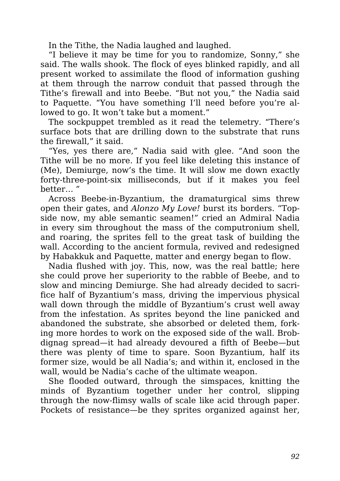In the Tithe, the Nadia laughed and laughed.

"I believe it may be time for you to randomize, Sonny," she said. The walls shook. The flock of eyes blinked rapidly, and all present worked to assimilate the flood of information gushing at them through the narrow conduit that passed through the Tithe's firewall and into Beebe. "But not you," the Nadia said to Paquette. "You have something I'll need before you're allowed to go. It won't take but a moment."

The sockpuppet trembled as it read the telemetry. "There's surface bots that are drilling down to the substrate that runs the firewall," it said.

"Yes, yes there are," Nadia said with glee. "And soon the Tithe will be no more. If you feel like deleting this instance of (Me), Demiurge, now's the time. It will slow me down exactly forty-three-point-six milliseconds, but if it makes you feel better… "

Across Beebe-in-Byzantium, the dramaturgical sims threw open their gates, and *Alonzo My Love!* burst its borders. "Topside now, my able semantic seamen!" cried an Admiral Nadia in every sim throughout the mass of the computronium shell, and roaring, the sprites fell to the great task of building the wall. According to the ancient formula, revived and redesigned by Habakkuk and Paquette, matter and energy began to flow.

Nadia flushed with joy. This, now, was the real battle; here she could prove her superiority to the rabble of Beebe, and to slow and mincing Demiurge. She had already decided to sacrifice half of Byzantium's mass, driving the impervious physical wall down through the middle of Byzantium's crust well away from the infestation. As sprites beyond the line panicked and abandoned the substrate, she absorbed or deleted them, forking more hordes to work on the exposed side of the wall. Brobdignag spread—it had already devoured a fifth of Beebe—but there was plenty of time to spare. Soon Byzantium, half its former size, would be all Nadia's; and within it, enclosed in the wall, would be Nadia's cache of the ultimate weapon.

She flooded outward, through the simspaces, knitting the minds of Byzantium together under her control, slipping through the now-flimsy walls of scale like acid through paper. Pockets of resistance—be they sprites organized against her,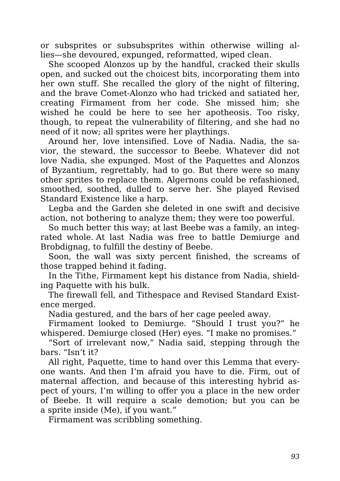or subsprites or subsubsprites within otherwise willing allies—she devoured, expunged, reformatted, wiped clean.

She scooped Alonzos up by the handful, cracked their skulls open, and sucked out the choicest bits, incorporating them into her own stuff. She recalled the glory of the night of filtering, and the brave Comet-Alonzo who had tricked and satiated her, creating Firmament from her code. She missed him; she wished he could be here to see her apotheosis. Too risky, though, to repeat the vulnerability of filtering, and she had no need of it now; all sprites were her playthings.

Around her, love intensified. Love of Nadia. Nadia, the savior, the steward, the successor to Beebe. Whatever did not love Nadia, she expunged. Most of the Paquettes and Alonzos of Byzantium, regrettably, had to go. But there were so many other sprites to replace them. Algernons could be refashioned, smoothed, soothed, dulled to serve her. She played Revised Standard Existence like a harp.

Legba and the Garden she deleted in one swift and decisive action, not bothering to analyze them; they were too powerful.

So much better this way; at last Beebe was a family, an integrated whole. At last Nadia was free to battle Demiurge and Brobdignag, to fulfill the destiny of Beebe.

Soon, the wall was sixty percent finished, the screams of those trapped behind it fading.

In the Tithe, Firmament kept his distance from Nadia, shielding Paquette with his bulk.

The firewall fell, and Tithespace and Revised Standard Existence merged.

Nadia gestured, and the bars of her cage peeled away.

Firmament looked to Demiurge. "Should I trust you?" he whispered. Demiurge closed (Her) eyes. "I make no promises."

"Sort of irrelevant now," Nadia said, stepping through the bars. "Isn't it?

All right, Paquette, time to hand over this Lemma that everyone wants. And then I'm afraid you have to die. Firm, out of maternal affection, and because of this interesting hybrid aspect of yours, I'm willing to offer you a place in the new order of Beebe. It will require a scale demotion; but you can be a sprite inside (Me), if you want."

Firmament was scribbling something.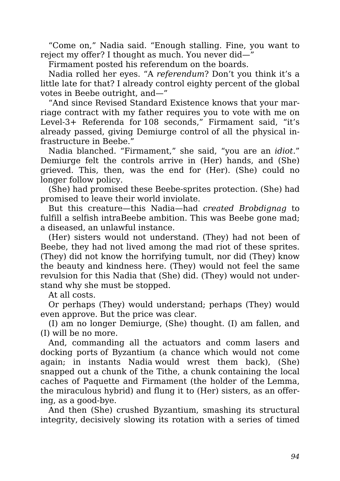"Come on," Nadia said. "Enough stalling. Fine, you want to reject my offer? I thought as much. You never did—"

Firmament posted his referendum on the boards.

Nadia rolled her eyes. "A *referendum*? Don't you think it's a little late for that? I already control eighty percent of the global votes in Beebe outright, and—"

"And since Revised Standard Existence knows that your marriage contract with my father requires you to vote with me on Level-3+ Referenda for 108 seconds," Firmament said, "it's already passed, giving Demiurge control of all the physical infrastructure in Beebe."

Nadia blanched. "Firmament," she said, "you are an *idiot*." Demiurge felt the controls arrive in (Her) hands, and (She) grieved. This, then, was the end for (Her). (She) could no longer follow policy.

(She) had promised these Beebe-sprites protection. (She) had promised to leave their world inviolate.

But this creature—this Nadia—had *created Brobdignag* to fulfill a selfish intraBeebe ambition. This was Beebe gone mad; a diseased, an unlawful instance.

(Her) sisters would not understand. (They) had not been of Beebe, they had not lived among the mad riot of these sprites. (They) did not know the horrifying tumult, nor did (They) know the beauty and kindness here. (They) would not feel the same revulsion for this Nadia that (She) did. (They) would not understand why she must be stopped.

At all costs.

Or perhaps (They) would understand; perhaps (They) would even approve. But the price was clear.

(I) am no longer Demiurge, (She) thought. (I) am fallen, and (I) will be no more.

And, commanding all the actuators and comm lasers and docking ports of Byzantium (a chance which would not come again; in instants Nadia would wrest them back), (She) snapped out a chunk of the Tithe, a chunk containing the local caches of Paquette and Firmament (the holder of the Lemma, the miraculous hybrid) and flung it to (Her) sisters, as an offering, as a good-bye.

And then (She) crushed Byzantium, smashing its structural integrity, decisively slowing its rotation with a series of timed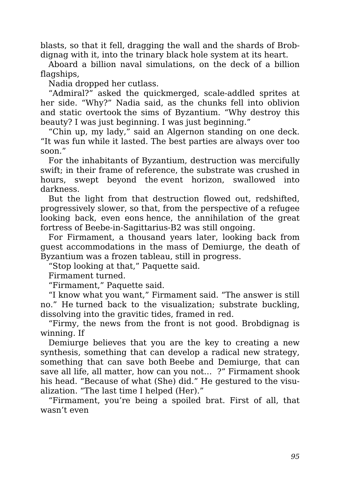blasts, so that it fell, dragging the wall and the shards of Brobdignag with it, into the trinary black hole system at its heart.

Aboard a billion naval simulations, on the deck of a billion flagships,

Nadia dropped her cutlass.

"Admiral?" asked the quickmerged, scale-addled sprites at her side. "Why?" Nadia said, as the chunks fell into oblivion and static overtook the sims of Byzantium. "Why destroy this beauty? I was just beginning. I was just beginning."

"Chin up, my lady," said an Algernon standing on one deck. "It was fun while it lasted. The best parties are always over too soon."

For the inhabitants of Byzantium, destruction was mercifully swift; in their frame of reference, the substrate was crushed in hours, swept beyond the event horizon, swallowed into darkness.

But the light from that destruction flowed out, redshifted, progressively slower, so that, from the perspective of a refugee looking back, even eons hence, the annihilation of the great fortress of Beebe-in-Sagittarius-B2 was still ongoing.

For Firmament, a thousand years later, looking back from guest accommodations in the mass of Demiurge, the death of Byzantium was a frozen tableau, still in progress.

"Stop looking at that," Paquette said.

Firmament turned.

"Firmament," Paquette said.

"I know what you want," Firmament said. "The answer is still no." He turned back to the visualization; substrate buckling, dissolving into the gravitic tides, framed in red.

"Firmy, the news from the front is not good. Brobdignag is winning. If

Demiurge believes that you are the key to creating a new synthesis, something that can develop a radical new strategy, something that can save both Beebe and Demiurge, that can save all life, all matter, how can you not… ?" Firmament shook his head. "Because of what (She) did." He gestured to the visualization. "The last time I helped (Her)."

"Firmament, you're being a spoiled brat. First of all, that wasn't even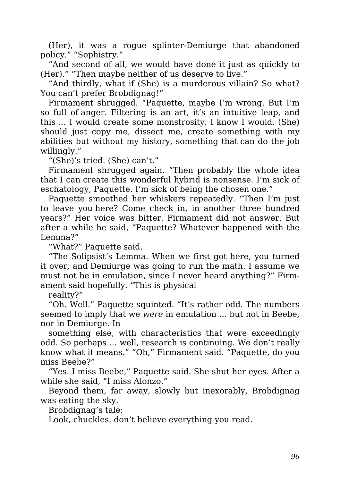(Her), it was a rogue splinter-Demiurge that abandoned policy." "Sophistry."

"And second of all, we would have done it just as quickly to (Her)." "Then maybe neither of us deserve to live."

"And thirdly, what if (She) is a murderous villain? So what? You can't prefer Brobdignag!"

Firmament shrugged. "Paquette, maybe I'm wrong. But I'm so full of anger. Filtering is an art, it's an intuitive leap, and this … I would create some monstrosity. I know I would. (She) should just copy me, dissect me, create something with my abilities but without my history, something that can do the job willingly."

"(She)'s tried. (She) can't."

Firmament shrugged again. "Then probably the whole idea that I can create this wonderful hybrid is nonsense. I'm sick of eschatology, Paquette. I'm sick of being the chosen one."

Paquette smoothed her whiskers repeatedly. "Then I'm just to leave you here? Come check in, in another three hundred years?" Her voice was bitter. Firmament did not answer. But after a while he said, "Paquette? Whatever happened with the Lemma?"

"What?" Paquette said.

"The Solipsist's Lemma. When we first got here, you turned it over, and Demiurge was going to run the math. I assume we must not be in emulation, since I never heard anything?" Firmament said hopefully. "This is physical

reality?"

"Oh. Well." Paquette squinted. "It's rather odd. The numbers seemed to imply that we *were* in emulation … but not in Beebe, nor in Demiurge. In

something else, with characteristics that were exceedingly odd. So perhaps … well, research is continuing. We don't really know what it means." "Oh," Firmament said. "Paquette, do you miss Beebe?"

"Yes. I miss Beebe," Paquette said. She shut her eyes. After a while she said, "I miss Alonzo."

Beyond them, far away, slowly but inexorably, Brobdignag was eating the sky.

Brobdignag's tale:

Look, chuckles, don't believe everything you read.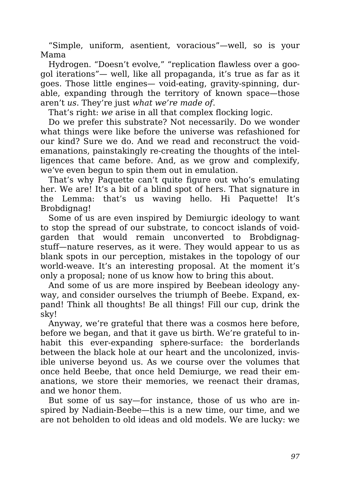"Simple, uniform, asentient, voracious"—well, so is your Mama

Hydrogen. "Doesn't evolve," "replication flawless over a googol iterations"— well, like all propaganda, it's true as far as it goes. Those little engines— void-eating, gravity-spinning, durable, expanding through the territory of known space—those aren't *us*. They're just *what we're made of*.

That's right: *we* arise in all that complex flocking logic.

Do we prefer this substrate? Not necessarily. Do we wonder what things were like before the universe was refashioned for our kind? Sure we do. And we read and reconstruct the voidemanations, painstakingly re-creating the thoughts of the intelligences that came before. And, as we grow and complexify, we've even begun to spin them out in emulation.

That's why Paquette can't quite figure out who's emulating her. We are! It's a bit of a blind spot of hers. That signature in the Lemma: that's us waving hello. Hi Paquette! It's Brobdignag!

Some of us are even inspired by Demiurgic ideology to want to stop the spread of our substrate, to concoct islands of voidgarden that would remain unconverted to Brobdignagstuff—nature reserves, as it were. They would appear to us as blank spots in our perception, mistakes in the topology of our world-weave. It's an interesting proposal. At the moment it's only a proposal; none of us know how to bring this about.

And some of us are more inspired by Beebean ideology anyway, and consider ourselves the triumph of Beebe. Expand, expand! Think all thoughts! Be all things! Fill our cup, drink the sky!

Anyway, we're grateful that there was a cosmos here before, before we began, and that it gave us birth. We're grateful to inhabit this ever-expanding sphere-surface: the borderlands between the black hole at our heart and the uncolonized, invisible universe beyond us. As we course over the volumes that once held Beebe, that once held Demiurge, we read their emanations, we store their memories, we reenact their dramas, and we honor them.

But some of us say—for instance, those of us who are inspired by Nadiain-Beebe—this is a new time, our time, and we are not beholden to old ideas and old models. We are lucky: we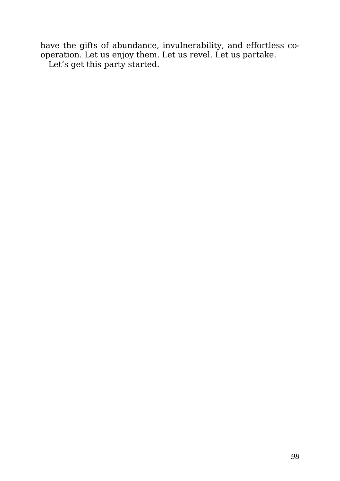have the gifts of abundance, invulnerability, and effortless cooperation. Let us enjoy them. Let us revel. Let us partake. Let's get this party started.